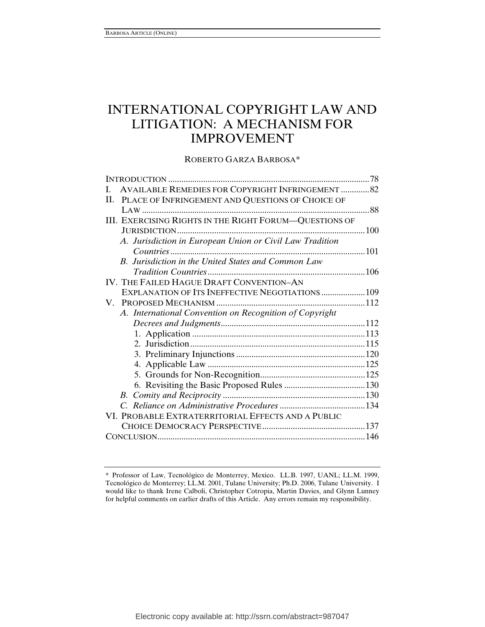# INTERNATIONAL COPYRIGHT LAW AND LITIGATION: A MECHANISM FOR IMPROVEMENT

ROBERTO GARZA BARBOSA\*

| <b>AVAILABLE REMEDIES FOR COPYRIGHT INFRINGEMENT  82</b><br>L |  |
|---------------------------------------------------------------|--|
| II. PLACE OF INFRINGEMENT AND QUESTIONS OF CHOICE OF          |  |
|                                                               |  |
| III. EXERCISING RIGHTS IN THE RIGHT FORUM-QUESTIONS OF        |  |
|                                                               |  |
| A. Jurisdiction in European Union or Civil Law Tradition      |  |
|                                                               |  |
| B. Jurisdiction in the United States and Common Law           |  |
|                                                               |  |
| IV. THE FAILED HAGUE DRAFT CONVENTION-AN                      |  |
| EXPLANATION OF ITS INEFFECTIVE NEGOTIATIONS 109               |  |
|                                                               |  |
| A. International Convention on Recognition of Copyright       |  |
|                                                               |  |
|                                                               |  |
|                                                               |  |
|                                                               |  |
|                                                               |  |
|                                                               |  |
|                                                               |  |
|                                                               |  |
|                                                               |  |
| VI. PROBABLE EXTRATERRITORIAL EFFECTS AND A PUBLIC            |  |
|                                                               |  |
|                                                               |  |

<sup>\*</sup> Professor of Law, Tecnológico de Monterrey, Mexico. LL.B. 1997, UANL; LL.M. 1999, Tecnológico de Monterrey; LL.M. 2001, Tulane University; Ph.D. 2006, Tulane University. I would like to thank Irene Calboli, Christopher Cotropia, Martin Davies, and Glynn Lunney for helpful comments on earlier drafts of this Article. Any errors remain my responsibility.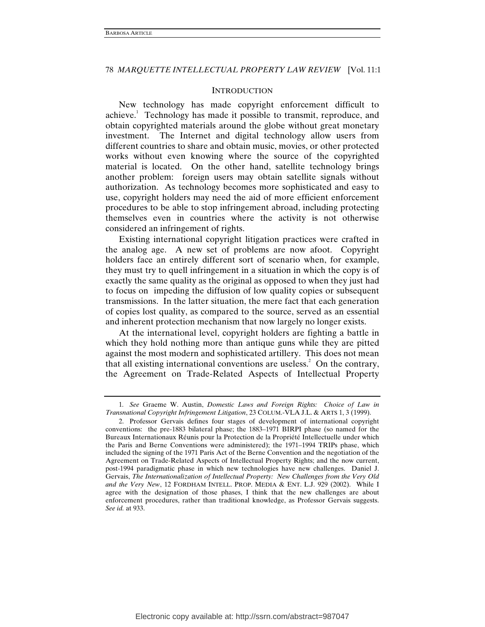### **INTRODUCTION**

New technology has made copyright enforcement difficult to achieve.<sup>1</sup> Technology has made it possible to transmit, reproduce, and obtain copyrighted materials around the globe without great monetary investment. The Internet and digital technology allow users from different countries to share and obtain music, movies, or other protected works without even knowing where the source of the copyrighted material is located. On the other hand, satellite technology brings another problem: foreign users may obtain satellite signals without authorization. As technology becomes more sophisticated and easy to use, copyright holders may need the aid of more efficient enforcement procedures to be able to stop infringement abroad, including protecting themselves even in countries where the activity is not otherwise considered an infringement of rights.

Existing international copyright litigation practices were crafted in the analog age. A new set of problems are now afoot. Copyright holders face an entirely different sort of scenario when, for example, they must try to quell infringement in a situation in which the copy is of exactly the same quality as the original as opposed to when they just had to focus on impeding the diffusion of low quality copies or subsequent transmissions. In the latter situation, the mere fact that each generation of copies lost quality, as compared to the source, served as an essential and inherent protection mechanism that now largely no longer exists.

At the international level, copyright holders are fighting a battle in which they hold nothing more than antique guns while they are pitted against the most modern and sophisticated artillery. This does not mean that all existing international conventions are useless.<sup>2</sup> On the contrary, the Agreement on Trade-Related Aspects of Intellectual Property

<sup>1</sup>*. See* Graeme W. Austin, *Domestic Laws and Foreign Rights: Choice of Law in Transnational Copyright Infringement Litigation*, 23 COLUM.-VLA J.L. & ARTS 1, 3 (1999).

 <sup>2.</sup> Professor Gervais defines four stages of development of international copyright conventions: the pre-1883 bilateral phase; the 1883–1971 BIRPI phase (so named for the Bureaux Internationaux Réunis pour la Protection de la Propriété Intellectuelle under which the Paris and Berne Conventions were administered); the 1971–1994 TRIPs phase, which included the signing of the 1971 Paris Act of the Berne Convention and the negotiation of the Agreement on Trade-Related Aspects of Intellectual Property Rights; and the now current, post-1994 paradigmatic phase in which new technologies have new challenges. Daniel J. Gervais, *The Internationalization of Intellectual Property: New Challenges from the Very Old and the Very New*, 12 FORDHAM INTELL. PROP. MEDIA & ENT. L.J. 929 (2002). While I agree with the designation of those phases, I think that the new challenges are about enforcement procedures, rather than traditional knowledge, as Professor Gervais suggests. *See id.* at 933.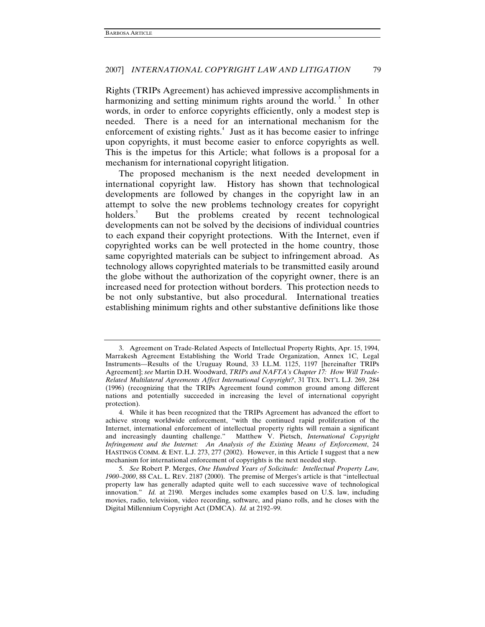Rights (TRIPs Agreement) has achieved impressive accomplishments in harmonizing and setting minimum rights around the world.<sup>3</sup> In other words, in order to enforce copyrights efficiently, only a modest step is needed. There is a need for an international mechanism for the enforcement of existing rights.<sup>4</sup> Just as it has become easier to infringe upon copyrights, it must become easier to enforce copyrights as well. This is the impetus for this Article; what follows is a proposal for a mechanism for international copyright litigation.

The proposed mechanism is the next needed development in international copyright law. History has shown that technological developments are followed by changes in the copyright law in an attempt to solve the new problems technology creates for copyright holders.<sup>5</sup> But the problems created by recent technological developments can not be solved by the decisions of individual countries to each expand their copyright protections. With the Internet, even if copyrighted works can be well protected in the home country, those same copyrighted materials can be subject to infringement abroad. As technology allows copyrighted materials to be transmitted easily around the globe without the authorization of the copyright owner, there is an increased need for protection without borders. This protection needs to be not only substantive, but also procedural. International treaties establishing minimum rights and other substantive definitions like those

 <sup>3.</sup> Agreement on Trade-Related Aspects of Intellectual Property Rights, Apr. 15, 1994, Marrakesh Agreement Establishing the World Trade Organization, Annex 1C, Legal Instruments—Results of the Uruguay Round, 33 I.L.M. 1125, 1197 [hereinafter TRIPs Agreement]; *see* Martin D.H. Woodward, *TRIPs and NAFTA's Chapter 17: How Will Trade-Related Multilateral Agreements Affect International Copyright?*, 31 TEX. INT'L L.J. 269, 284 (1996) (recognizing that the TRIPs Agreement found common ground among different nations and potentially succeeded in increasing the level of international copyright protection).

 <sup>4.</sup> While it has been recognized that the TRIPs Agreement has advanced the effort to achieve strong worldwide enforcement, "with the continued rapid proliferation of the Internet, international enforcement of intellectual property rights will remain a significant and increasingly daunting challenge." Matthew V. Pietsch, *International Copyright Infringement and the Internet: An Analysis of the Existing Means of Enforcement*, 24 HASTINGS COMM. & ENT. L.J. 273, 277 (2002). However, in this Article I suggest that a new mechanism for international enforcement of copyrights is the next needed step.

<sup>5</sup>*. See* Robert P. Merges, *One Hundred Years of Solicitude: Intellectual Property Law, 1900*–*2000*, 88 CAL. L. REV. 2187 (2000). The premise of Merges's article is that "intellectual property law has generally adapted quite well to each successive wave of technological innovation." *Id.* at 2190.Merges includes some examples based on U.S. law, including movies, radio, television, video recording, software, and piano rolls, and he closes with the Digital Millennium Copyright Act (DMCA). *Id.* at 2192–99.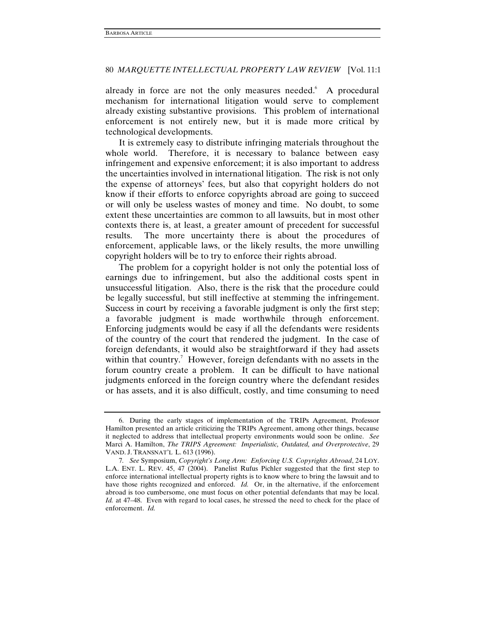already in force are not the only measures needed. A procedural mechanism for international litigation would serve to complement already existing substantive provisions. This problem of international enforcement is not entirely new, but it is made more critical by technological developments.

It is extremely easy to distribute infringing materials throughout the whole world. Therefore, it is necessary to balance between easy infringement and expensive enforcement; it is also important to address the uncertainties involved in international litigation. The risk is not only the expense of attorneys' fees, but also that copyright holders do not know if their efforts to enforce copyrights abroad are going to succeed or will only be useless wastes of money and time. No doubt, to some extent these uncertainties are common to all lawsuits, but in most other contexts there is, at least, a greater amount of precedent for successful results. The more uncertainty there is about the procedures of enforcement, applicable laws, or the likely results, the more unwilling copyright holders will be to try to enforce their rights abroad.

The problem for a copyright holder is not only the potential loss of earnings due to infringement, but also the additional costs spent in unsuccessful litigation. Also, there is the risk that the procedure could be legally successful, but still ineffective at stemming the infringement. Success in court by receiving a favorable judgment is only the first step; a favorable judgment is made worthwhile through enforcement. Enforcing judgments would be easy if all the defendants were residents of the country of the court that rendered the judgment. In the case of foreign defendants, it would also be straightforward if they had assets within that country.<sup>7</sup> However, foreign defendants with no assets in the forum country create a problem. It can be difficult to have national judgments enforced in the foreign country where the defendant resides or has assets, and it is also difficult, costly, and time consuming to need

 <sup>6.</sup> During the early stages of implementation of the TRIPs Agreement, Professor Hamilton presented an article criticizing the TRIPs Agreement, among other things, because it neglected to address that intellectual property environments would soon be online. *See* Marci A. Hamilton, *The TRIPS Agreement: Imperialistic, Outdated, and Overprotective*, 29 VAND. J. TRANSNAT'L L. 613 (1996).

<sup>7</sup>*. See* Symposium, *Copyright's Long Arm: Enforcing U.S. Copyrights Abroad*, 24 LOY. L.A. ENT. L. REV. 45, 47 (2004). Panelist Rufus Pichler suggested that the first step to enforce international intellectual property rights is to know where to bring the lawsuit and to have those rights recognized and enforced. *Id.* Or, in the alternative, if the enforcement abroad is too cumbersome, one must focus on other potential defendants that may be local. *Id.* at 47–48. Even with regard to local cases, he stressed the need to check for the place of enforcement. *Id.*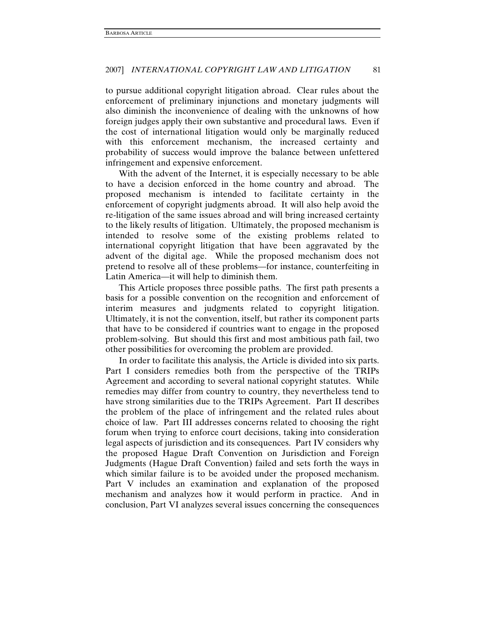to pursue additional copyright litigation abroad. Clear rules about the enforcement of preliminary injunctions and monetary judgments will also diminish the inconvenience of dealing with the unknowns of how foreign judges apply their own substantive and procedural laws. Even if the cost of international litigation would only be marginally reduced with this enforcement mechanism, the increased certainty and probability of success would improve the balance between unfettered infringement and expensive enforcement.

With the advent of the Internet, it is especially necessary to be able to have a decision enforced in the home country and abroad. The proposed mechanism is intended to facilitate certainty in the enforcement of copyright judgments abroad. It will also help avoid the re-litigation of the same issues abroad and will bring increased certainty to the likely results of litigation. Ultimately, the proposed mechanism is intended to resolve some of the existing problems related to international copyright litigation that have been aggravated by the advent of the digital age. While the proposed mechanism does not pretend to resolve all of these problems—for instance, counterfeiting in Latin America—it will help to diminish them.

This Article proposes three possible paths. The first path presents a basis for a possible convention on the recognition and enforcement of interim measures and judgments related to copyright litigation. Ultimately, it is not the convention, itself, but rather its component parts that have to be considered if countries want to engage in the proposed problem-solving. But should this first and most ambitious path fail, two other possibilities for overcoming the problem are provided.

In order to facilitate this analysis, the Article is divided into six parts. Part I considers remedies both from the perspective of the TRIPs Agreement and according to several national copyright statutes. While remedies may differ from country to country, they nevertheless tend to have strong similarities due to the TRIPs Agreement. Part II describes the problem of the place of infringement and the related rules about choice of law. Part III addresses concerns related to choosing the right forum when trying to enforce court decisions, taking into consideration legal aspects of jurisdiction and its consequences. Part IV considers why the proposed Hague Draft Convention on Jurisdiction and Foreign Judgments (Hague Draft Convention) failed and sets forth the ways in which similar failure is to be avoided under the proposed mechanism. Part V includes an examination and explanation of the proposed mechanism and analyzes how it would perform in practice. And in conclusion, Part VI analyzes several issues concerning the consequences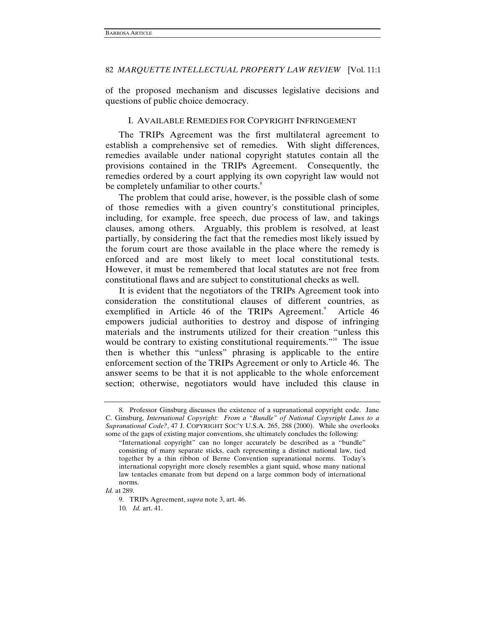of the proposed mechanism and discusses legislative decisions and questions of public choice democracy.

### I. AVAILABLE REMEDIES FOR COPYRIGHT INFRINGEMENT

The TRIPs Agreement was the first multilateral agreement to establish a comprehensive set of remedies. With slight differences, remedies available under national copyright statutes contain all the provisions contained in the TRIPs Agreement. Consequently, the remedies ordered by a court applying its own copyright law would not be completely unfamiliar to other courts.<sup>8</sup>

The problem that could arise, however, is the possible clash of some of those remedies with a given country's constitutional principles, including, for example, free speech, due process of law, and takings clauses, among others. Arguably, this problem is resolved, at least partially, by considering the fact that the remedies most likely issued by the forum court are those available in the place where the remedy is enforced and are most likely to meet local constitutional tests. However, it must be remembered that local statutes are not free from constitutional flaws and are subject to constitutional checks as well.

It is evident that the negotiators of the TRIPs Agreement took into consideration the constitutional clauses of different countries, as exemplified in Article 46 of the TRIPs Agreement.<sup>9</sup> Article 46 empowers judicial authorities to destroy and dispose of infringing materials and the instruments utilized for their creation "unless this would be contrary to existing constitutional requirements."<sup>10</sup> The issue then is whether this "unless" phrasing is applicable to the entire enforcement section of the TRIPs Agreement or only to Article 46. The answer seems to be that it is not applicable to the whole enforcement section; otherwise, negotiators would have included this clause in

 <sup>8.</sup> Professor Ginsburg discusses the existence of a supranational copyright code. Jane C. Ginsburg, *International Copyright: From a "Bundle" of National Copyright Laws to a Supranational Code?*, 47 J. COPYRIGHT SOC'Y U.S.A. 265, 288 (2000). While she overlooks some of the gaps of existing major conventions, she ultimately concludes the following:

<sup>&</sup>quot;International copyright" can no longer accurately be described as a "bundle" consisting of many separate sticks, each representing a distinct national law, tied together by a thin ribbon of Berne Convention supranational norms. Today's international copyright more closely resembles a giant squid, whose many national law tentacles emanate from but depend on a large common body of international norms.

*Id.* at 289.

 <sup>9.</sup> TRIPs Agreement, *supra* note 3, art. 46.

<sup>10</sup>*. Id.* art. 41.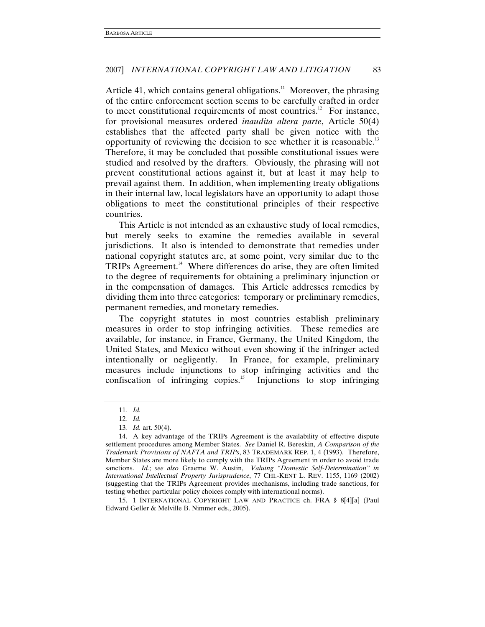Article 41, which contains general obligations.<sup>11</sup> Moreover, the phrasing of the entire enforcement section seems to be carefully crafted in order to meet constitutional requirements of most countries.<sup>12</sup> For instance, for provisional measures ordered *inaudita altera parte*, Article 50(4) establishes that the affected party shall be given notice with the opportunity of reviewing the decision to see whether it is reasonable.<sup>13</sup> Therefore, it may be concluded that possible constitutional issues were studied and resolved by the drafters. Obviously, the phrasing will not prevent constitutional actions against it, but at least it may help to prevail against them. In addition, when implementing treaty obligations in their internal law, local legislators have an opportunity to adapt those obligations to meet the constitutional principles of their respective countries.

This Article is not intended as an exhaustive study of local remedies, but merely seeks to examine the remedies available in several jurisdictions. It also is intended to demonstrate that remedies under national copyright statutes are, at some point, very similar due to the TRIPs Agreement.<sup>14</sup> Where differences do arise, they are often limited to the degree of requirements for obtaining a preliminary injunction or in the compensation of damages. This Article addresses remedies by dividing them into three categories: temporary or preliminary remedies, permanent remedies, and monetary remedies.

The copyright statutes in most countries establish preliminary measures in order to stop infringing activities. These remedies are available, for instance, in France, Germany, the United Kingdom, the United States, and Mexico without even showing if the infringer acted intentionally or negligently. In France, for example, preliminary measures include injunctions to stop infringing activities and the confiscation of infringing copies.<sup>15</sup> Injunctions to stop infringing

 15. 1 INTERNATIONAL COPYRIGHT LAW AND PRACTICE ch. FRA § 8[4][a] (Paul Edward Geller & Melville B. Nimmer eds., 2005).

<sup>11</sup>*. Id.*

<sup>12</sup>*. Id.*

<sup>13</sup>*. Id.* art. 50(4).

 <sup>14.</sup> A key advantage of the TRIPs Agreement is the availability of effective dispute settlement procedures among Member States. *See* Daniel R. Bereskin, *A Comparison of the Trademark Provisions of NAFTA and TRIPs*, 83 TRADEMARK REP. 1, 4 (1993). Therefore, Member States are more likely to comply with the TRIPs Agreement in order to avoid trade sanctions. *Id.*; *see also* Graeme W. Austin, *Valuing "Domestic Self-Determination" in International Intellectual Property Jurisprudence*, 77 CHI.-KENT L. REV. 1155, 1169 (2002) (suggesting that the TRIPs Agreement provides mechanisms, including trade sanctions, for testing whether particular policy choices comply with international norms).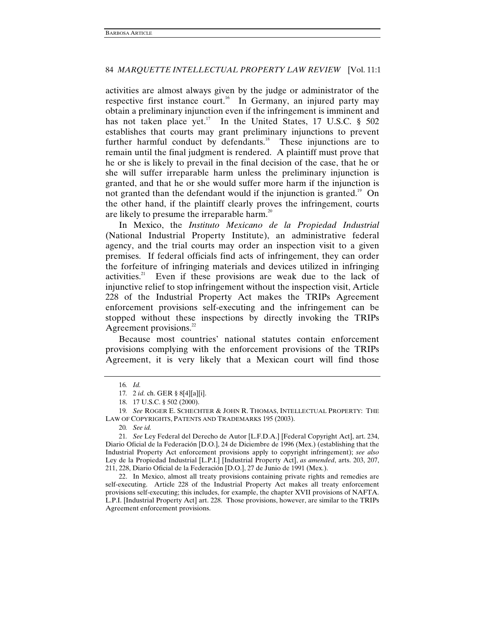activities are almost always given by the judge or administrator of the respective first instance court.<sup>16</sup> In Germany, an injured party may obtain a preliminary injunction even if the infringement is imminent and has not taken place yet.<sup>17</sup> In the United States, 17 U.S.C.  $\S$  502 establishes that courts may grant preliminary injunctions to prevent further harmful conduct by defendants.<sup>18</sup> These injunctions are to remain until the final judgment is rendered. A plaintiff must prove that he or she is likely to prevail in the final decision of the case, that he or she will suffer irreparable harm unless the preliminary injunction is granted, and that he or she would suffer more harm if the injunction is not granted than the defendant would if the injunction is granted.<sup>19</sup> On the other hand, if the plaintiff clearly proves the infringement, courts are likely to presume the irreparable harm.<sup>20</sup>

In Mexico, the *Instituto Mexicano de la Propiedad Industrial* (National Industrial Property Institute), an administrative federal agency, and the trial courts may order an inspection visit to a given premises. If federal officials find acts of infringement, they can order the forfeiture of infringing materials and devices utilized in infringing activities. $21$  Even if these provisions are weak due to the lack of injunctive relief to stop infringement without the inspection visit, Article 228 of the Industrial Property Act makes the TRIPs Agreement enforcement provisions self-executing and the infringement can be stopped without these inspections by directly invoking the TRIPs Agreement provisions. $22$ 

Because most countries' national statutes contain enforcement provisions complying with the enforcement provisions of the TRIPs Agreement, it is very likely that a Mexican court will find those

 22. In Mexico, almost all treaty provisions containing private rights and remedies are self-executing. Article 228 of the Industrial Property Act makes all treaty enforcement provisions self-executing; this includes, for example, the chapter XVII provisions of NAFTA. L.P.I. [Industrial Property Act] art. 228. Those provisions, however, are similar to the TRIPs Agreement enforcement provisions.

<sup>16</sup>*. Id.*

<sup>17</sup>*.* 2 *id.* ch. GER § 8[4][a][i].

 <sup>18. 17</sup> U.S.C. § 502 (2000).

<sup>19</sup>*. See* ROGER E. SCHECHTER & JOHN R. THOMAS, INTELLECTUAL PROPERTY: THE LAW OF COPYRIGHTS, PATENTS AND TRADEMARKS 195 (2003).

<sup>20</sup>*. See id.*

<sup>21</sup>*. See* Ley Federal del Derecho de Autor [L.F.D.A.] [Federal Copyright Act], art. 234, Diario Oficial de la Federación [D.O.], 24 de Diciembre de 1996 (Mex.) (establishing that the Industrial Property Act enforcement provisions apply to copyright infringement); *see also* Ley de la Propiedad Industrial [L.P.I.] [Industrial Property Act], *as amended*, arts. 203, 207, 211, 228, Diario Oficial de la Federación [D.O.], 27 de Junio de 1991 (Mex.).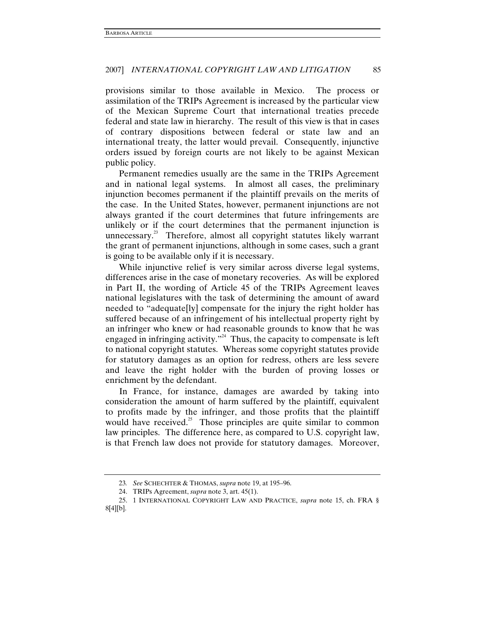provisions similar to those available in Mexico. The process or assimilation of the TRIPs Agreement is increased by the particular view of the Mexican Supreme Court that international treaties precede federal and state law in hierarchy. The result of this view is that in cases of contrary dispositions between federal or state law and an international treaty, the latter would prevail. Consequently, injunctive orders issued by foreign courts are not likely to be against Mexican public policy.

Permanent remedies usually are the same in the TRIPs Agreement and in national legal systems. In almost all cases, the preliminary injunction becomes permanent if the plaintiff prevails on the merits of the case. In the United States, however, permanent injunctions are not always granted if the court determines that future infringements are unlikely or if the court determines that the permanent injunction is unnecessary. $2<sup>3</sup>$  Therefore, almost all copyright statutes likely warrant the grant of permanent injunctions, although in some cases, such a grant is going to be available only if it is necessary.

While injunctive relief is very similar across diverse legal systems, differences arise in the case of monetary recoveries. As will be explored in Part II, the wording of Article 45 of the TRIPs Agreement leaves national legislatures with the task of determining the amount of award needed to "adequate[ly] compensate for the injury the right holder has suffered because of an infringement of his intellectual property right by an infringer who knew or had reasonable grounds to know that he was engaged in infringing activity."<sup>24</sup> Thus, the capacity to compensate is left to national copyright statutes. Whereas some copyright statutes provide for statutory damages as an option for redress, others are less severe and leave the right holder with the burden of proving losses or enrichment by the defendant.

In France, for instance, damages are awarded by taking into consideration the amount of harm suffered by the plaintiff, equivalent to profits made by the infringer, and those profits that the plaintiff would have received.<sup>25</sup> Those principles are quite similar to common law principles. The difference here, as compared to U.S. copyright law, is that French law does not provide for statutory damages. Moreover,

<sup>23</sup>*. See* SCHECHTER & THOMAS, *supra* note 19, at 195–96.

 <sup>24.</sup> TRIPs Agreement, *supra* note 3, art. 45(1).

 <sup>25. 1</sup> INTERNATIONAL COPYRIGHT LAW AND PRACTICE, *supra* note 15, ch. FRA § 8[4][b].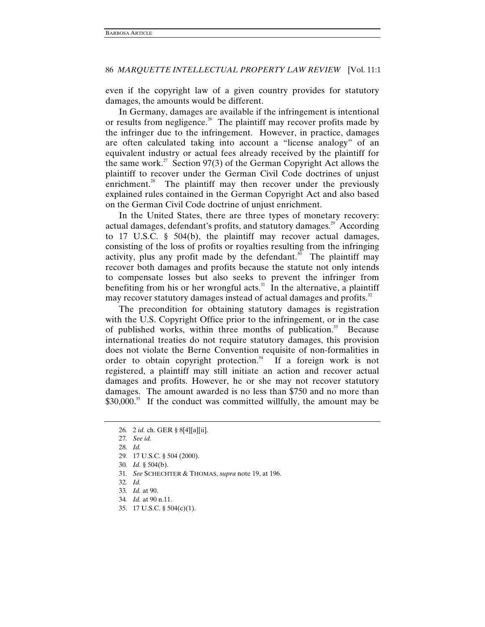even if the copyright law of a given country provides for statutory damages, the amounts would be different.

In Germany, damages are available if the infringement is intentional or results from negligence.<sup>26</sup> The plaintiff may recover profits made by the infringer due to the infringement. However, in practice, damages are often calculated taking into account a "license analogy" of an equivalent industry or actual fees already received by the plaintiff for the same work.<sup>27</sup> Section 97(3) of the German Copyright Act allows the plaintiff to recover under the German Civil Code doctrines of unjust enrichment. $^{28}$  The plaintiff may then recover under the previously explained rules contained in the German Copyright Act and also based on the German Civil Code doctrine of unjust enrichment.

In the United States, there are three types of monetary recovery: actual damages, defendant's profits, and statutory damages.<sup>29</sup> According to 17 U.S.C. § 504(b), the plaintiff may recover actual damages, consisting of the loss of profits or royalties resulting from the infringing activity, plus any profit made by the defendant.<sup>30</sup> The plaintiff may recover both damages and profits because the statute not only intends to compensate losses but also seeks to prevent the infringer from benefiting from his or her wrongful acts. $31$  In the alternative, a plaintiff may recover statutory damages instead of actual damages and profits.<sup>32</sup>

The precondition for obtaining statutory damages is registration with the U.S. Copyright Office prior to the infringement, or in the case of published works, within three months of publication.<sup>33</sup> Because international treaties do not require statutory damages, this provision does not violate the Berne Convention requisite of non-formalities in order to obtain copyright protection.<sup>34</sup> If a foreign work is not registered, a plaintiff may still initiate an action and recover actual damages and profits. However, he or she may not recover statutory damages. The amount awarded is no less than \$750 and no more than \$30,000.<sup>35</sup> If the conduct was committed willfully, the amount may be

<sup>26</sup>*.* 2 *id.* ch. GER § 8[4][a][ii].

<sup>27</sup>*. See id.*

<sup>28</sup>*. Id.*

 <sup>29. 17</sup> U.S.C. § 504 (2000).

<sup>30</sup>*. Id.* § 504(b).

<sup>31</sup>*. See* SCHECHTER & THOMAS, *supra* note 19, at 196.

<sup>32</sup>*. Id.*

<sup>33</sup>*. Id.* at 90.

<sup>34</sup>*. Id.* at 90 n.11.

 <sup>35. 17</sup> U.S.C. § 504(c)(1).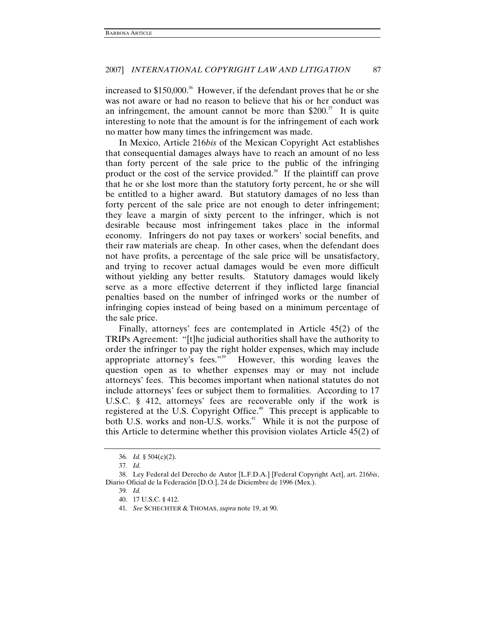increased to  $$150,000$ .<sup>36</sup> However, if the defendant proves that he or she was not aware or had no reason to believe that his or her conduct was an infringement, the amount cannot be more than  $$200<sup>37</sup>$  It is quite interesting to note that the amount is for the infringement of each work no matter how many times the infringement was made.

In Mexico, Article 216*bis* of the Mexican Copyright Act establishes that consequential damages always have to reach an amount of no less than forty percent of the sale price to the public of the infringing product or the cost of the service provided.<sup>38</sup> If the plaintiff can prove that he or she lost more than the statutory forty percent, he or she will be entitled to a higher award. But statutory damages of no less than forty percent of the sale price are not enough to deter infringement; they leave a margin of sixty percent to the infringer, which is not desirable because most infringement takes place in the informal economy. Infringers do not pay taxes or workers' social benefits, and their raw materials are cheap. In other cases, when the defendant does not have profits, a percentage of the sale price will be unsatisfactory, and trying to recover actual damages would be even more difficult without yielding any better results. Statutory damages would likely serve as a more effective deterrent if they inflicted large financial penalties based on the number of infringed works or the number of infringing copies instead of being based on a minimum percentage of the sale price.

Finally, attorneys' fees are contemplated in Article 45(2) of the TRIPs Agreement: "[t]he judicial authorities shall have the authority to order the infringer to pay the right holder expenses, which may include appropriate attorney's fees."<sup>39</sup> However, this wording leaves the question open as to whether expenses may or may not include attorneys' fees. This becomes important when national statutes do not include attorneys' fees or subject them to formalities. According to 17 U.S.C. § 412, attorneys' fees are recoverable only if the work is registered at the U.S. Copyright Office.<sup>40</sup> This precept is applicable to both U.S. works and non-U.S. works.<sup>41</sup> While it is not the purpose of this Article to determine whether this provision violates Article 45(2) of

<sup>36</sup>*. Id.* § 504(c)(2).

<sup>37</sup>*. Id.*

 <sup>38.</sup> Ley Federal del Derecho de Autor [L.F.D.A.] [Federal Copyright Act], art. 216*bis*, Diario Oficial de la Federación [D.O.], 24 de Diciembre de 1996 (Mex.).

<sup>39</sup>*. Id.*

 <sup>40. 17</sup> U.S.C. § 412.

<sup>41</sup>*. See* SCHECHTER & THOMAS, *supra* note 19, at 90.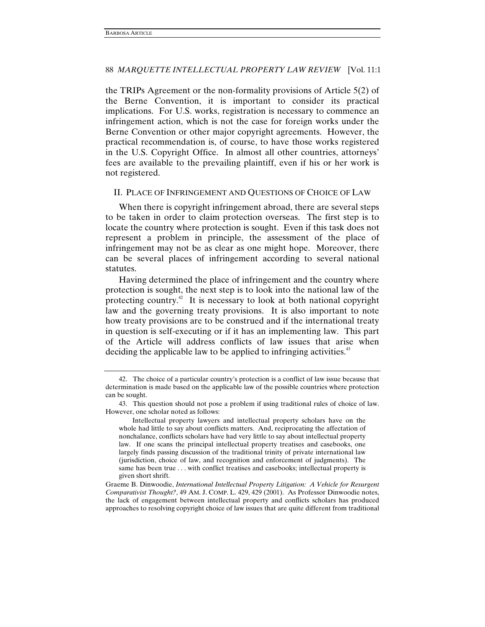the TRIPs Agreement or the non-formality provisions of Article 5(2) of the Berne Convention, it is important to consider its practical implications. For U.S. works, registration is necessary to commence an infringement action, which is not the case for foreign works under the Berne Convention or other major copyright agreements. However, the practical recommendation is, of course, to have those works registered in the U.S. Copyright Office. In almost all other countries, attorneys' fees are available to the prevailing plaintiff, even if his or her work is not registered.

### II. PLACE OF INFRINGEMENT AND QUESTIONS OF CHOICE OF LAW

When there is copyright infringement abroad, there are several steps to be taken in order to claim protection overseas. The first step is to locate the country where protection is sought. Even if this task does not represent a problem in principle, the assessment of the place of infringement may not be as clear as one might hope. Moreover, there can be several places of infringement according to several national statutes.

Having determined the place of infringement and the country where protection is sought, the next step is to look into the national law of the protecting country.<sup>42</sup> It is necessary to look at both national copyright law and the governing treaty provisions. It is also important to note how treaty provisions are to be construed and if the international treaty in question is self-executing or if it has an implementing law. This part of the Article will address conflicts of law issues that arise when deciding the applicable law to be applied to infringing activities.<sup>43</sup>

 <sup>42.</sup> The choice of a particular country's protection is a conflict of law issue because that determination is made based on the applicable law of the possible countries where protection can be sought.

 <sup>43.</sup> This question should not pose a problem if using traditional rules of choice of law. However, one scholar noted as follows:

Intellectual property lawyers and intellectual property scholars have on the whole had little to say about conflicts matters. And, reciprocating the affectation of nonchalance, conflicts scholars have had very little to say about intellectual property law. If one scans the principal intellectual property treatises and casebooks, one largely finds passing discussion of the traditional trinity of private international law (jurisdiction, choice of law, and recognition and enforcement of judgments). The same has been true . . . with conflict treatises and casebooks; intellectual property is given short shrift.

Graeme B. Dinwoodie, *International Intellectual Property Litigation: A Vehicle for Resurgent Comparativist Thought?*, 49 AM. J. COMP. L. 429, 429 (2001). As Professor Dinwoodie notes, the lack of engagement between intellectual property and conflicts scholars has produced approaches to resolving copyright choice of law issues that are quite different from traditional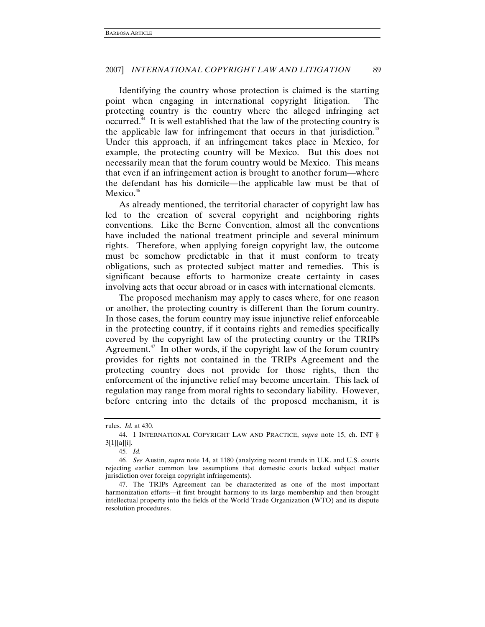Identifying the country whose protection is claimed is the starting point when engaging in international copyright litigation. The protecting country is the country where the alleged infringing act occurred.44 It is well established that the law of the protecting country is the applicable law for infringement that occurs in that jurisdiction.<sup>45</sup> Under this approach, if an infringement takes place in Mexico, for example, the protecting country will be Mexico. But this does not necessarily mean that the forum country would be Mexico. This means that even if an infringement action is brought to another forum—where the defendant has his domicile—the applicable law must be that of Mexico.<sup>46</sup>

As already mentioned, the territorial character of copyright law has led to the creation of several copyright and neighboring rights conventions. Like the Berne Convention, almost all the conventions have included the national treatment principle and several minimum rights. Therefore, when applying foreign copyright law, the outcome must be somehow predictable in that it must conform to treaty obligations, such as protected subject matter and remedies. This is significant because efforts to harmonize create certainty in cases involving acts that occur abroad or in cases with international elements.

The proposed mechanism may apply to cases where, for one reason or another, the protecting country is different than the forum country. In those cases, the forum country may issue injunctive relief enforceable in the protecting country, if it contains rights and remedies specifically covered by the copyright law of the protecting country or the TRIPs Agreement.<sup>47</sup> In other words, if the copyright law of the forum country provides for rights not contained in the TRIPs Agreement and the protecting country does not provide for those rights, then the enforcement of the injunctive relief may become uncertain. This lack of regulation may range from moral rights to secondary liability. However, before entering into the details of the proposed mechanism, it is

rules. *Id.* at 430.

 <sup>44. 1</sup> INTERNATIONAL COPYRIGHT LAW AND PRACTICE, *supra* note 15, ch. INT § 3[1][a][i].

<sup>45</sup>*. Id.*

<sup>46</sup>*. See* Austin, *supra* note 14, at 1180 (analyzing recent trends in U.K. and U.S. courts rejecting earlier common law assumptions that domestic courts lacked subject matter jurisdiction over foreign copyright infringements).

 <sup>47.</sup> The TRIPs Agreement can be characterized as one of the most important harmonization efforts—it first brought harmony to its large membership and then brought intellectual property into the fields of the World Trade Organization (WTO) and its dispute resolution procedures.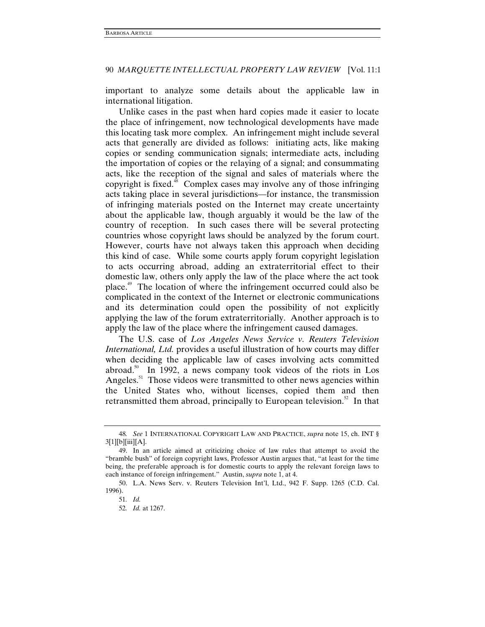important to analyze some details about the applicable law in international litigation.

Unlike cases in the past when hard copies made it easier to locate the place of infringement, now technological developments have made this locating task more complex. An infringement might include several acts that generally are divided as follows: initiating acts, like making copies or sending communication signals; intermediate acts, including the importation of copies or the relaying of a signal; and consummating acts, like the reception of the signal and sales of materials where the copyright is fixed.<sup>48</sup> Complex cases may involve any of those infringing acts taking place in several jurisdictions—for instance, the transmission of infringing materials posted on the Internet may create uncertainty about the applicable law, though arguably it would be the law of the country of reception. In such cases there will be several protecting countries whose copyright laws should be analyzed by the forum court. However, courts have not always taken this approach when deciding this kind of case. While some courts apply forum copyright legislation to acts occurring abroad, adding an extraterritorial effect to their domestic law, others only apply the law of the place where the act took place.49 The location of where the infringement occurred could also be complicated in the context of the Internet or electronic communications and its determination could open the possibility of not explicitly applying the law of the forum extraterritorially. Another approach is to apply the law of the place where the infringement caused damages.

The U.S. case of *Los Angeles News Service v. Reuters Television International, Ltd.* provides a useful illustration of how courts may differ when deciding the applicable law of cases involving acts committed abroad.<sup>50</sup> In 1992, a news company took videos of the riots in Los Angeles.<sup>51</sup> Those videos were transmitted to other news agencies within the United States who, without licenses, copied them and then retransmitted them abroad, principally to European television.<sup>52</sup> In that

<sup>48</sup>*. See* 1 INTERNATIONAL COPYRIGHT LAW AND PRACTICE, *supra* note 15, ch. INT §  $3[1][b][iii][A].$ 

 <sup>49.</sup> In an article aimed at criticizing choice of law rules that attempt to avoid the "bramble bush" of foreign copyright laws, Professor Austin argues that, "at least for the time being, the preferable approach is for domestic courts to apply the relevant foreign laws to each instance of foreign infringement." Austin, *supra* note 1, at 4.

 <sup>50.</sup> L.A. News Serv. v. Reuters Television Int'l, Ltd., 942 F. Supp. 1265 (C.D. Cal. 1996).

<sup>51</sup>*. Id.*

<sup>52</sup>*. Id.* at 1267.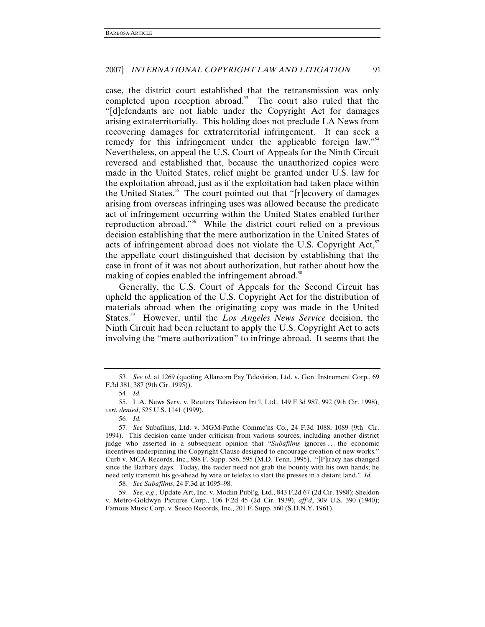case, the district court established that the retransmission was only completed upon reception abroad.<sup>53</sup> The court also ruled that the "[d]efendants are not liable under the Copyright Act for damages arising extraterritorially. This holding does not preclude LA News from recovering damages for extraterritorial infringement. It can seek a remedy for this infringement under the applicable foreign law."<sup>54</sup> Nevertheless, on appeal the U.S. Court of Appeals for the Ninth Circuit reversed and established that, because the unauthorized copies were made in the United States, relief might be granted under U.S. law for the exploitation abroad, just as if the exploitation had taken place within the United States.<sup>55</sup> The court pointed out that "[r]ecovery of damages arising from overseas infringing uses was allowed because the predicate act of infringement occurring within the United States enabled further reproduction abroad."56 While the district court relied on a previous decision establishing that the mere authorization in the United States of acts of infringement abroad does not violate the U.S. Copyright  $Act<sub>5</sub><sup>57</sup>$ the appellate court distinguished that decision by establishing that the case in front of it was not about authorization, but rather about how the making of copies enabled the infringement abroad.<sup>38</sup>

Generally, the U.S. Court of Appeals for the Second Circuit has upheld the application of the U.S. Copyright Act for the distribution of materials abroad when the originating copy was made in the United States.59 However, until the *Los Angeles News Service* decision, the Ninth Circuit had been reluctant to apply the U.S. Copyright Act to acts involving the "mere authorization" to infringe abroad. It seems that the

<sup>53</sup>*. See id.* at 1269 (quoting Allarcom Pay Television, Ltd. v. Gen. Instrument Corp., 69 F.3d 381, 387 (9th Cir. 1995)).

<sup>54</sup>*. Id.*

 <sup>55.</sup> L.A. News Serv. v. Reuters Television Int'l, Ltd., 149 F.3d 987, 992 (9th Cir. 1998), *cert. denied*, 525 U.S. 1141 (1999).

<sup>56</sup>*. Id.*

<sup>57</sup>*. See* Subafilms, Ltd. v. MGM-Pathe Commc'ns Co., 24 F.3d 1088, 1089 (9th Cir. 1994). This decision came under criticism from various sources, including another district judge who asserted in a subsequent opinion that "*Subafilms* ignores . . . the economic incentives underpinning the Copyright Clause designed to encourage creation of new works." Curb v. MCA Records, Inc., 898 F. Supp. 586, 595 (M.D. Tenn. 1995). "[P]iracy has changed since the Barbary days. Today, the raider need not grab the bounty with his own hands; he need only transmit his go-ahead by wire or telefax to start the presses in a distant land." *Id.*

<sup>58</sup>*. See Subafilms*, 24 F.3d at 1095–98.

<sup>59</sup>*. See, e.g*., Update Art, Inc. v. Modiin Publ'g, Ltd., 843 F.2d 67 (2d Cir. 1988); Sheldon v. Metro-Goldwyn Pictures Corp., 106 F.2d 45 (2d Cir. 1939), *aff'd*, 309 U.S. 390 (1940); Famous Music Corp. v. Seeco Records, Inc., 201 F. Supp. 560 (S.D.N.Y. 1961).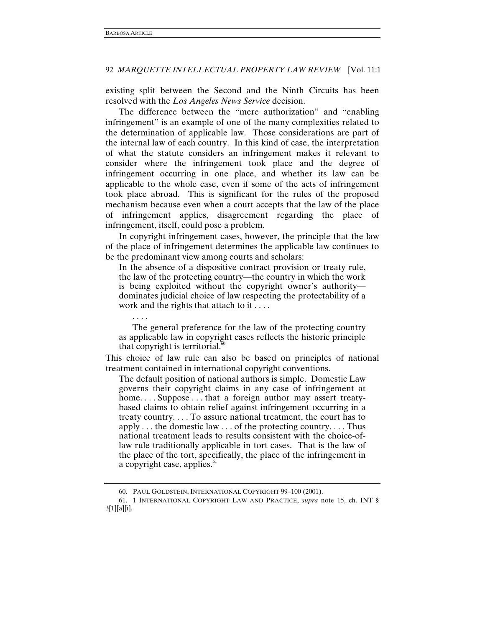existing split between the Second and the Ninth Circuits has been resolved with the *Los Angeles News Service* decision.

The difference between the "mere authorization" and "enabling infringement" is an example of one of the many complexities related to the determination of applicable law. Those considerations are part of the internal law of each country. In this kind of case, the interpretation of what the statute considers an infringement makes it relevant to consider where the infringement took place and the degree of infringement occurring in one place, and whether its law can be applicable to the whole case, even if some of the acts of infringement took place abroad. This is significant for the rules of the proposed mechanism because even when a court accepts that the law of the place of infringement applies, disagreement regarding the place of infringement, itself, could pose a problem.

In copyright infringement cases, however, the principle that the law of the place of infringement determines the applicable law continues to be the predominant view among courts and scholars:

In the absence of a dispositive contract provision or treaty rule, the law of the protecting country—the country in which the work is being exploited without the copyright owner's authority dominates judicial choice of law respecting the protectability of a work and the rights that attach to it . . . .

. . . .

 The general preference for the law of the protecting country as applicable law in copyright cases reflects the historic principle that copyright is territorial. $60$ 

This choice of law rule can also be based on principles of national treatment contained in international copyright conventions.

The default position of national authors is simple. Domestic Law governs their copyright claims in any case of infringement at home.... Suppose ... that a foreign author may assert treatybased claims to obtain relief against infringement occurring in a treaty country. . . . To assure national treatment, the court has to apply . . . the domestic law . . . of the protecting country. . . . Thus national treatment leads to results consistent with the choice-oflaw rule traditionally applicable in tort cases. That is the law of the place of the tort, specifically, the place of the infringement in a copyright case, applies.<sup>61</sup>

 <sup>60.</sup> PAUL GOLDSTEIN, INTERNATIONAL COPYRIGHT 99–100 (2001).

 <sup>61. 1</sup> INTERNATIONAL COPYRIGHT LAW AND PRACTICE, *supra* note 15, ch. INT § 3[1][a][i].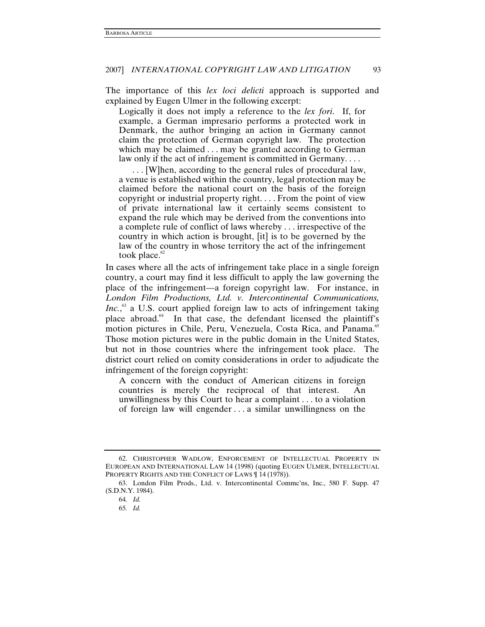The importance of this *lex loci delicti* approach is supported and explained by Eugen Ulmer in the following excerpt:

Logically it does not imply a reference to the *lex fori*. If, for example, a German impresario performs a protected work in Denmark, the author bringing an action in Germany cannot claim the protection of German copyright law. The protection which may be claimed . . . may be granted according to German law only if the act of infringement is committed in Germany....

 . . . [W]hen, according to the general rules of procedural law, a venue is established within the country, legal protection may be claimed before the national court on the basis of the foreign copyright or industrial property right. . . . From the point of view of private international law it certainly seems consistent to expand the rule which may be derived from the conventions into a complete rule of conflict of laws whereby . . . irrespective of the country in which action is brought, [it] is to be governed by the law of the country in whose territory the act of the infringement took place. $^{\circ\circ}$ 

In cases where all the acts of infringement take place in a single foreign country, a court may find it less difficult to apply the law governing the place of the infringement—a foreign copyright law. For instance, in *London Film Productions, Ltd. v. Intercontinental Communications, Inc.*,<sup>63</sup> a U.S. court applied foreign law to acts of infringement taking place abroad.<sup>64</sup> In that case, the defendant licensed the plaintiff's motion pictures in Chile, Peru, Venezuela, Costa Rica, and Panama.<sup>65</sup> Those motion pictures were in the public domain in the United States, but not in those countries where the infringement took place. The district court relied on comity considerations in order to adjudicate the infringement of the foreign copyright:

A concern with the conduct of American citizens in foreign countries is merely the reciprocal of that interest. An unwillingness by this Court to hear a complaint . . . to a violation of foreign law will engender . . . a similar unwillingness on the

 <sup>62.</sup> CHRISTOPHER WADLOW, ENFORCEMENT OF INTELLECTUAL PROPERTY IN EUROPEAN AND INTERNATIONAL LAW 14 (1998) (quoting EUGEN ULMER, INTELLECTUAL PROPERTY RIGHTS AND THE CONFLICT OF LAWS [14(1978)).

 <sup>63.</sup> London Film Prods., Ltd. v. Intercontinental Commc'ns, Inc., 580 F. Supp. 47 (S.D.N.Y. 1984).

<sup>64</sup>*. Id.*

<sup>65</sup>*. Id.*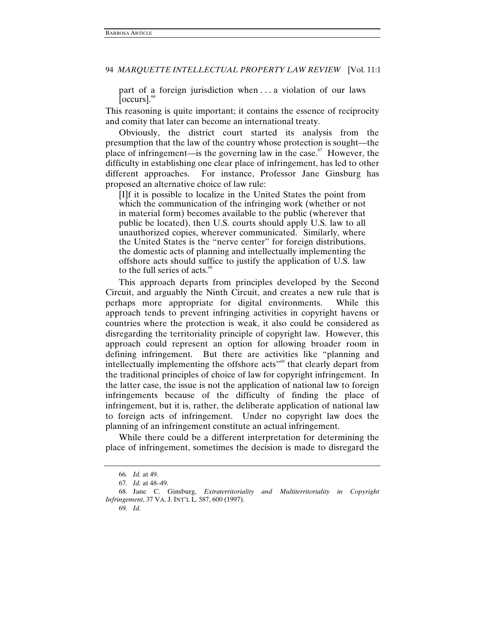part of a foreign jurisdiction when . . . a violation of our laws  $[occurs]<sub>66</sub>$ 

This reasoning is quite important; it contains the essence of reciprocity and comity that later can become an international treaty.

Obviously, the district court started its analysis from the presumption that the law of the country whose protection is sought—the place of infringement—is the governing law in the case.<sup> $67$ </sup> However, the difficulty in establishing one clear place of infringement, has led to other different approaches. For instance, Professor Jane Ginsburg has proposed an alternative choice of law rule:

[I]f it is possible to localize in the United States the point from which the communication of the infringing work (whether or not in material form) becomes available to the public (wherever that public be located), then U.S. courts should apply U.S. law to all unauthorized copies, wherever communicated. Similarly, where the United States is the "nerve center" for foreign distributions, the domestic acts of planning and intellectually implementing the offshore acts should suffice to justify the application of U.S. law to the full series of acts.<sup>68</sup>

This approach departs from principles developed by the Second Circuit, and arguably the Ninth Circuit, and creates a new rule that is perhaps more appropriate for digital environments. While this approach tends to prevent infringing activities in copyright havens or countries where the protection is weak, it also could be considered as disregarding the territoriality principle of copyright law. However, this approach could represent an option for allowing broader room in defining infringement. But there are activities like "planning and intellectually implementing the offshore acts<sup>"69</sup> that clearly depart from the traditional principles of choice of law for copyright infringement. In the latter case, the issue is not the application of national law to foreign infringements because of the difficulty of finding the place of infringement, but it is, rather, the deliberate application of national law to foreign acts of infringement. Under no copyright law does the planning of an infringement constitute an actual infringement.

While there could be a different interpretation for determining the place of infringement, sometimes the decision is made to disregard the

<sup>66</sup>*. Id.* at 49.

<sup>67</sup>*. Id.* at 48–49.

 <sup>68.</sup> Jane C. Ginsburg, *Extraterritoriality and Multiterritoriality in Copyright Infringement*, 37 VA. J. INT'L L. 587, 600 (1997).

<sup>69</sup>*. Id.*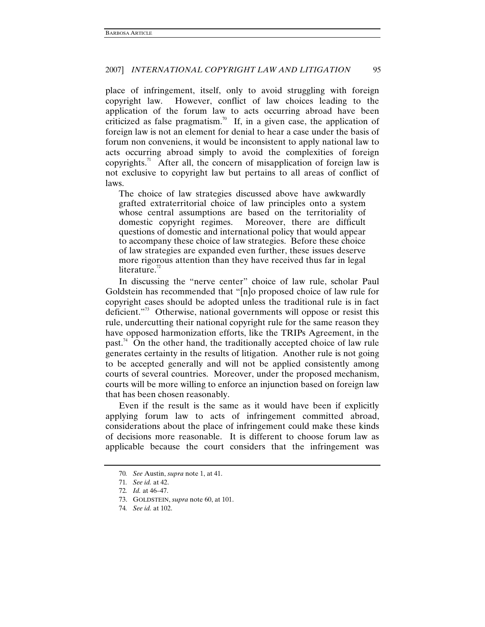place of infringement, itself, only to avoid struggling with foreign copyright law. However, conflict of law choices leading to the application of the forum law to acts occurring abroad have been criticized as false pragmatism.<sup>70</sup> If, in a given case, the application of foreign law is not an element for denial to hear a case under the basis of forum non conveniens, it would be inconsistent to apply national law to acts occurring abroad simply to avoid the complexities of foreign copyrights.<sup>71</sup> After all, the concern of misapplication of foreign law is not exclusive to copyright law but pertains to all areas of conflict of laws.

The choice of law strategies discussed above have awkwardly grafted extraterritorial choice of law principles onto a system whose central assumptions are based on the territoriality of domestic copyright regimes. Moreover, there are difficult questions of domestic and international policy that would appear to accompany these choice of law strategies. Before these choice of law strategies are expanded even further, these issues deserve more rigorous attention than they have received thus far in legal literature. $^{72}$ 

In discussing the "nerve center" choice of law rule, scholar Paul Goldstein has recommended that "[n]o proposed choice of law rule for copyright cases should be adopted unless the traditional rule is in fact deficient."73 Otherwise, national governments will oppose or resist this rule, undercutting their national copyright rule for the same reason they have opposed harmonization efforts, like the TRIPs Agreement, in the past.<sup>74</sup> On the other hand, the traditionally accepted choice of law rule generates certainty in the results of litigation. Another rule is not going to be accepted generally and will not be applied consistently among courts of several countries. Moreover, under the proposed mechanism, courts will be more willing to enforce an injunction based on foreign law that has been chosen reasonably.

Even if the result is the same as it would have been if explicitly applying forum law to acts of infringement committed abroad, considerations about the place of infringement could make these kinds of decisions more reasonable. It is different to choose forum law as applicable because the court considers that the infringement was

<sup>70</sup>*. See* Austin, *supra* note 1, at 41.

<sup>71</sup>*. See id.* at 42.

<sup>72</sup>*. Id.* at 46–47.

 <sup>73.</sup> GOLDSTEIN, *supra* note 60, at 101.

<sup>74</sup>*. See id.* at 102.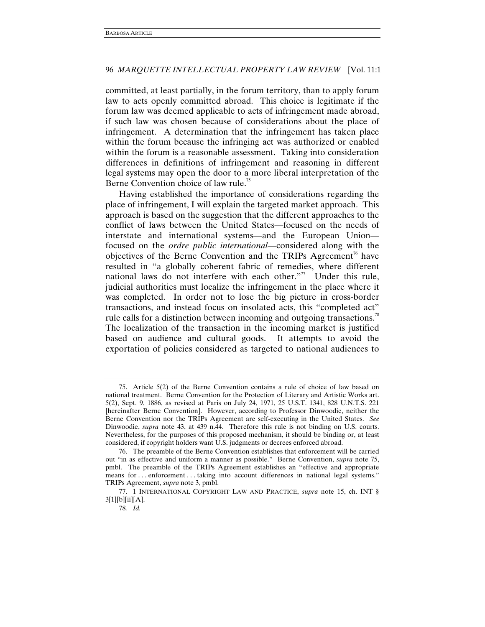committed, at least partially, in the forum territory, than to apply forum law to acts openly committed abroad. This choice is legitimate if the forum law was deemed applicable to acts of infringement made abroad, if such law was chosen because of considerations about the place of infringement. A determination that the infringement has taken place within the forum because the infringing act was authorized or enabled within the forum is a reasonable assessment. Taking into consideration differences in definitions of infringement and reasoning in different legal systems may open the door to a more liberal interpretation of the Berne Convention choice of law rule.<sup>75</sup>

Having established the importance of considerations regarding the place of infringement, I will explain the targeted market approach. This approach is based on the suggestion that the different approaches to the conflict of laws between the United States—focused on the needs of interstate and international systems—and the European Union focused on the *ordre public international*—considered along with the objectives of the Berne Convention and the TRIPs Agreement<sup> $\pi$ </sup> have resulted in "a globally coherent fabric of remedies, where different national laws do not interfere with each other."<sup>77</sup> Under this rule, judicial authorities must localize the infringement in the place where it was completed. In order not to lose the big picture in cross-border transactions, and instead focus on insolated acts, this "completed act" rule calls for a distinction between incoming and outgoing transactions.<sup>78</sup> The localization of the transaction in the incoming market is justified based on audience and cultural goods. It attempts to avoid the exportation of policies considered as targeted to national audiences to

 <sup>75.</sup> Article 5(2) of the Berne Convention contains a rule of choice of law based on national treatment. Berne Convention for the Protection of Literary and Artistic Works art. 5(2), Sept. 9, 1886, as revised at Paris on July 24, 1971, 25 U.S.T. 1341, 828 U.N.T.S. 221 [hereinafter Berne Convention]. However, according to Professor Dinwoodie, neither the Berne Convention nor the TRIPs Agreement are self-executing in the United States. *See* Dinwoodie, *supra* note 43, at 439 n.44. Therefore this rule is not binding on U.S. courts. Nevertheless, for the purposes of this proposed mechanism, it should be binding or, at least considered, if copyright holders want U.S. judgments or decrees enforced abroad.

 <sup>76.</sup> The preamble of the Berne Convention establishes that enforcement will be carried out "in as effective and uniform a manner as possible." Berne Convention, *supra* note 75, pmbl. The preamble of the TRIPs Agreement establishes an "effective and appropriate means for ... enforcement ... taking into account differences in national legal systems." TRIPs Agreement, *supra* note 3, pmbl.

 <sup>77. 1</sup> INTERNATIONAL COPYRIGHT LAW AND PRACTICE, *supra* note 15, ch. INT § 3[1][b][ii][A].

<sup>78</sup>*. Id.*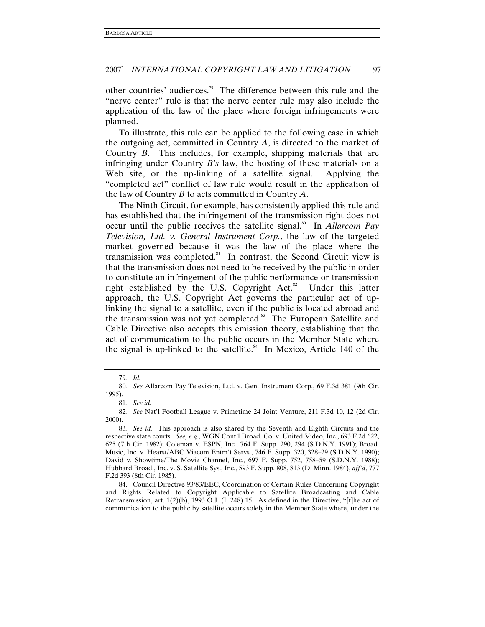other countries' audiences.79 The difference between this rule and the "nerve center" rule is that the nerve center rule may also include the application of the law of the place where foreign infringements were planned.

To illustrate, this rule can be applied to the following case in which the outgoing act, committed in Country *A*, is directed to the market of Country *B*. This includes, for example, shipping materials that are infringing under Country *B's* law, the hosting of these materials on a Web site, or the up-linking of a satellite signal. Applying the "completed act" conflict of law rule would result in the application of the law of Country *B* to acts committed in Country *A*.

The Ninth Circuit, for example, has consistently applied this rule and has established that the infringement of the transmission right does not occur until the public receives the satellite signal.<sup>80</sup> In *Allarcom Pay Television, Ltd. v. General Instrument Corp.*, the law of the targeted market governed because it was the law of the place where the transmission was completed. $81$  In contrast, the Second Circuit view is that the transmission does not need to be received by the public in order to constitute an infringement of the public performance or transmission right established by the U.S. Copyright Act. $82$  Under this latter approach, the U.S. Copyright Act governs the particular act of uplinking the signal to a satellite, even if the public is located abroad and the transmission was not yet completed.<sup>83</sup> The European Satellite and Cable Directive also accepts this emission theory, establishing that the act of communication to the public occurs in the Member State where the signal is up-linked to the satellite.<sup>84</sup> In Mexico, Article 140 of the

<sup>79</sup>*. Id.*

<sup>80</sup>*. See* Allarcom Pay Television, Ltd. v. Gen. Instrument Corp., 69 F.3d 381 (9th Cir. 1995).

<sup>81</sup>*. See id.*

<sup>82</sup>*. See* Nat'l Football League v. Primetime 24 Joint Venture, 211 F.3d 10, 12 (2d Cir. 2000).

<sup>83</sup>*. See id.* This approach is also shared by the Seventh and Eighth Circuits and the respective state courts. *See, e.g.*, WGN Cont'l Broad. Co. v. United Video, Inc., 693 F.2d 622, 625 (7th Cir. 1982); Coleman v. ESPN, Inc., 764 F. Supp. 290, 294 (S.D.N.Y. 1991); Broad. Music, Inc. v. Hearst/ABC Viacom Entm't Servs., 746 F. Supp. 320, 328–29 (S.D.N.Y. 1990); David v. Showtime/The Movie Channel, Inc., 697 F. Supp. 752, 758–59 (S.D.N.Y. 1988); Hubbard Broad., Inc. v. S. Satellite Sys., Inc., 593 F. Supp. 808, 813 (D. Minn. 1984), *aff'd*, 777 F.2d 393 (8th Cir. 1985).

 <sup>84.</sup> Council Directive 93/83/EEC, Coordination of Certain Rules Concerning Copyright and Rights Related to Copyright Applicable to Satellite Broadcasting and Cable Retransmission, art. 1(2)(b), 1993 O.J. (L 248) 15. As defined in the Directive, "[t]he act of communication to the public by satellite occurs solely in the Member State where, under the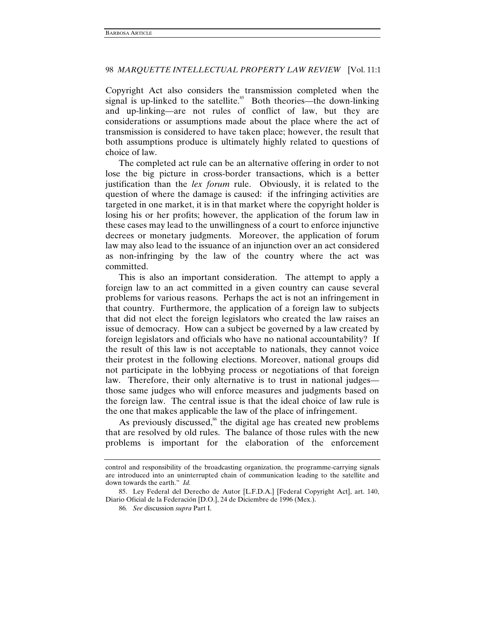Copyright Act also considers the transmission completed when the signal is up-linked to the satellite.<sup>85</sup> Both theories—the down-linking and up-linking—are not rules of conflict of law, but they are considerations or assumptions made about the place where the act of transmission is considered to have taken place; however, the result that both assumptions produce is ultimately highly related to questions of choice of law.

The completed act rule can be an alternative offering in order to not lose the big picture in cross-border transactions, which is a better justification than the *lex forum* rule. Obviously, it is related to the question of where the damage is caused: if the infringing activities are targeted in one market, it is in that market where the copyright holder is losing his or her profits; however, the application of the forum law in these cases may lead to the unwillingness of a court to enforce injunctive decrees or monetary judgments. Moreover, the application of forum law may also lead to the issuance of an injunction over an act considered as non-infringing by the law of the country where the act was committed.

This is also an important consideration. The attempt to apply a foreign law to an act committed in a given country can cause several problems for various reasons. Perhaps the act is not an infringement in that country. Furthermore, the application of a foreign law to subjects that did not elect the foreign legislators who created the law raises an issue of democracy. How can a subject be governed by a law created by foreign legislators and officials who have no national accountability? If the result of this law is not acceptable to nationals, they cannot voice their protest in the following elections. Moreover, national groups did not participate in the lobbying process or negotiations of that foreign law. Therefore, their only alternative is to trust in national judges those same judges who will enforce measures and judgments based on the foreign law. The central issue is that the ideal choice of law rule is the one that makes applicable the law of the place of infringement.

As previously discussed, $86$  the digital age has created new problems that are resolved by old rules. The balance of those rules with the new problems is important for the elaboration of the enforcement

control and responsibility of the broadcasting organization, the programme-carrying signals are introduced into an uninterrupted chain of communication leading to the satellite and down towards the earth." *Id.* 

 <sup>85.</sup> Ley Federal del Derecho de Autor [L.F.D.A.] [Federal Copyright Act], art. 140, Diario Oficial de la Federación [D.O.], 24 de Diciembre de 1996 (Mex.).

<sup>86</sup>*. See* discussion *supra* Part I.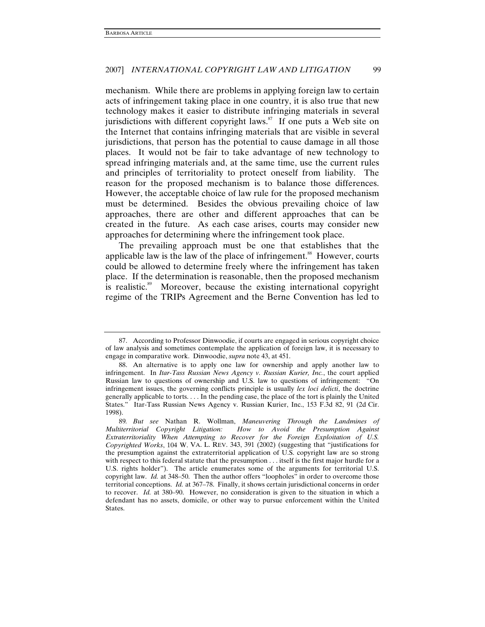mechanism. While there are problems in applying foreign law to certain acts of infringement taking place in one country, it is also true that new technology makes it easier to distribute infringing materials in several jurisdictions with different copyright laws. $\delta$ <sup>7</sup> If one puts a Web site on the Internet that contains infringing materials that are visible in several jurisdictions, that person has the potential to cause damage in all those places. It would not be fair to take advantage of new technology to spread infringing materials and, at the same time, use the current rules and principles of territoriality to protect oneself from liability. The reason for the proposed mechanism is to balance those differences. However, the acceptable choice of law rule for the proposed mechanism must be determined. Besides the obvious prevailing choice of law approaches, there are other and different approaches that can be created in the future. As each case arises, courts may consider new approaches for determining where the infringement took place.

The prevailing approach must be one that establishes that the applicable law is the law of the place of infringement.<sup>88</sup> However, courts could be allowed to determine freely where the infringement has taken place. If the determination is reasonable, then the proposed mechanism is realistic.<sup>89</sup> Moreover, because the existing international copyright regime of the TRIPs Agreement and the Berne Convention has led to

 <sup>87.</sup> According to Professor Dinwoodie, if courts are engaged in serious copyright choice of law analysis and sometimes contemplate the application of foreign law, it is necessary to engage in comparative work. Dinwoodie, *supra* note 43, at 451.

 <sup>88.</sup> An alternative is to apply one law for ownership and apply another law to infringement. In *Itar-Tass Russian News Agency v. Russian Kurier, Inc.*, the court applied Russian law to questions of ownership and U.S. law to questions of infringement: "On infringement issues, the governing conflicts principle is usually *lex loci delicti*, the doctrine generally applicable to torts. . . . In the pending case, the place of the tort is plainly the United States." Itar-Tass Russian News Agency v. Russian Kurier, Inc., 153 F.3d 82, 91 (2d Cir. 1998).

<sup>89</sup>*. But see* Nathan R. Wollman, *Maneuvering Through the Landmines of Multiterritorial Copyright Litigation: How to Avoid the Presumption Against Extraterritoriality When Attempting to Recover for the Foreign Exploitation of U.S. Copyrighted Works*, 104 W. VA. L. REV. 343, 391 (2002) (suggesting that "justifications for the presumption against the extraterritorial application of U.S. copyright law are so strong with respect to this federal statute that the presumption . . . itself is the first major hurdle for a U.S. rights holder"). The article enumerates some of the arguments for territorial U.S. copyright law. *Id.* at 348–50. Then the author offers "loopholes" in order to overcome those territorial conceptions. *Id.* at 367–78. Finally, it shows certain jurisdictional concerns in order to recover. *Id.* at 380–90. However, no consideration is given to the situation in which a defendant has no assets, domicile, or other way to pursue enforcement within the United States.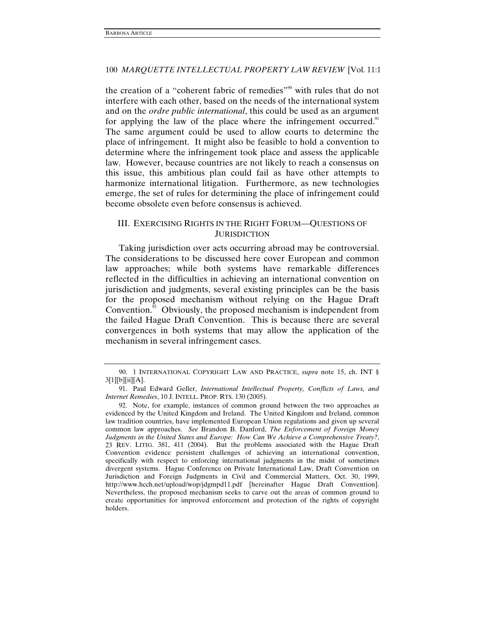the creation of a "coherent fabric of remedies"<sup>90</sup> with rules that do not interfere with each other, based on the needs of the international system and on the *ordre public international*, this could be used as an argument for applying the law of the place where the infringement occurred. $91$ The same argument could be used to allow courts to determine the place of infringement. It might also be feasible to hold a convention to determine where the infringement took place and assess the applicable law. However, because countries are not likely to reach a consensus on this issue, this ambitious plan could fail as have other attempts to harmonize international litigation. Furthermore, as new technologies emerge, the set of rules for determining the place of infringement could become obsolete even before consensus is achieved.

# III. EXERCISING RIGHTS IN THE RIGHT FORUM—QUESTIONS OF **JURISDICTION**

Taking jurisdiction over acts occurring abroad may be controversial. The considerations to be discussed here cover European and common law approaches; while both systems have remarkable differences reflected in the difficulties in achieving an international convention on jurisdiction and judgments, several existing principles can be the basis for the proposed mechanism without relying on the Hague Draft Convention. $92$  Obviously, the proposed mechanism is independent from the failed Hague Draft Convention. This is because there are several convergences in both systems that may allow the application of the mechanism in several infringement cases.

 <sup>90. 1</sup> INTERNATIONAL COPYRIGHT LAW AND PRACTICE, *supra* note 15, ch. INT §  $3[1][b][ii][A].$ 

 <sup>91.</sup> Paul Edward Geller, *International Intellectual Property, Conflicts of Laws, and Internet Remedies*, 10 J. INTELL. PROP. RTS. 130 (2005).

 <sup>92.</sup> Note, for example, instances of common ground between the two approaches as evidenced by the United Kingdom and Ireland. The United Kingdom and Ireland, common law tradition countries, have implemented European Union regulations and given up several common law approaches. *See* Brandon B. Danford, *The Enforcement of Foreign Money Judgments in the United States and Europe: How Can We Achieve a Comprehensive Treaty?*, 23 REV. LITIG. 381, 411 (2004). But the problems associated with the Hague Draft Convention evidence persistent challenges of achieving an international convention, specifically with respect to enforcing international judgments in the midst of sometimes divergent systems. Hague Conference on Private International Law, Draft Convention on Jurisdiction and Foreign Judgments in Civil and Commercial Matters, Oct. 30, 1999, http://www.hcch.net/upload/wop/jdgmpd11.pdf [hereinafter Hague Draft Convention]. Nevertheless, the proposed mechanism seeks to carve out the areas of common ground to create opportunities for improved enforcement and protection of the rights of copyright holders.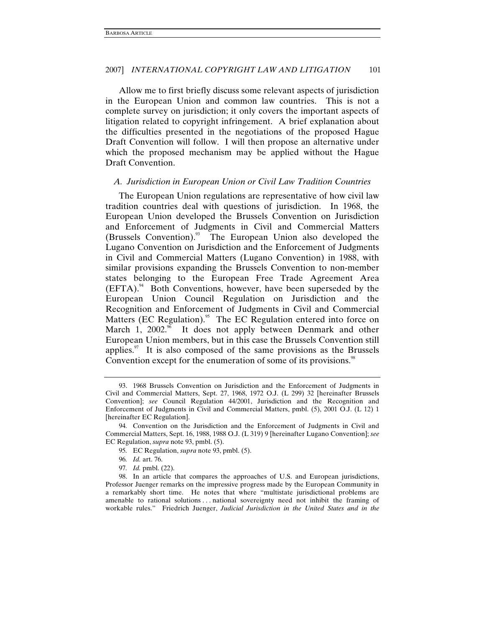Allow me to first briefly discuss some relevant aspects of jurisdiction in the European Union and common law countries. This is not a complete survey on jurisdiction; it only covers the important aspects of litigation related to copyright infringement. A brief explanation about the difficulties presented in the negotiations of the proposed Hague Draft Convention will follow. I will then propose an alternative under which the proposed mechanism may be applied without the Hague Draft Convention.

### *A. Jurisdiction in European Union or Civil Law Tradition Countries*

The European Union regulations are representative of how civil law tradition countries deal with questions of jurisdiction. In 1968, the European Union developed the Brussels Convention on Jurisdiction and Enforcement of Judgments in Civil and Commercial Matters  $(Brussels Convention).$ <sup>33</sup> The European Union also developed the Lugano Convention on Jurisdiction and the Enforcement of Judgments in Civil and Commercial Matters (Lugano Convention) in 1988, with similar provisions expanding the Brussels Convention to non-member states belonging to the European Free Trade Agreement Area  $(EFTA).<sup>94</sup>$  Both Conventions, however, have been superseded by the European Union Council Regulation on Jurisdiction and the Recognition and Enforcement of Judgments in Civil and Commercial Matters (EC Regulation).<sup>95</sup> The EC Regulation entered into force on March 1,  $2002.^{\%}$  It does not apply between Denmark and other European Union members, but in this case the Brussels Convention still applies. $\frac{97}{11}$  It is also composed of the same provisions as the Brussels Convention except for the enumeration of some of its provisions.<sup>98</sup>

97*. Id.* pmbl. (22).

 <sup>93. 1968</sup> Brussels Convention on Jurisdiction and the Enforcement of Judgments in Civil and Commercial Matters, Sept. 27, 1968, 1972 O.J. (L 299) 32 [hereinafter Brussels Convention]; *see* Council Regulation 44/2001, Jurisdiction and the Recognition and Enforcement of Judgments in Civil and Commercial Matters, pmbl. (5), 2001 O.J. (L 12) 1 [hereinafter EC Regulation].

<sup>94</sup>*.* Convention on the Jurisdiction and the Enforcement of Judgments in Civil and Commercial Matters, Sept. 16, 1988, 1988 O.J. (L 319) 9 [hereinafter Lugano Convention]; *see*  EC Regulation, *supra* note 93, pmbl. (5).

<sup>95</sup>*.* EC Regulation, *supra* note 93, pmbl. (5).

<sup>96</sup>*. Id.* art. 76.

 <sup>98.</sup> In an article that compares the approaches of U.S. and European jurisdictions, Professor Juenger remarks on the impressive progress made by the European Community in a remarkably short time. He notes that where "multistate jurisdictional problems are amenable to rational solutions . . . national sovereignty need not inhibit the framing of workable rules." Friedrich Juenger, *Judicial Jurisdiction in the United States and in the*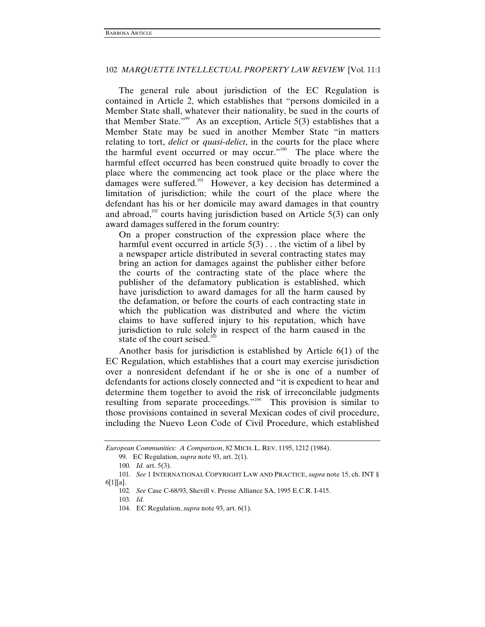The general rule about jurisdiction of the EC Regulation is contained in Article 2, which establishes that "persons domiciled in a Member State shall, whatever their nationality, be sued in the courts of that Member State."<sup>99</sup> As an exception, Article 5(3) establishes that a Member State may be sued in another Member State "in matters relating to tort, *delict* or *quasi-delict*, in the courts for the place where the harmful event occurred or may occur."<sup>100</sup> The place where the harmful effect occurred has been construed quite broadly to cover the place where the commencing act took place or the place where the damages were suffered.<sup>101</sup> However, a key decision has determined a limitation of jurisdiction; while the court of the place where the defendant has his or her domicile may award damages in that country and abroad,<sup>102</sup> courts having jurisdiction based on Article  $5(3)$  can only award damages suffered in the forum country:

On a proper construction of the expression place where the harmful event occurred in article  $5(3)$ ... the victim of a libel by a newspaper article distributed in several contracting states may bring an action for damages against the publisher either before the courts of the contracting state of the place where the publisher of the defamatory publication is established, which have jurisdiction to award damages for all the harm caused by the defamation, or before the courts of each contracting state in which the publication was distributed and where the victim claims to have suffered injury to his reputation, which have jurisdiction to rule solely in respect of the harm caused in the state of the court seised.<sup>103</sup>

Another basis for jurisdiction is established by Article 6(1) of the EC Regulation, which establishes that a court may exercise jurisdiction over a nonresident defendant if he or she is one of a number of defendants for actions closely connected and "it is expedient to hear and determine them together to avoid the risk of irreconcilable judgments resulting from separate proceedings."<sup>104</sup> This provision is similar to those provisions contained in several Mexican codes of civil procedure, including the Nuevo Leon Code of Civil Procedure, which established

*European Communities: A Comparison*, 82 MICH. L. REV. 1195, 1212 (1984).

 <sup>99.</sup> EC Regulation, *supra* note 93, art. 2(1).

<sup>100</sup>*. Id.* art. 5(3).

<sup>101</sup>*. See* 1 INTERNATIONAL COPYRIGHT LAW AND PRACTICE, *supra* note 15, ch. INT § 6[1][a].

<sup>102</sup>*. See* Case C-68/93, Shevill v. Presse Alliance SA, 1995 E.C.R. I-415.

<sup>103</sup>*. Id.*

 <sup>104.</sup> EC Regulation, *supra* note 93, art. 6(1).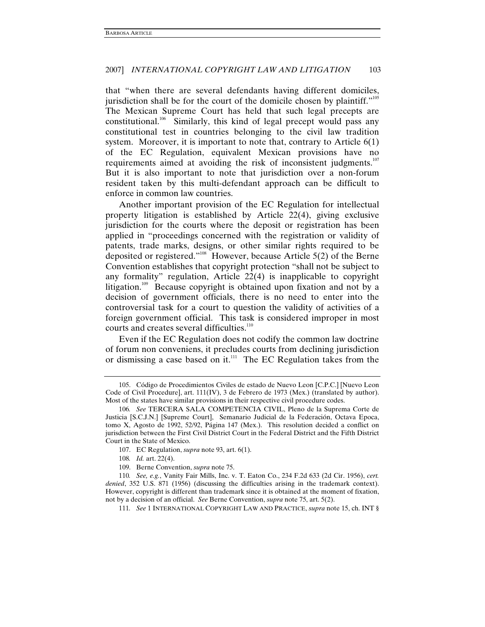that "when there are several defendants having different domiciles, jurisdiction shall be for the court of the domicile chosen by plaintiff."<sup>105</sup> The Mexican Supreme Court has held that such legal precepts are constitutional.<sup>106</sup> Similarly, this kind of legal precept would pass any constitutional test in countries belonging to the civil law tradition system. Moreover, it is important to note that, contrary to Article  $6(1)$ of the EC Regulation, equivalent Mexican provisions have no requirements aimed at avoiding the risk of inconsistent judgments. $107$ But it is also important to note that jurisdiction over a non-forum resident taken by this multi-defendant approach can be difficult to enforce in common law countries.

Another important provision of the EC Regulation for intellectual property litigation is established by Article 22(4), giving exclusive jurisdiction for the courts where the deposit or registration has been applied in "proceedings concerned with the registration or validity of patents, trade marks, designs, or other similar rights required to be deposited or registered."108 However, because Article 5(2) of the Berne Convention establishes that copyright protection "shall not be subject to any formality" regulation, Article 22(4) is inapplicable to copyright litigation.<sup>109</sup> Because copyright is obtained upon fixation and not by a decision of government officials, there is no need to enter into the controversial task for a court to question the validity of activities of a foreign government official. This task is considered improper in most courts and creates several difficulties.<sup>110</sup>

Even if the EC Regulation does not codify the common law doctrine of forum non conveniens, it precludes courts from declining jurisdiction or dismissing a case based on it.<sup>111</sup> The EC Regulation takes from the

 <sup>105.</sup> Código de Procedimientos Civiles de estado de Nuevo Leon [C.P.C.] [Nuevo Leon Code of Civil Procedure], art. 111(IV), 3 de Febrero de 1973 (Mex.) (translated by author). Most of the states have similar provisions in their respective civil procedure codes.

<sup>106</sup>*. See* TERCERA SALA COMPETENCIA CIVIL, Pleno de la Suprema Corte de Justicia [S.C.J.N.] [Supreme Court], Semanario Judicial de la Federación, Octava Epoca, tomo X, Agosto de 1992, 52/92, Página 147 (Mex.). This resolution decided a conflict on jurisdiction between the First Civil District Court in the Federal District and the Fifth District Court in the State of Mexico.

 <sup>107.</sup> EC Regulation, *supra* note 93, art. 6(1).

<sup>108</sup>*. Id.* art. 22(4).

 <sup>109.</sup> Berne Convention, *supra* note 75.

<sup>110</sup>*. See, e.g.*, Vanity Fair Mills, Inc. v. T. Eaton Co., 234 F.2d 633 (2d Cir. 1956), *cert. denied*, 352 U.S. 871 (1956) (discussing the difficulties arising in the trademark context). However, copyright is different than trademark since it is obtained at the moment of fixation, not by a decision of an official. *See* Berne Convention, *supra* note 75, art. 5(2).

<sup>111</sup>*. See* 1 INTERNATIONAL COPYRIGHT LAW AND PRACTICE, *supra* note 15, ch. INT §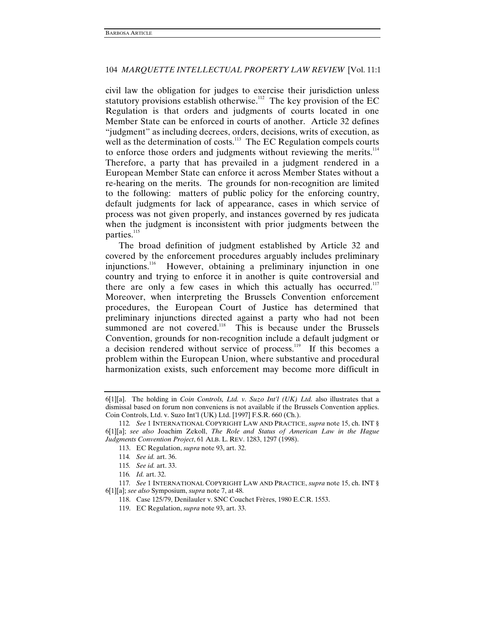civil law the obligation for judges to exercise their jurisdiction unless statutory provisions establish otherwise.<sup>112</sup> The key provision of the EC Regulation is that orders and judgments of courts located in one Member State can be enforced in courts of another. Article 32 defines "judgment" as including decrees, orders, decisions, writs of execution, as well as the determination of costs.<sup>113</sup> The EC Regulation compels courts to enforce those orders and judgments without reviewing the merits. $114$ Therefore, a party that has prevailed in a judgment rendered in a European Member State can enforce it across Member States without a re-hearing on the merits. The grounds for non-recognition are limited to the following: matters of public policy for the enforcing country, default judgments for lack of appearance, cases in which service of process was not given properly, and instances governed by res judicata when the judgment is inconsistent with prior judgments between the parties.<sup>115</sup>

The broad definition of judgment established by Article 32 and covered by the enforcement procedures arguably includes preliminary injunctions.116 However, obtaining a preliminary injunction in one country and trying to enforce it in another is quite controversial and there are only a few cases in which this actually has occurred.<sup>117</sup> Moreover, when interpreting the Brussels Convention enforcement procedures, the European Court of Justice has determined that preliminary injunctions directed against a party who had not been summoned are not covered.<sup>118</sup> This is because under the Brussels Convention, grounds for non-recognition include a default judgment or a decision rendered without service of process.<sup>119</sup> If this becomes a problem within the European Union, where substantive and procedural harmonization exists, such enforcement may become more difficult in

117*. See* 1 INTERNATIONAL COPYRIGHT LAW AND PRACTICE, *supra* note 15, ch. INT § 6[1][a]; *see also* Symposium, *supra* note 7, at 48.

<sup>6[1][</sup>a]. The holding in *Coin Controls, Ltd. v. Suzo Int'l (UK) Ltd.* also illustrates that a dismissal based on forum non conveniens is not available if the Brussels Convention applies. Coin Controls, Ltd. v. Suzo Int'l (UK) Ltd. [1997] F.S.R. 660 (Ch.).

<sup>112</sup>*. See* 1 INTERNATIONAL COPYRIGHT LAW AND PRACTICE, *supra* note 15, ch. INT § 6[1][a]; *see also* Joachim Zekoll, *The Role and Status of American Law in the Hague Judgments Convention Project*, 61 ALB. L. REV. 1283, 1297 (1998).

 <sup>113.</sup> EC Regulation, *supra* note 93, art. 32.

<sup>114</sup>*. See id.* art. 36.

<sup>115</sup>*. See id.* art. 33.

<sup>116</sup>*. Id.* art. 32.

 <sup>118.</sup> Case 125/79, Denilauler v. SNC Couchet Frères, 1980 E.C.R. 1553.

 <sup>119.</sup> EC Regulation, *supra* note 93, art. 33.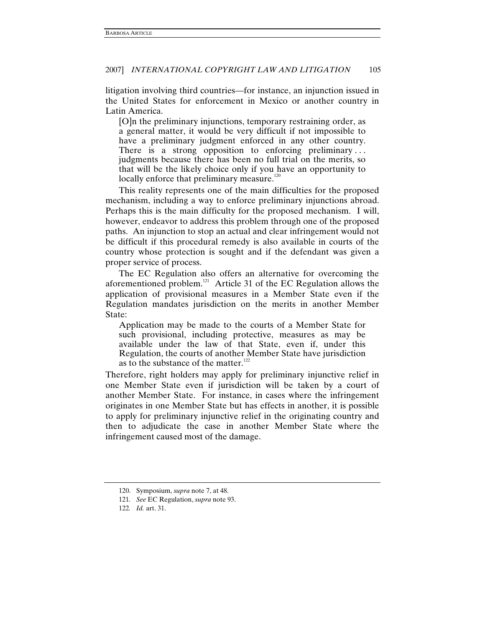litigation involving third countries—for instance, an injunction issued in the United States for enforcement in Mexico or another country in Latin America.

[O]n the preliminary injunctions, temporary restraining order, as a general matter, it would be very difficult if not impossible to have a preliminary judgment enforced in any other country. There is a strong opposition to enforcing preliminary... judgments because there has been no full trial on the merits, so that will be the likely choice only if you have an opportunity to locally enforce that preliminary measure.<sup>120</sup>

This reality represents one of the main difficulties for the proposed mechanism, including a way to enforce preliminary injunctions abroad. Perhaps this is the main difficulty for the proposed mechanism. I will, however, endeavor to address this problem through one of the proposed paths. An injunction to stop an actual and clear infringement would not be difficult if this procedural remedy is also available in courts of the country whose protection is sought and if the defendant was given a proper service of process.

The EC Regulation also offers an alternative for overcoming the aforementioned problem.121 Article 31 of the EC Regulation allows the application of provisional measures in a Member State even if the Regulation mandates jurisdiction on the merits in another Member State:

Application may be made to the courts of a Member State for such provisional, including protective, measures as may be available under the law of that State, even if, under this Regulation, the courts of another Member State have jurisdiction as to the substance of the matter.<sup>122</sup>

Therefore, right holders may apply for preliminary injunctive relief in one Member State even if jurisdiction will be taken by a court of another Member State. For instance, in cases where the infringement originates in one Member State but has effects in another, it is possible to apply for preliminary injunctive relief in the originating country and then to adjudicate the case in another Member State where the infringement caused most of the damage.

 <sup>120.</sup> Symposium, *supra* note 7, at 48.

<sup>121</sup>*. See* EC Regulation, *supra* note 93.

<sup>122</sup>*. Id.* art. 31.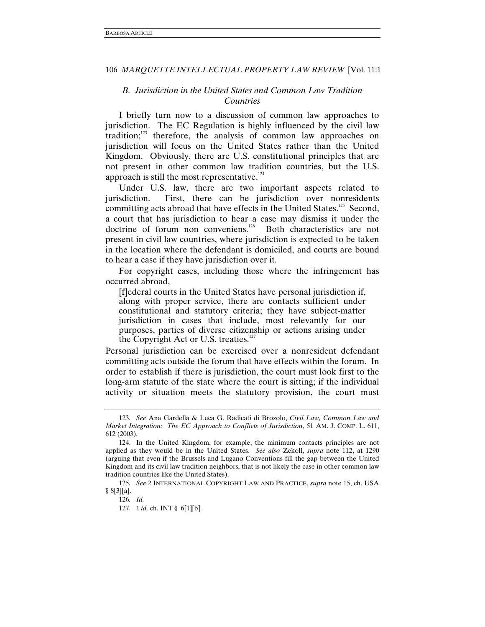# *B. Jurisdiction in the United States and Common Law Tradition Countries*

I briefly turn now to a discussion of common law approaches to jurisdiction. The EC Regulation is highly influenced by the civil law tradition;<sup>123</sup> therefore, the analysis of common law approaches on jurisdiction will focus on the United States rather than the United Kingdom. Obviously, there are U.S. constitutional principles that are not present in other common law tradition countries, but the U.S. approach is still the most representative. $124$ 

Under U.S. law, there are two important aspects related to jurisdiction. First, there can be jurisdiction over nonresidents committing acts abroad that have effects in the United States.<sup>125</sup> Second, a court that has jurisdiction to hear a case may dismiss it under the doctrine of forum non conveniens.<sup>126</sup> Both characteristics are not present in civil law countries, where jurisdiction is expected to be taken in the location where the defendant is domiciled, and courts are bound to hear a case if they have jurisdiction over it.

For copyright cases, including those where the infringement has occurred abroad,

[f]ederal courts in the United States have personal jurisdiction if, along with proper service, there are contacts sufficient under constitutional and statutory criteria; they have subject-matter jurisdiction in cases that include, most relevantly for our purposes, parties of diverse citizenship or actions arising under the Copyright Act or U.S. treaties.<sup>127</sup>

Personal jurisdiction can be exercised over a nonresident defendant committing acts outside the forum that have effects within the forum. In order to establish if there is jurisdiction, the court must look first to the long-arm statute of the state where the court is sitting; if the individual activity or situation meets the statutory provision, the court must

<sup>123</sup>*. See* Ana Gardella & Luca G. Radicati di Brozolo, *Civil Law, Common Law and Market Integration: The EC Approach to Conflicts of Jurisdiction*, 51 AM. J. COMP. L. 611, 612 (2003).

 <sup>124.</sup> In the United Kingdom, for example, the minimum contacts principles are not applied as they would be in the United States. *See also* Zekoll, *supra* note 112, at 1290 (arguing that even if the Brussels and Lugano Conventions fill the gap between the United Kingdom and its civil law tradition neighbors, that is not likely the case in other common law tradition countries like the United States).

<sup>125</sup>*. See* 2 INTERNATIONAL COPYRIGHT LAW AND PRACTICE, *supra* note 15, ch. USA § 8[3][a].

<sup>126</sup>*. Id.*

 <sup>127. 1</sup> *id.* ch. INT § 6[1][b].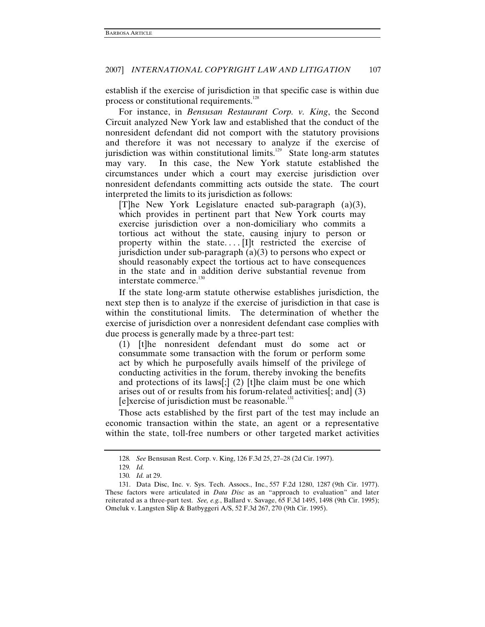establish if the exercise of jurisdiction in that specific case is within due process or constitutional requirements.<sup>128</sup>

For instance, in *Bensusan Restaurant Corp. v. King*, the Second Circuit analyzed New York law and established that the conduct of the nonresident defendant did not comport with the statutory provisions and therefore it was not necessary to analyze if the exercise of jurisdiction was within constitutional limits.<sup>129</sup> State long-arm statutes may vary. In this case, the New York statute established the circumstances under which a court may exercise jurisdiction over nonresident defendants committing acts outside the state. The court interpreted the limits to its jurisdiction as follows:

[T]he New York Legislature enacted sub-paragraph (a)(3), which provides in pertinent part that New York courts may exercise jurisdiction over a non-domiciliary who commits a tortious act without the state, causing injury to person or property within the state.... [I]t restricted the exercise of jurisdiction under sub-paragraph  $(a)(3)$  to persons who expect or should reasonably expect the tortious act to have consequences in the state and in addition derive substantial revenue from interstate commerce.<sup>1</sup>

If the state long-arm statute otherwise establishes jurisdiction, the next step then is to analyze if the exercise of jurisdiction in that case is within the constitutional limits. The determination of whether the exercise of jurisdiction over a nonresident defendant case complies with due process is generally made by a three-part test:

(1) [t]he nonresident defendant must do some act or consummate some transaction with the forum or perform some act by which he purposefully avails himself of the privilege of conducting activities in the forum, thereby invoking the benefits and protections of its laws[;] (2) [t]he claim must be one which arises out of or results from his forum-related activities[; and] (3)  $[e]$ xercise of jurisdiction must be reasonable.<sup>131</sup>

Those acts established by the first part of the test may include an economic transaction within the state, an agent or a representative within the state, toll-free numbers or other targeted market activities

<sup>128</sup>*. See* Bensusan Rest. Corp. v. King, 126 F.3d 25, 27–28 (2d Cir. 1997).

<sup>129</sup>*. Id.*

<sup>130</sup>*. Id.* at 29.

 <sup>131.</sup> Data Disc, Inc. v. Sys. Tech. Assocs., Inc., 557 F.2d 1280, 1287 (9th Cir. 1977). These factors were articulated in *Data Disc* as an "approach to evaluation" and later reiterated as a three-part test. *See, e.g.*, Ballard v. Savage, 65 F.3d 1495, 1498 (9th Cir. 1995); Omeluk v. Langsten Slip & Batbyggeri A/S, 52 F.3d 267, 270 (9th Cir. 1995).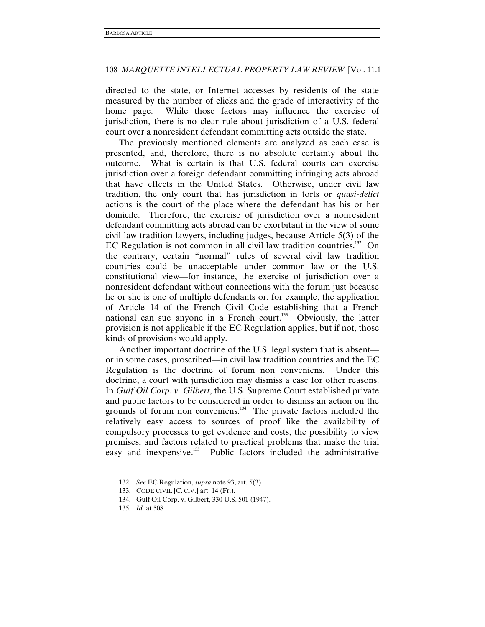directed to the state, or Internet accesses by residents of the state measured by the number of clicks and the grade of interactivity of the home page. While those factors may influence the exercise of jurisdiction, there is no clear rule about jurisdiction of a U.S. federal court over a nonresident defendant committing acts outside the state.

The previously mentioned elements are analyzed as each case is presented, and, therefore, there is no absolute certainty about the outcome. What is certain is that U.S. federal courts can exercise jurisdiction over a foreign defendant committing infringing acts abroad that have effects in the United States. Otherwise, under civil law tradition, the only court that has jurisdiction in torts or *quasi-delict* actions is the court of the place where the defendant has his or her domicile. Therefore, the exercise of jurisdiction over a nonresident defendant committing acts abroad can be exorbitant in the view of some civil law tradition lawyers, including judges, because Article 5(3) of the EC Regulation is not common in all civil law tradition countries.<sup>132</sup> On the contrary, certain "normal" rules of several civil law tradition countries could be unacceptable under common law or the U.S. constitutional view—for instance, the exercise of jurisdiction over a nonresident defendant without connections with the forum just because he or she is one of multiple defendants or, for example, the application of Article 14 of the French Civil Code establishing that a French national can sue anyone in a French court.<sup>133</sup> Obviously, the latter provision is not applicable if the EC Regulation applies, but if not, those kinds of provisions would apply.

Another important doctrine of the U.S. legal system that is absent or in some cases, proscribed—in civil law tradition countries and the EC Regulation is the doctrine of forum non conveniens. Under this doctrine, a court with jurisdiction may dismiss a case for other reasons. In *Gulf Oil Corp. v. Gilbert*, the U.S. Supreme Court established private and public factors to be considered in order to dismiss an action on the grounds of forum non conveniens. $134$  The private factors included the relatively easy access to sources of proof like the availability of compulsory processes to get evidence and costs, the possibility to view premises, and factors related to practical problems that make the trial easy and inexpensive.<sup>135</sup> Public factors included the administrative

<sup>132</sup>*. See* EC Regulation, *supra* note 93, art. 5(3).

 <sup>133.</sup> CODE CIVIL [C. CIV.] art. 14 (Fr.).

 <sup>134.</sup> Gulf Oil Corp. v. Gilbert, 330 U.S. 501 (1947).

<sup>135</sup>*. Id.* at 508.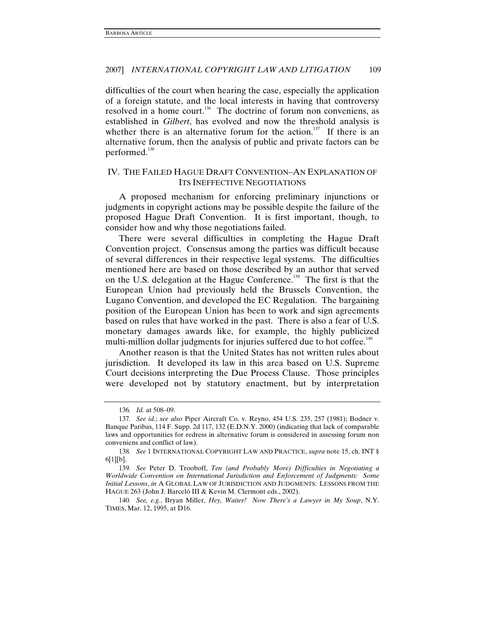difficulties of the court when hearing the case, especially the application of a foreign statute, and the local interests in having that controversy resolved in a home court.<sup>136</sup> The doctrine of forum non conveniens, as established in *Gilbert*, has evolved and now the threshold analysis is whether there is an alternative forum for the action.<sup>137</sup> If there is an alternative forum, then the analysis of public and private factors can be performed.<sup>138</sup>

# IV. THE FAILED HAGUE DRAFT CONVENTION–AN EXPLANATION OF ITS INEFFECTIVE NEGOTIATIONS

A proposed mechanism for enforcing preliminary injunctions or judgments in copyright actions may be possible despite the failure of the proposed Hague Draft Convention. It is first important, though, to consider how and why those negotiations failed.

There were several difficulties in completing the Hague Draft Convention project. Consensus among the parties was difficult because of several differences in their respective legal systems. The difficulties mentioned here are based on those described by an author that served on the U.S. delegation at the Hague Conference.<sup>139</sup> The first is that the European Union had previously held the Brussels Convention, the Lugano Convention, and developed the EC Regulation. The bargaining position of the European Union has been to work and sign agreements based on rules that have worked in the past. There is also a fear of U.S. monetary damages awards like, for example, the highly publicized multi-million dollar judgments for injuries suffered due to hot coffee. $140$ 

Another reason is that the United States has not written rules about jurisdiction. It developed its law in this area based on U.S. Supreme Court decisions interpreting the Due Process Clause. Those principles were developed not by statutory enactment, but by interpretation

140*. See, e.g.*, Bryan Miller, *Hey, Waiter! Now There's a Lawyer in My Soup*, N.Y. TIMES, Mar. 12, 1995, at D16.

<sup>136</sup>*. Id.* at 508–09.

<sup>137</sup>*. See id.*; *see also* Piper Aircraft Co. v. Reyno, 454 U.S. 235, 257 (1981); Bodner v. Banque Paribas, 114 F. Supp. 2d 117, 132 (E.D.N.Y. 2000) (indicating that lack of comparable laws and opportunities for redress in alternative forum is considered in assessing forum non conveniens and conflict of law).

<sup>138</sup>*. See* 1 INTERNATIONAL COPYRIGHT LAW AND PRACTICE, *supra* note 15, ch. INT § 6[1][b].

<sup>139</sup>*. See* Peter D. Trooboff, *Ten (and Probably More) Difficulties in Negotiating a Worldwide Convention on International Jurisdiction and Enforcement of Judgments: Some Initial Lessons*, *in* A GLOBAL LAW OF JURISDICTION AND JUDGMENTS: LESSONS FROM THE HAGUE 263 (John J. Barceló III & Kevin M. Clermont eds., 2002).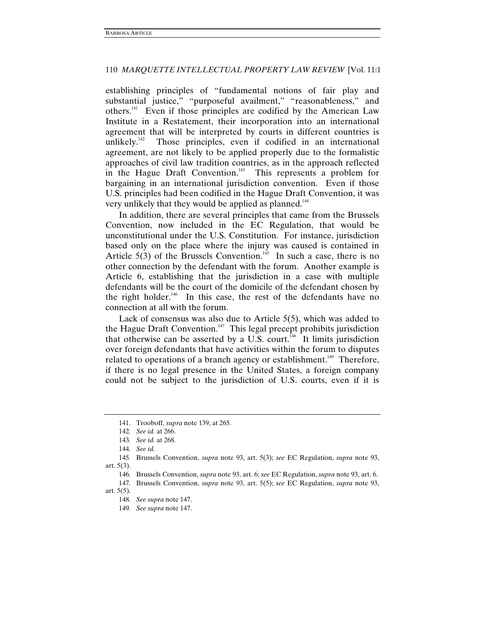establishing principles of "fundamental notions of fair play and substantial justice," "purposeful availment," "reasonableness," and others.141 Even if those principles are codified by the American Law Institute in a Restatement, their incorporation into an international agreement that will be interpreted by courts in different countries is unlikely.<sup>142</sup> Those principles, even if codified in an international agreement, are not likely to be applied properly due to the formalistic approaches of civil law tradition countries, as in the approach reflected in the Hague Draft Convention.<sup>143</sup> This represents a problem for bargaining in an international jurisdiction convention. Even if those U.S. principles had been codified in the Hague Draft Convention, it was very unlikely that they would be applied as planned.<sup>144</sup>

In addition, there are several principles that came from the Brussels Convention, now included in the EC Regulation, that would be unconstitutional under the U.S. Constitution. For instance, jurisdiction based only on the place where the injury was caused is contained in Article  $5(3)$  of the Brussels Convention.<sup>145</sup> In such a case, there is no other connection by the defendant with the forum. Another example is Article 6, establishing that the jurisdiction in a case with multiple defendants will be the court of the domicile of the defendant chosen by the right holder.<sup>146</sup> In this case, the rest of the defendants have no connection at all with the forum.

Lack of consensus was also due to Article 5(5), which was added to the Hague Draft Convention.<sup>147</sup> This legal precept prohibits jurisdiction that otherwise can be asserted by a U.S. court.<sup>148</sup> It limits jurisdiction over foreign defendants that have activities within the forum to disputes related to operations of a branch agency or establishment.<sup>149</sup> Therefore, if there is no legal presence in the United States, a foreign company could not be subject to the jurisdiction of U.S. courts, even if it is

146*.* Brussels Convention, *supra* note 93, art. 6; *see* EC Regulation, *supra* note 93, art. 6.

 <sup>141.</sup> Trooboff, *supra* note 139, at 265.

<sup>142</sup>*. See id.* at 266.

<sup>143</sup>*. See id.* at 268.

<sup>144</sup>*. See id.*

<sup>145</sup>*.* Brussels Convention, *supra* note 93, art. 5(3); *see* EC Regulation, *supra* note 93, art. 5(3).

<sup>147</sup>*.* Brussels Convention, *supra* note 93, art. 5(5); *see* EC Regulation, *supra* note 93, art. 5(5).

<sup>148</sup>*. See supra* note 147.

<sup>149</sup>*. See supra* note 147.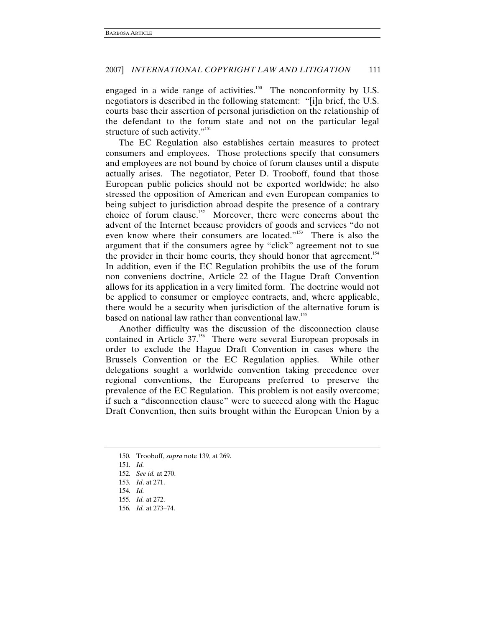engaged in a wide range of activities.<sup>150</sup> The nonconformity by U.S. negotiators is described in the following statement: "[i]n brief, the U.S. courts base their assertion of personal jurisdiction on the relationship of the defendant to the forum state and not on the particular legal structure of such activity."<sup>151</sup>

The EC Regulation also establishes certain measures to protect consumers and employees. Those protections specify that consumers and employees are not bound by choice of forum clauses until a dispute actually arises. The negotiator, Peter D. Trooboff, found that those European public policies should not be exported worldwide; he also stressed the opposition of American and even European companies to being subject to jurisdiction abroad despite the presence of a contrary choice of forum clause.152 Moreover, there were concerns about the advent of the Internet because providers of goods and services "do not even know where their consumers are located."<sup>153</sup> There is also the argument that if the consumers agree by "click" agreement not to sue the provider in their home courts, they should honor that agreement.<sup>154</sup> In addition, even if the EC Regulation prohibits the use of the forum non conveniens doctrine, Article 22 of the Hague Draft Convention allows for its application in a very limited form. The doctrine would not be applied to consumer or employee contracts, and, where applicable, there would be a security when jurisdiction of the alternative forum is based on national law rather than conventional law.<sup>155</sup>

Another difficulty was the discussion of the disconnection clause contained in Article 37.<sup>156</sup> There were several European proposals in order to exclude the Hague Draft Convention in cases where the Brussels Convention or the EC Regulation applies. While other delegations sought a worldwide convention taking precedence over regional conventions, the Europeans preferred to preserve the prevalence of the EC Regulation. This problem is not easily overcome; if such a "disconnection clause" were to succeed along with the Hague Draft Convention, then suits brought within the European Union by a

<sup>150</sup>*.* Trooboff, *supra* note 139, at 269.

<sup>151</sup>*. Id.*

<sup>152</sup>*. See id.* at 270.

<sup>153</sup>*. Id*. at 271.

<sup>154</sup>*. Id.*

<sup>155</sup>*. Id.* at 272.

<sup>156</sup>*. Id.* at 273–74.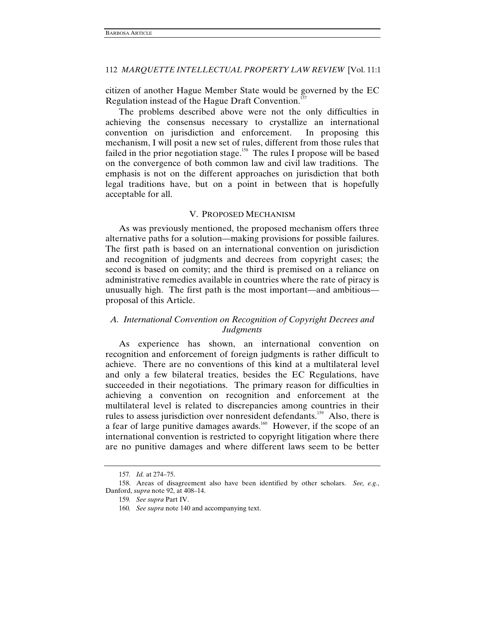citizen of another Hague Member State would be governed by the EC Regulation instead of the Hague Draft Convention.<sup>1</sup>

The problems described above were not the only difficulties in achieving the consensus necessary to crystallize an international convention on jurisdiction and enforcement. In proposing this mechanism, I will posit a new set of rules, different from those rules that failed in the prior negotiation stage.<sup>158</sup> The rules I propose will be based on the convergence of both common law and civil law traditions. The emphasis is not on the different approaches on jurisdiction that both legal traditions have, but on a point in between that is hopefully acceptable for all.

### V. PROPOSED MECHANISM

As was previously mentioned, the proposed mechanism offers three alternative paths for a solution—making provisions for possible failures. The first path is based on an international convention on jurisdiction and recognition of judgments and decrees from copyright cases; the second is based on comity; and the third is premised on a reliance on administrative remedies available in countries where the rate of piracy is unusually high. The first path is the most important—and ambitious proposal of this Article.

# *A. International Convention on Recognition of Copyright Decrees and Judgments*

As experience has shown, an international convention on recognition and enforcement of foreign judgments is rather difficult to achieve. There are no conventions of this kind at a multilateral level and only a few bilateral treaties, besides the EC Regulations, have succeeded in their negotiations. The primary reason for difficulties in achieving a convention on recognition and enforcement at the multilateral level is related to discrepancies among countries in their rules to assess jurisdiction over nonresident defendants.<sup>159</sup> Also, there is a fear of large punitive damages awards.<sup>160</sup> However, if the scope of an international convention is restricted to copyright litigation where there are no punitive damages and where different laws seem to be better

<sup>157</sup>*. Id.* at 274–75.

 <sup>158.</sup> Areas of disagreement also have been identified by other scholars. *See, e.g.*, Danford, *supra* note 92, at 408–14.

<sup>159</sup>*. See supra* Part IV.

<sup>160</sup>*. See supra* note 140 and accompanying text.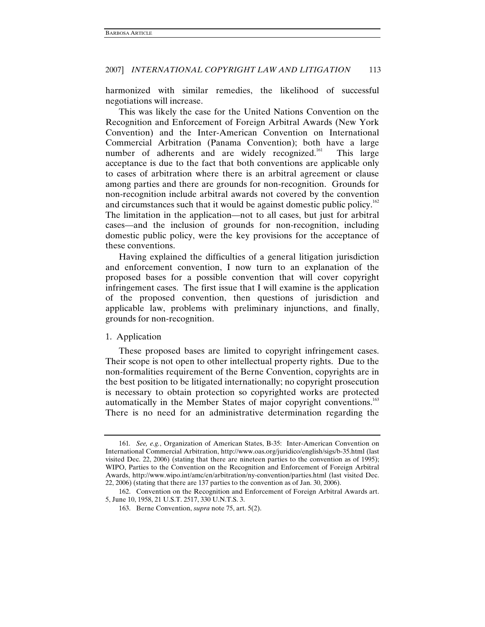harmonized with similar remedies, the likelihood of successful negotiations will increase.

This was likely the case for the United Nations Convention on the Recognition and Enforcement of Foreign Arbitral Awards (New York Convention) and the Inter-American Convention on International Commercial Arbitration (Panama Convention); both have a large number of adherents and are widely recognized.<sup>161</sup> This large acceptance is due to the fact that both conventions are applicable only to cases of arbitration where there is an arbitral agreement or clause among parties and there are grounds for non-recognition. Grounds for non-recognition include arbitral awards not covered by the convention and circumstances such that it would be against domestic public policy.<sup>162</sup> The limitation in the application—not to all cases, but just for arbitral cases—and the inclusion of grounds for non-recognition, including domestic public policy, were the key provisions for the acceptance of these conventions.

Having explained the difficulties of a general litigation jurisdiction and enforcement convention, I now turn to an explanation of the proposed bases for a possible convention that will cover copyright infringement cases. The first issue that I will examine is the application of the proposed convention, then questions of jurisdiction and applicable law, problems with preliminary injunctions, and finally, grounds for non-recognition.

### 1. Application

These proposed bases are limited to copyright infringement cases. Their scope is not open to other intellectual property rights. Due to the non-formalities requirement of the Berne Convention, copyrights are in the best position to be litigated internationally; no copyright prosecution is necessary to obtain protection so copyrighted works are protected automatically in the Member States of major copyright conventions.<sup>163</sup> There is no need for an administrative determination regarding the

<sup>161</sup>*. See, e.g.*, Organization of American States, B-35: Inter-American Convention on International Commercial Arbitration, http://www.oas.org/juridico/english/sigs/b-35.html (last visited Dec. 22, 2006) (stating that there are nineteen parties to the convention as of 1995); WIPO, Parties to the Convention on the Recognition and Enforcement of Foreign Arbitral Awards, http://www.wipo.int/amc/en/arbitration/ny-convention/parties.html (last visited Dec. 22, 2006) (stating that there are 137 parties to the convention as of Jan. 30, 2006).

 <sup>162.</sup> Convention on the Recognition and Enforcement of Foreign Arbitral Awards art. 5, June 10, 1958, 21 U.S.T. 2517, 330 U.N.T.S. 3.

 <sup>163.</sup> Berne Convention, *supra* note 75, art. 5(2).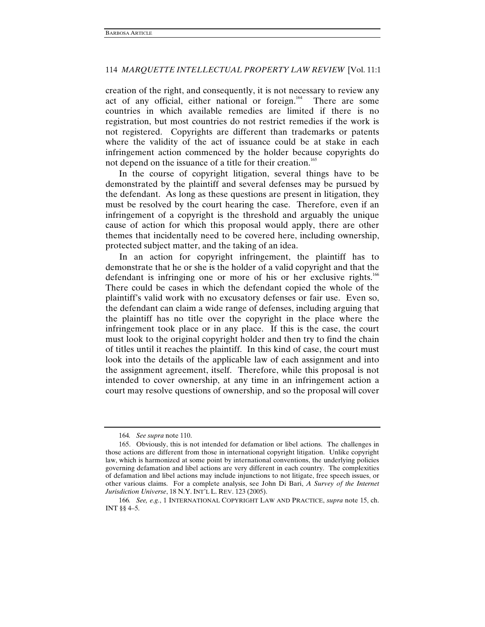creation of the right, and consequently, it is not necessary to review any act of any official, either national or foreign.<sup>164</sup> There are some countries in which available remedies are limited if there is no registration, but most countries do not restrict remedies if the work is not registered. Copyrights are different than trademarks or patents where the validity of the act of issuance could be at stake in each infringement action commenced by the holder because copyrights do not depend on the issuance of a title for their creation.<sup>165</sup>

In the course of copyright litigation, several things have to be demonstrated by the plaintiff and several defenses may be pursued by the defendant. As long as these questions are present in litigation, they must be resolved by the court hearing the case. Therefore, even if an infringement of a copyright is the threshold and arguably the unique cause of action for which this proposal would apply, there are other themes that incidentally need to be covered here, including ownership, protected subject matter, and the taking of an idea.

In an action for copyright infringement, the plaintiff has to demonstrate that he or she is the holder of a valid copyright and that the defendant is infringing one or more of his or her exclusive rights.<sup>166</sup> There could be cases in which the defendant copied the whole of the plaintiff's valid work with no excusatory defenses or fair use. Even so, the defendant can claim a wide range of defenses, including arguing that the plaintiff has no title over the copyright in the place where the infringement took place or in any place. If this is the case, the court must look to the original copyright holder and then try to find the chain of titles until it reaches the plaintiff. In this kind of case, the court must look into the details of the applicable law of each assignment and into the assignment agreement, itself. Therefore, while this proposal is not intended to cover ownership, at any time in an infringement action a court may resolve questions of ownership, and so the proposal will cover

<sup>164</sup>*. See supra* note 110.

 <sup>165.</sup> Obviously, this is not intended for defamation or libel actions. The challenges in those actions are different from those in international copyright litigation. Unlike copyright law, which is harmonized at some point by international conventions, the underlying policies governing defamation and libel actions are very different in each country. The complexities of defamation and libel actions may include injunctions to not litigate, free speech issues, or other various claims. For a complete analysis, see John Di Bari, *A Survey of the Internet Jurisdiction Universe*, 18 N.Y. INT'L L. REV. 123 (2005).

<sup>166</sup>*. See, e.g.*, 1 INTERNATIONAL COPYRIGHT LAW AND PRACTICE, *supra* note 15, ch. INT §§ 4–5.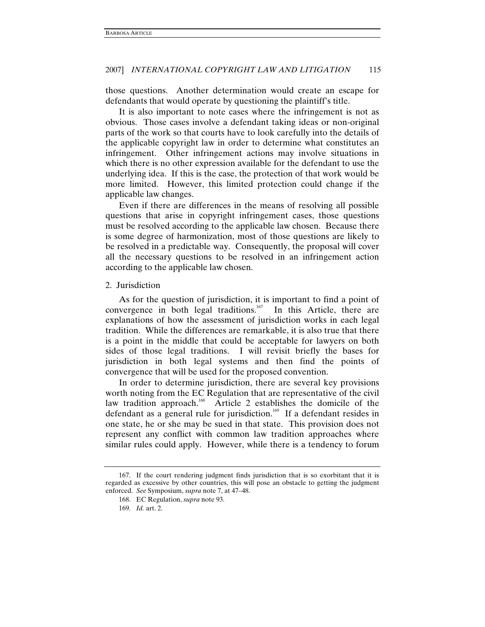those questions. Another determination would create an escape for defendants that would operate by questioning the plaintiff's title.

It is also important to note cases where the infringement is not as obvious. Those cases involve a defendant taking ideas or non-original parts of the work so that courts have to look carefully into the details of the applicable copyright law in order to determine what constitutes an infringement. Other infringement actions may involve situations in which there is no other expression available for the defendant to use the underlying idea. If this is the case, the protection of that work would be more limited. However, this limited protection could change if the applicable law changes.

Even if there are differences in the means of resolving all possible questions that arise in copyright infringement cases, those questions must be resolved according to the applicable law chosen. Because there is some degree of harmonization, most of those questions are likely to be resolved in a predictable way. Consequently, the proposal will cover all the necessary questions to be resolved in an infringement action according to the applicable law chosen.

#### 2. Jurisdiction

As for the question of jurisdiction, it is important to find a point of convergence in both legal traditions.<sup>167</sup> In this Article, there are explanations of how the assessment of jurisdiction works in each legal tradition. While the differences are remarkable, it is also true that there is a point in the middle that could be acceptable for lawyers on both sides of those legal traditions. I will revisit briefly the bases for jurisdiction in both legal systems and then find the points of convergence that will be used for the proposed convention.

In order to determine jurisdiction, there are several key provisions worth noting from the EC Regulation that are representative of the civil law tradition approach.<sup>168</sup> Article 2 establishes the domicile of the defendant as a general rule for jurisdiction.<sup>169</sup> If a defendant resides in one state, he or she may be sued in that state. This provision does not represent any conflict with common law tradition approaches where similar rules could apply. However, while there is a tendency to forum

 <sup>167.</sup> If the court rendering judgment finds jurisdiction that is so exorbitant that it is regarded as excessive by other countries, this will pose an obstacle to getting the judgment enforced. *See* Symposium, *supra* note 7, at 47–48.

 <sup>168.</sup> EC Regulation, *supra* note 93.

<sup>169</sup>*. Id.* art. 2.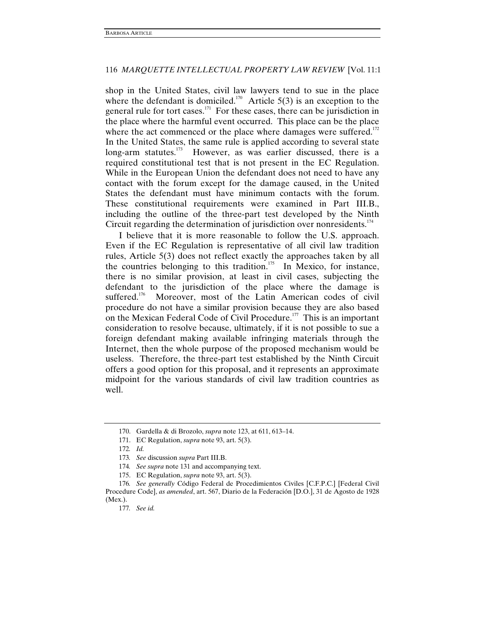shop in the United States, civil law lawyers tend to sue in the place where the defendant is domiciled.<sup>170</sup> Article 5(3) is an exception to the general rule for tort cases.<sup>171</sup> For these cases, there can be jurisdiction in the place where the harmful event occurred. This place can be the place where the act commenced or the place where damages were suffered. $172$ In the United States, the same rule is applied according to several state long-arm statutes.<sup>173</sup> However, as was earlier discussed, there is a required constitutional test that is not present in the EC Regulation. While in the European Union the defendant does not need to have any contact with the forum except for the damage caused, in the United States the defendant must have minimum contacts with the forum. These constitutional requirements were examined in Part III.B., including the outline of the three-part test developed by the Ninth Circuit regarding the determination of jurisdiction over nonresidents.<sup>174</sup>

I believe that it is more reasonable to follow the U.S. approach. Even if the EC Regulation is representative of all civil law tradition rules, Article 5(3) does not reflect exactly the approaches taken by all the countries belonging to this tradition.<sup>175</sup> In Mexico, for instance, there is no similar provision, at least in civil cases, subjecting the defendant to the jurisdiction of the place where the damage is suffered.<sup>176</sup> Moreover, most of the Latin American codes of civil procedure do not have a similar provision because they are also based on the Mexican Federal Code of Civil Procedure.<sup>177</sup> This is an important consideration to resolve because, ultimately, if it is not possible to sue a foreign defendant making available infringing materials through the Internet, then the whole purpose of the proposed mechanism would be useless. Therefore, the three-part test established by the Ninth Circuit offers a good option for this proposal, and it represents an approximate midpoint for the various standards of civil law tradition countries as well.

 <sup>170.</sup> Gardella & di Brozolo, *supra* note 123, at 611, 613–14.

 <sup>171.</sup> EC Regulation, *supra* note 93, art. 5(3).

<sup>172</sup>*. Id.*

<sup>173</sup>*. See* discussion *supra* Part III.B.

<sup>174</sup>*. See supra* note 131 and accompanying text.

 <sup>175.</sup> EC Regulation, *supra* note 93, art. 5(3).

<sup>176</sup>*. See generally* Código Federal de Procedimientos Civiles [C.F.P.C.] [Federal Civil Procedure Code], *as amended*, art. 567, Diario de la Federación [D.O.], 31 de Agosto de 1928 (Mex.).

<sup>177</sup>*. See id.*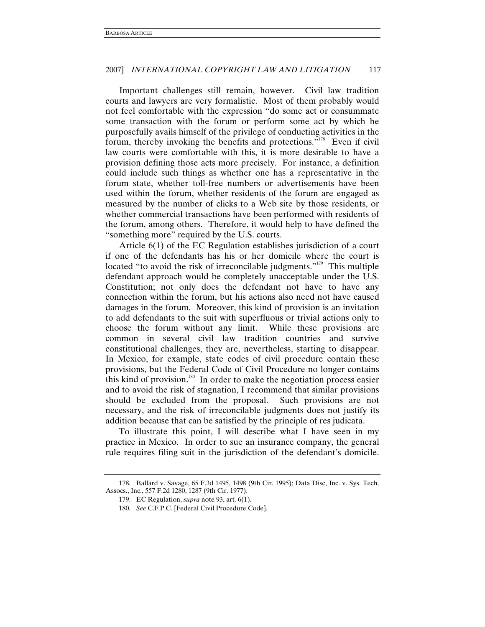Important challenges still remain, however. Civil law tradition courts and lawyers are very formalistic. Most of them probably would not feel comfortable with the expression "do some act or consummate some transaction with the forum or perform some act by which he purposefully avails himself of the privilege of conducting activities in the forum, thereby invoking the benefits and protections."178 Even if civil law courts were comfortable with this, it is more desirable to have a provision defining those acts more precisely. For instance, a definition could include such things as whether one has a representative in the forum state, whether toll-free numbers or advertisements have been used within the forum, whether residents of the forum are engaged as measured by the number of clicks to a Web site by those residents, or whether commercial transactions have been performed with residents of the forum, among others. Therefore, it would help to have defined the "something more" required by the U.S. courts.

Article 6(1) of the EC Regulation establishes jurisdiction of a court if one of the defendants has his or her domicile where the court is located "to avoid the risk of irreconcilable judgments."<sup>179</sup> This multiple defendant approach would be completely unacceptable under the U.S. Constitution; not only does the defendant not have to have any connection within the forum, but his actions also need not have caused damages in the forum. Moreover, this kind of provision is an invitation to add defendants to the suit with superfluous or trivial actions only to choose the forum without any limit. While these provisions are common in several civil law tradition countries and survive constitutional challenges, they are, nevertheless, starting to disappear. In Mexico, for example, state codes of civil procedure contain these provisions, but the Federal Code of Civil Procedure no longer contains this kind of provision.<sup>180</sup> In order to make the negotiation process easier and to avoid the risk of stagnation, I recommend that similar provisions should be excluded from the proposal. Such provisions are not necessary, and the risk of irreconcilable judgments does not justify its addition because that can be satisfied by the principle of res judicata.

To illustrate this point, I will describe what I have seen in my practice in Mexico. In order to sue an insurance company, the general rule requires filing suit in the jurisdiction of the defendant's domicile.

<sup>178</sup>*.* Ballard v. Savage, 65 F.3d 1495, 1498 (9th Cir. 1995); Data Disc, Inc. v. Sys. Tech. Assocs., Inc., 557 F.2d 1280, 1287 (9th Cir. 1977).

 <sup>179.</sup> EC Regulation, *supra* note 93, art. 6(1).

<sup>180</sup>*. See* C.F.P.C. [Federal Civil Procedure Code].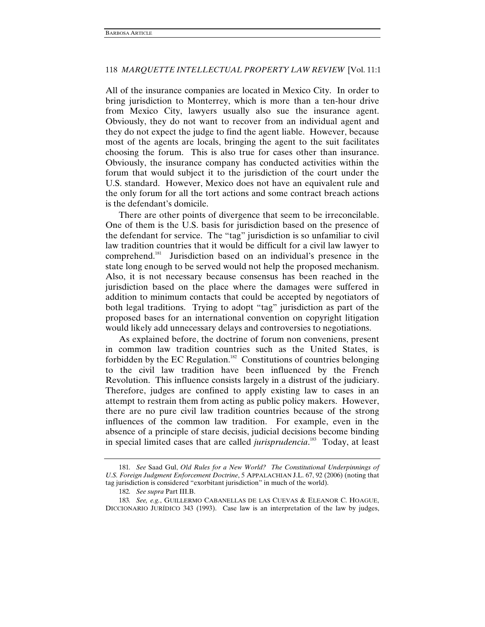All of the insurance companies are located in Mexico City. In order to bring jurisdiction to Monterrey, which is more than a ten-hour drive from Mexico City, lawyers usually also sue the insurance agent. Obviously, they do not want to recover from an individual agent and they do not expect the judge to find the agent liable. However, because most of the agents are locals, bringing the agent to the suit facilitates choosing the forum. This is also true for cases other than insurance. Obviously, the insurance company has conducted activities within the forum that would subject it to the jurisdiction of the court under the U.S. standard. However, Mexico does not have an equivalent rule and the only forum for all the tort actions and some contract breach actions is the defendant's domicile.

There are other points of divergence that seem to be irreconcilable. One of them is the U.S. basis for jurisdiction based on the presence of the defendant for service. The "tag" jurisdiction is so unfamiliar to civil law tradition countries that it would be difficult for a civil law lawyer to comprehend.181 Jurisdiction based on an individual's presence in the state long enough to be served would not help the proposed mechanism. Also, it is not necessary because consensus has been reached in the jurisdiction based on the place where the damages were suffered in addition to minimum contacts that could be accepted by negotiators of both legal traditions. Trying to adopt "tag" jurisdiction as part of the proposed bases for an international convention on copyright litigation would likely add unnecessary delays and controversies to negotiations.

As explained before, the doctrine of forum non conveniens, present in common law tradition countries such as the United States, is forbidden by the EC Regulation.<sup>182</sup> Constitutions of countries belonging to the civil law tradition have been influenced by the French Revolution. This influence consists largely in a distrust of the judiciary. Therefore, judges are confined to apply existing law to cases in an attempt to restrain them from acting as public policy makers. However, there are no pure civil law tradition countries because of the strong influences of the common law tradition. For example, even in the absence of a principle of stare decisis, judicial decisions become binding in special limited cases that are called *jurisprudencia*. 183 Today, at least

<sup>181</sup>*. See* Saad Gul, *Old Rules for a New World? The Constitutional Underpinnings of U.S. Foreign Judgment Enforcement Doctrine*, 5 APPALACHIAN J.L. 67, 92 (2006) (noting that tag jurisdiction is considered "exorbitant jurisdiction" in much of the world).

<sup>182</sup>*. See supra* Part III.B.

<sup>183</sup>*. See, e.g.*, GUILLERMO CABANELLAS DE LAS CUEVAS & ELEANOR C. HOAGUE, DICCIONARIO JURÍDICO 343 (1993). Case law is an interpretation of the law by judges,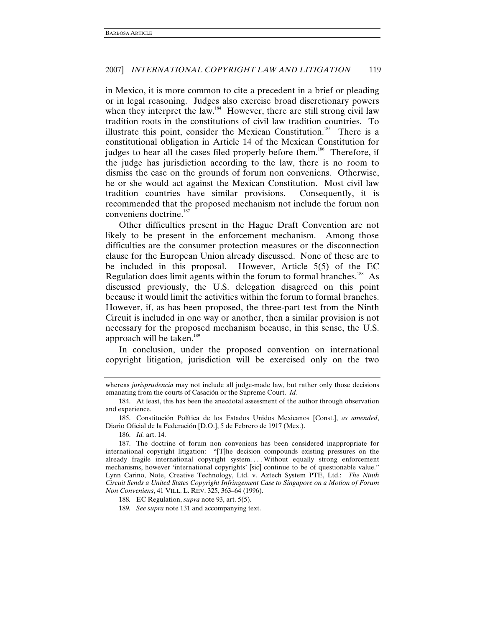in Mexico, it is more common to cite a precedent in a brief or pleading or in legal reasoning. Judges also exercise broad discretionary powers when they interpret the law.<sup>184</sup> However, there are still strong civil law tradition roots in the constitutions of civil law tradition countries. To illustrate this point, consider the Mexican Constitution.<sup>185</sup> There is a constitutional obligation in Article 14 of the Mexican Constitution for judges to hear all the cases filed properly before them.<sup>186</sup> Therefore, if the judge has jurisdiction according to the law, there is no room to dismiss the case on the grounds of forum non conveniens. Otherwise, he or she would act against the Mexican Constitution. Most civil law tradition countries have similar provisions. Consequently, it is recommended that the proposed mechanism not include the forum non conveniens doctrine.<sup>187</sup>

Other difficulties present in the Hague Draft Convention are not likely to be present in the enforcement mechanism. Among those difficulties are the consumer protection measures or the disconnection clause for the European Union already discussed. None of these are to be included in this proposal. However, Article 5(5) of the EC Regulation does limit agents within the forum to formal branches.<sup>188</sup> As discussed previously, the U.S. delegation disagreed on this point because it would limit the activities within the forum to formal branches. However, if, as has been proposed, the three-part test from the Ninth Circuit is included in one way or another, then a similar provision is not necessary for the proposed mechanism because, in this sense, the U.S. approach will be taken. $189$ 

In conclusion, under the proposed convention on international copyright litigation, jurisdiction will be exercised only on the two

whereas *jurisprudencia* may not include all judge-made law, but rather only those decisions emanating from the courts of Casación or the Supreme Court. *Id.*

 <sup>184.</sup> At least, this has been the anecdotal assessment of the author through observation and experience.

 <sup>185.</sup> Constitución Política de los Estados Unidos Mexicanos [Const.], *as amended*, Diario Oficial de la Federación [D.O.], 5 de Febrero de 1917 (Mex.).

 <sup>186.</sup> *Id.* art. 14.

 <sup>187.</sup> The doctrine of forum non conveniens has been considered inappropriate for international copyright litigation: "[T]he decision compounds existing pressures on the already fragile international copyright system. . . . Without equally strong enforcement mechanisms, however 'international copyrights' [sic] continue to be of questionable value." Lynn Carino, Note, Creative Technology, Ltd. v. Aztech System PTE, Ltd.: *The Ninth Circuit Sends a United States Copyright Infringement Case to Singapore on a Motion of Forum Non Conveniens*, 41 VILL. L. REV. 325, 363–64 (1996).

<sup>188</sup>*.* EC Regulation, *supra* note 93, art. 5(5).

<sup>189</sup>*. See supra* note 131 and accompanying text.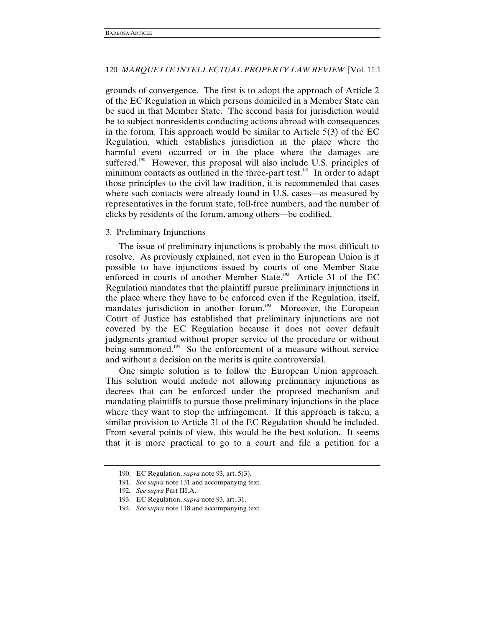grounds of convergence. The first is to adopt the approach of Article 2 of the EC Regulation in which persons domiciled in a Member State can be sued in that Member State. The second basis for jurisdiction would be to subject nonresidents conducting actions abroad with consequences in the forum. This approach would be similar to Article 5(3) of the EC Regulation, which establishes jurisdiction in the place where the harmful event occurred or in the place where the damages are suffered.<sup>190</sup> However, this proposal will also include U.S. principles of minimum contacts as outlined in the three-part test.<sup>191</sup> In order to adapt those principles to the civil law tradition, it is recommended that cases where such contacts were already found in U.S. cases—as measured by representatives in the forum state, toll-free numbers, and the number of clicks by residents of the forum, among others—be codified.

### 3. Preliminary Injunctions

The issue of preliminary injunctions is probably the most difficult to resolve. As previously explained, not even in the European Union is it possible to have injunctions issued by courts of one Member State enforced in courts of another Member State.<sup>192</sup> Article 31 of the EC Regulation mandates that the plaintiff pursue preliminary injunctions in the place where they have to be enforced even if the Regulation, itself, mandates jurisdiction in another forum.<sup>193</sup> Moreover, the European Court of Justice has established that preliminary injunctions are not covered by the EC Regulation because it does not cover default judgments granted without proper service of the procedure or without being summoned.<sup>194</sup> So the enforcement of a measure without service and without a decision on the merits is quite controversial.

One simple solution is to follow the European Union approach. This solution would include not allowing preliminary injunctions as decrees that can be enforced under the proposed mechanism and mandating plaintiffs to pursue those preliminary injunctions in the place where they want to stop the infringement. If this approach is taken, a similar provision to Article 31 of the EC Regulation should be included. From several points of view, this would be the best solution. It seems that it is more practical to go to a court and file a petition for a

 <sup>190.</sup> EC Regulation, *supra* note 93, art. 5(3).

<sup>191</sup>*. See supra* note 131 and accompanying text.

<sup>192</sup>*. See supra* Part III.A.

 <sup>193.</sup> EC Regulation, *supra* note 93, art. 31.

<sup>194</sup>*. See supra* note 118 and accompanying text.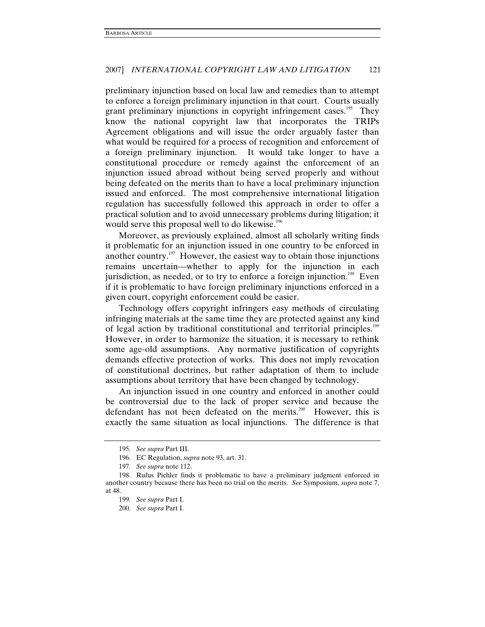preliminary injunction based on local law and remedies than to attempt to enforce a foreign preliminary injunction in that court. Courts usually grant preliminary injunctions in copyright infringement cases.<sup>195</sup> They know the national copyright law that incorporates the TRIPs Agreement obligations and will issue the order arguably faster than what would be required for a process of recognition and enforcement of a foreign preliminary injunction. It would take longer to have a constitutional procedure or remedy against the enforcement of an injunction issued abroad without being served properly and without being defeated on the merits than to have a local preliminary injunction issued and enforced. The most comprehensive international litigation regulation has successfully followed this approach in order to offer a practical solution and to avoid unnecessary problems during litigation; it would serve this proposal well to do likewise.<sup>196</sup>

Moreover, as previously explained, almost all scholarly writing finds it problematic for an injunction issued in one country to be enforced in another country.<sup>197</sup> However, the easiest way to obtain those injunctions remains uncertain—whether to apply for the injunction in each jurisdiction, as needed, or to try to enforce a foreign injunction.<sup>198</sup> Even if it is problematic to have foreign preliminary injunctions enforced in a given court, copyright enforcement could be easier.

Technology offers copyright infringers easy methods of circulating infringing materials at the same time they are protected against any kind of legal action by traditional constitutional and territorial principles.<sup>199</sup> However, in order to harmonize the situation, it is necessary to rethink some age-old assumptions. Any normative justification of copyrights demands effective protection of works. This does not imply revocation of constitutional doctrines, but rather adaptation of them to include assumptions about territory that have been changed by technology.

An injunction issued in one country and enforced in another could be controversial due to the lack of proper service and because the defendant has not been defeated on the merits.<sup>200</sup> However, this is exactly the same situation as local injunctions. The difference is that

<sup>195</sup>*. See supra* Part III.

 <sup>196.</sup> EC Regulation, *supra* note 93, art. 31.

<sup>197</sup>*. See supra* note 112.

 <sup>198.</sup> Rufus Pichler finds it problematic to have a preliminary judgment enforced in another country because there has been no trial on the merits. *See* Symposium, *supra* note 7, at 48.

<sup>199</sup>*. See supra* Part I.

<sup>200</sup>*. See supra* Part I.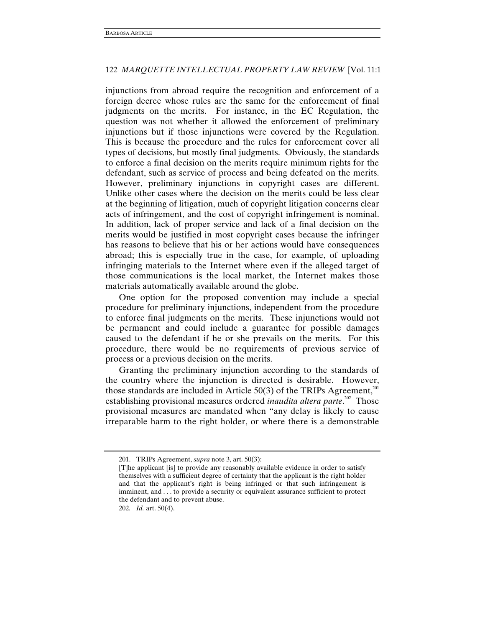injunctions from abroad require the recognition and enforcement of a foreign decree whose rules are the same for the enforcement of final judgments on the merits. For instance, in the EC Regulation, the question was not whether it allowed the enforcement of preliminary injunctions but if those injunctions were covered by the Regulation. This is because the procedure and the rules for enforcement cover all types of decisions, but mostly final judgments. Obviously, the standards to enforce a final decision on the merits require minimum rights for the defendant, such as service of process and being defeated on the merits. However, preliminary injunctions in copyright cases are different. Unlike other cases where the decision on the merits could be less clear at the beginning of litigation, much of copyright litigation concerns clear acts of infringement, and the cost of copyright infringement is nominal. In addition, lack of proper service and lack of a final decision on the merits would be justified in most copyright cases because the infringer has reasons to believe that his or her actions would have consequences abroad; this is especially true in the case, for example, of uploading infringing materials to the Internet where even if the alleged target of those communications is the local market, the Internet makes those materials automatically available around the globe.

One option for the proposed convention may include a special procedure for preliminary injunctions, independent from the procedure to enforce final judgments on the merits. These injunctions would not be permanent and could include a guarantee for possible damages caused to the defendant if he or she prevails on the merits. For this procedure, there would be no requirements of previous service of process or a previous decision on the merits.

Granting the preliminary injunction according to the standards of the country where the injunction is directed is desirable. However, those standards are included in Article 50(3) of the TRIPs Agreement, $^{201}$ establishing provisional measures ordered *inaudita altera parte*.<sup>202</sup> Those provisional measures are mandated when "any delay is likely to cause irreparable harm to the right holder, or where there is a demonstrable

 <sup>201.</sup> TRIPs Agreement, *supra* note 3, art. 50(3):

<sup>[</sup>T]he applicant [is] to provide any reasonably available evidence in order to satisfy themselves with a sufficient degree of certainty that the applicant is the right holder and that the applicant's right is being infringed or that such infringement is imminent, and . . . to provide a security or equivalent assurance sufficient to protect the defendant and to prevent abuse.

<sup>202</sup>*. Id.* art. 50(4).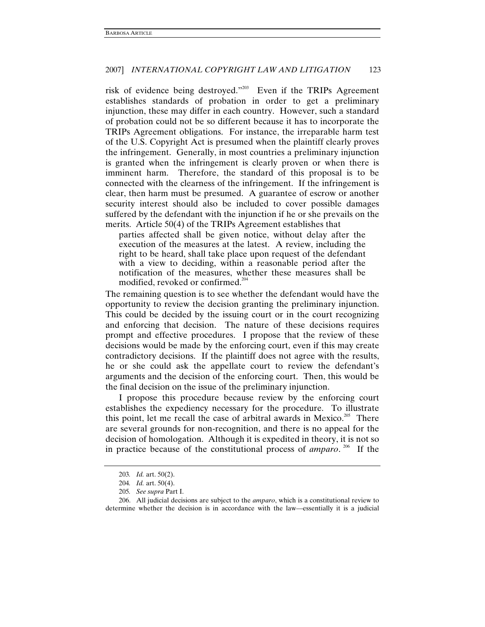risk of evidence being destroyed."203 Even if the TRIPs Agreement establishes standards of probation in order to get a preliminary injunction, these may differ in each country. However, such a standard of probation could not be so different because it has to incorporate the TRIPs Agreement obligations. For instance, the irreparable harm test of the U.S. Copyright Act is presumed when the plaintiff clearly proves the infringement. Generally, in most countries a preliminary injunction is granted when the infringement is clearly proven or when there is imminent harm. Therefore, the standard of this proposal is to be connected with the clearness of the infringement. If the infringement is clear, then harm must be presumed. A guarantee of escrow or another security interest should also be included to cover possible damages suffered by the defendant with the injunction if he or she prevails on the merits. Article 50(4) of the TRIPs Agreement establishes that

parties affected shall be given notice, without delay after the execution of the measures at the latest. A review, including the right to be heard, shall take place upon request of the defendant with a view to deciding, within a reasonable period after the notification of the measures, whether these measures shall be modified, revoked or confirmed.<sup>204</sup>

The remaining question is to see whether the defendant would have the opportunity to review the decision granting the preliminary injunction. This could be decided by the issuing court or in the court recognizing and enforcing that decision. The nature of these decisions requires prompt and effective procedures. I propose that the review of these decisions would be made by the enforcing court, even if this may create contradictory decisions. If the plaintiff does not agree with the results, he or she could ask the appellate court to review the defendant's arguments and the decision of the enforcing court. Then, this would be the final decision on the issue of the preliminary injunction.

I propose this procedure because review by the enforcing court establishes the expediency necessary for the procedure. To illustrate this point, let me recall the case of arbitral awards in Mexico.<sup>205</sup> There are several grounds for non-recognition, and there is no appeal for the decision of homologation. Although it is expedited in theory, it is not so in practice because of the constitutional process of *amparo*.<sup>206</sup> If the

<sup>203</sup>*. Id.* art. 50(2).

<sup>204</sup>*. Id.* art. 50(4).

<sup>205</sup>*. See supra* Part I.

 <sup>206.</sup> All judicial decisions are subject to the *amparo*, which is a constitutional review to determine whether the decision is in accordance with the law—essentially it is a judicial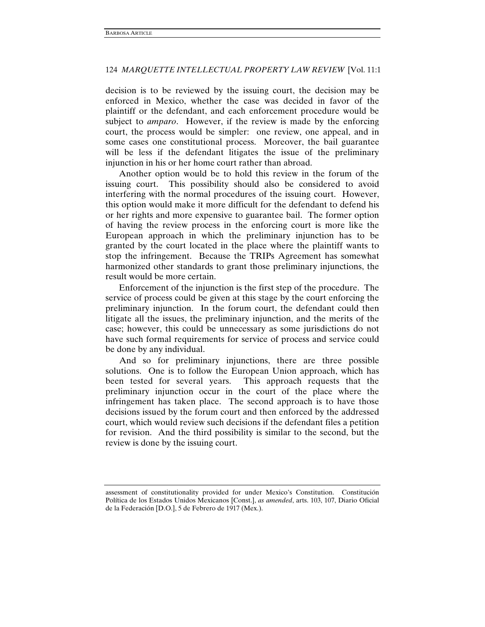decision is to be reviewed by the issuing court, the decision may be enforced in Mexico, whether the case was decided in favor of the plaintiff or the defendant, and each enforcement procedure would be subject to *amparo*. However, if the review is made by the enforcing court, the process would be simpler: one review, one appeal, and in some cases one constitutional process. Moreover, the bail guarantee will be less if the defendant litigates the issue of the preliminary injunction in his or her home court rather than abroad.

Another option would be to hold this review in the forum of the issuing court. This possibility should also be considered to avoid interfering with the normal procedures of the issuing court. However, this option would make it more difficult for the defendant to defend his or her rights and more expensive to guarantee bail. The former option of having the review process in the enforcing court is more like the European approach in which the preliminary injunction has to be granted by the court located in the place where the plaintiff wants to stop the infringement. Because the TRIPs Agreement has somewhat harmonized other standards to grant those preliminary injunctions, the result would be more certain.

Enforcement of the injunction is the first step of the procedure. The service of process could be given at this stage by the court enforcing the preliminary injunction. In the forum court, the defendant could then litigate all the issues, the preliminary injunction, and the merits of the case; however, this could be unnecessary as some jurisdictions do not have such formal requirements for service of process and service could be done by any individual.

And so for preliminary injunctions, there are three possible solutions. One is to follow the European Union approach, which has been tested for several years. This approach requests that the preliminary injunction occur in the court of the place where the infringement has taken place. The second approach is to have those decisions issued by the forum court and then enforced by the addressed court, which would review such decisions if the defendant files a petition for revision. And the third possibility is similar to the second, but the review is done by the issuing court.

assessment of constitutionality provided for under Mexico's Constitution. Constitución Política de los Estados Unidos Mexicanos [Const.], *as amended*, arts. 103, 107, Diario Oficial de la Federación [D.O.], 5 de Febrero de 1917 (Mex.).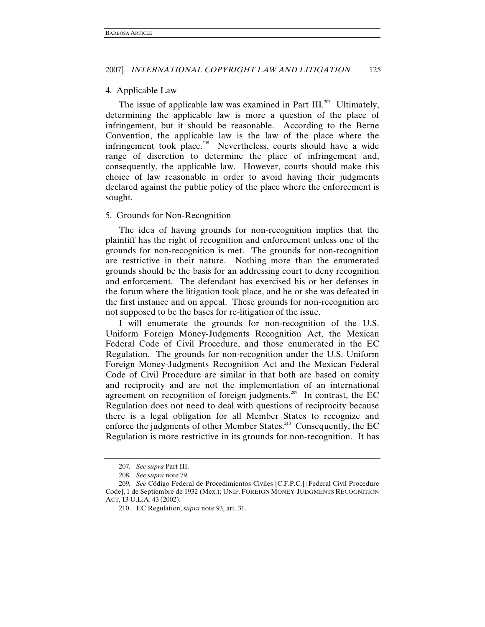#### 4. Applicable Law

The issue of applicable law was examined in Part III.<sup>207</sup> Ultimately, determining the applicable law is more a question of the place of infringement, but it should be reasonable. According to the Berne Convention, the applicable law is the law of the place where the infringement took place.<sup>208</sup> Nevertheless, courts should have a wide range of discretion to determine the place of infringement and, consequently, the applicable law. However, courts should make this choice of law reasonable in order to avoid having their judgments declared against the public policy of the place where the enforcement is sought.

#### 5. Grounds for Non-Recognition

The idea of having grounds for non-recognition implies that the plaintiff has the right of recognition and enforcement unless one of the grounds for non-recognition is met. The grounds for non-recognition are restrictive in their nature. Nothing more than the enumerated grounds should be the basis for an addressing court to deny recognition and enforcement. The defendant has exercised his or her defenses in the forum where the litigation took place, and he or she was defeated in the first instance and on appeal. These grounds for non-recognition are not supposed to be the bases for re-litigation of the issue.

I will enumerate the grounds for non-recognition of the U.S. Uniform Foreign Money-Judgments Recognition Act, the Mexican Federal Code of Civil Procedure, and those enumerated in the EC Regulation. The grounds for non-recognition under the U.S. Uniform Foreign Money-Judgments Recognition Act and the Mexican Federal Code of Civil Procedure are similar in that both are based on comity and reciprocity and are not the implementation of an international agreement on recognition of foreign judgments.<sup>209</sup> In contrast, the EC Regulation does not need to deal with questions of reciprocity because there is a legal obligation for all Member States to recognize and enforce the judgments of other Member States.<sup>210</sup> Consequently, the EC Regulation is more restrictive in its grounds for non-recognition. It has

<sup>207</sup>*. See supra* Part III.

<sup>208</sup>*. See supra* note 79.

<sup>209</sup>*. See* Código Federal de Procedimientos Civiles [C.F.P.C.] [Federal Civil Procedure Code], 1 de Septiembre de 1932 (Mex.); UNIF. FOREIGN MONEY-JUDGMENTS RECOGNITION ACT, 13 U.L.A. 43 (2002).

 <sup>210.</sup> EC Regulation, *supra* note 93, art. 31.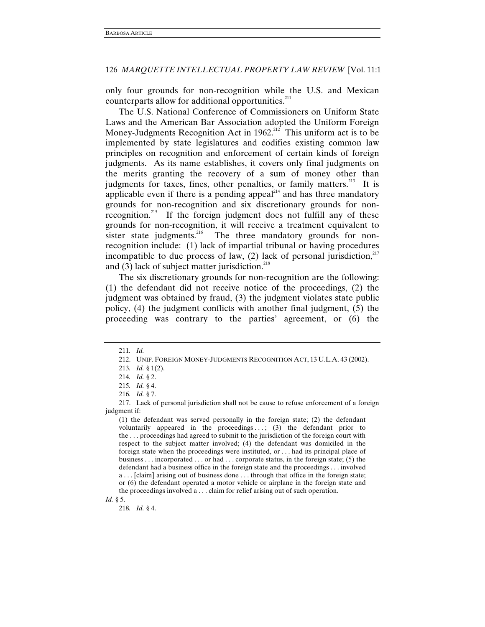only four grounds for non-recognition while the U.S. and Mexican counterparts allow for additional opportunities.<sup>211</sup>

The U.S. National Conference of Commissioners on Uniform State Laws and the American Bar Association adopted the Uniform Foreign Money-Judgments Recognition Act in  $1962$ <sup>212</sup> This uniform act is to be implemented by state legislatures and codifies existing common law principles on recognition and enforcement of certain kinds of foreign judgments. As its name establishes, it covers only final judgments on the merits granting the recovery of a sum of money other than judgments for taxes, fines, other penalties, or family matters.<sup>213</sup> It is applicable even if there is a pending appeal $214$  and has three mandatory grounds for non-recognition and six discretionary grounds for nonrecognition.<sup>215</sup> If the foreign judgment does not fulfill any of these grounds for non-recognition, it will receive a treatment equivalent to sister state judgments.<sup>216</sup> The three mandatory grounds for nonrecognition include: (1) lack of impartial tribunal or having procedures incompatible to due process of law,  $(2)$  lack of personal jurisdiction,<sup>217</sup> and  $(3)$  lack of subject matter jurisdiction.<sup>218</sup>

The six discretionary grounds for non-recognition are the following: (1) the defendant did not receive notice of the proceedings, (2) the judgment was obtained by fraud, (3) the judgment violates state public policy, (4) the judgment conflicts with another final judgment, (5) the proceeding was contrary to the parties' agreement, or (6) the

<sup>211</sup>*. Id.*

 <sup>212.</sup> UNIF. FOREIGN MONEY-JUDGMENTS RECOGNITION ACT, 13 U.L.A. 43 (2002).

<sup>213</sup>*. Id.* § 1(2).

<sup>214</sup>*. Id.* § 2.

<sup>215</sup>*. Id.* § 4.

<sup>216</sup>*. Id.* § 7.

 <sup>217.</sup> Lack of personal jurisdiction shall not be cause to refuse enforcement of a foreign judgment if:

<sup>(1)</sup> the defendant was served personally in the foreign state; (2) the defendant voluntarily appeared in the proceedings  $\ldots$ ; (3) the defendant prior to the . . . proceedings had agreed to submit to the jurisdiction of the foreign court with respect to the subject matter involved; (4) the defendant was domiciled in the foreign state when the proceedings were instituted, or . . . had its principal place of business . . . incorporated . . . or had . . . corporate status, in the foreign state; (5) the defendant had a business office in the foreign state and the proceedings . . . involved a . . . [claim] arising out of business done . . . through that office in the foreign state; or (6) the defendant operated a motor vehicle or airplane in the foreign state and the proceedings involved a . . . claim for relief arising out of such operation.

*Id.* § 5.

<sup>218</sup>*. Id.* § 4.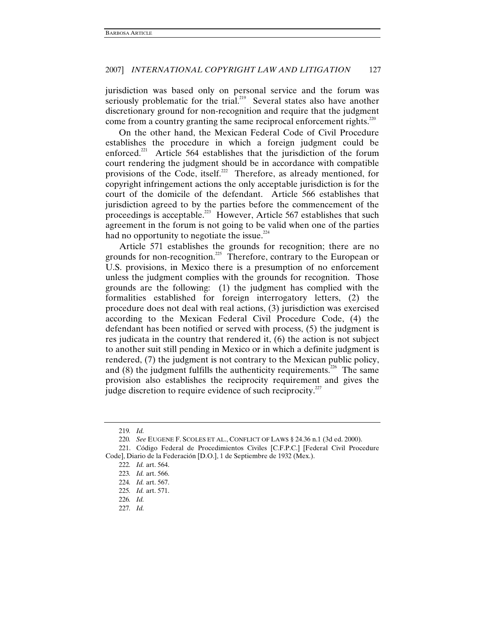jurisdiction was based only on personal service and the forum was seriously problematic for the trial.<sup>219</sup> Several states also have another discretionary ground for non-recognition and require that the judgment come from a country granting the same reciprocal enforcement rights. $^{220}$ 

On the other hand, the Mexican Federal Code of Civil Procedure establishes the procedure in which a foreign judgment could be enforced.<sup>221</sup> Article 564 establishes that the jurisdiction of the forum court rendering the judgment should be in accordance with compatible provisions of the Code, itself.<sup>222</sup> Therefore, as already mentioned, for copyright infringement actions the only acceptable jurisdiction is for the court of the domicile of the defendant. Article 566 establishes that jurisdiction agreed to by the parties before the commencement of the proceedings is acceptable.<sup>223</sup> However, Article 567 establishes that such agreement in the forum is not going to be valid when one of the parties had no opportunity to negotiate the issue. $224$ 

Article 571 establishes the grounds for recognition; there are no grounds for non-recognition.<sup>225</sup> Therefore, contrary to the European or U.S. provisions, in Mexico there is a presumption of no enforcement unless the judgment complies with the grounds for recognition. Those grounds are the following: (1) the judgment has complied with the formalities established for foreign interrogatory letters, (2) the procedure does not deal with real actions, (3) jurisdiction was exercised according to the Mexican Federal Civil Procedure Code, (4) the defendant has been notified or served with process, (5) the judgment is res judicata in the country that rendered it, (6) the action is not subject to another suit still pending in Mexico or in which a definite judgment is rendered, (7) the judgment is not contrary to the Mexican public policy, and  $(8)$  the judgment fulfills the authenticity requirements.<sup>226</sup> The same provision also establishes the reciprocity requirement and gives the judge discretion to require evidence of such reciprocity. $227$ 

<sup>219</sup>*. Id.*

<sup>220</sup>*. See* EUGENE F. SCOLES ET AL., CONFLICT OF LAWS § 24.36 n.1 (3d ed. 2000).

 <sup>221.</sup> Código Federal de Procedimientos Civiles [C.F.P.C.] [Federal Civil Procedure Code], Diario de la Federación [D.O.], 1 de Septiembre de 1932 (Mex.).

<sup>222</sup>*. Id.* art. 564.

<sup>223</sup>*. Id.* art. 566.

<sup>224</sup>*. Id.* art. 567.

<sup>225</sup>*. Id.* art. 571.

<sup>226</sup>*. Id.*

<sup>227</sup>*. Id.*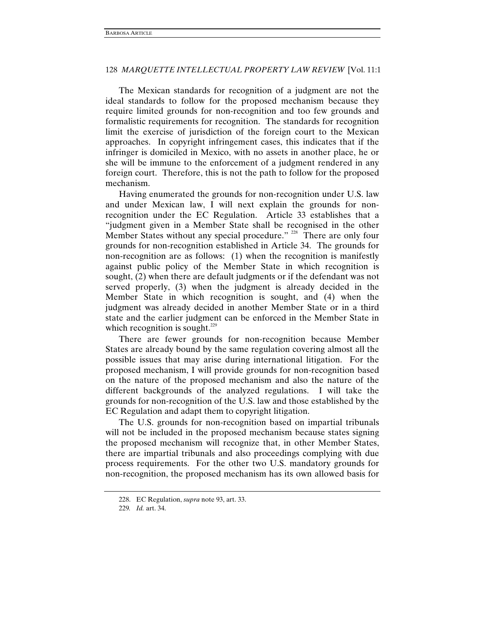The Mexican standards for recognition of a judgment are not the ideal standards to follow for the proposed mechanism because they require limited grounds for non-recognition and too few grounds and formalistic requirements for recognition. The standards for recognition limit the exercise of jurisdiction of the foreign court to the Mexican approaches. In copyright infringement cases, this indicates that if the infringer is domiciled in Mexico, with no assets in another place, he or she will be immune to the enforcement of a judgment rendered in any foreign court. Therefore, this is not the path to follow for the proposed mechanism.

Having enumerated the grounds for non-recognition under U.S. law and under Mexican law, I will next explain the grounds for nonrecognition under the EC Regulation. Article 33 establishes that a "judgment given in a Member State shall be recognised in the other Member States without any special procedure." <sup>228</sup> There are only four grounds for non-recognition established in Article 34. The grounds for non-recognition are as follows: (1) when the recognition is manifestly against public policy of the Member State in which recognition is sought, (2) when there are default judgments or if the defendant was not served properly, (3) when the judgment is already decided in the Member State in which recognition is sought, and (4) when the judgment was already decided in another Member State or in a third state and the earlier judgment can be enforced in the Member State in which recognition is sought.<sup>229</sup>

There are fewer grounds for non-recognition because Member States are already bound by the same regulation covering almost all the possible issues that may arise during international litigation. For the proposed mechanism, I will provide grounds for non-recognition based on the nature of the proposed mechanism and also the nature of the different backgrounds of the analyzed regulations. I will take the grounds for non-recognition of the U.S. law and those established by the EC Regulation and adapt them to copyright litigation.

The U.S. grounds for non-recognition based on impartial tribunals will not be included in the proposed mechanism because states signing the proposed mechanism will recognize that, in other Member States, there are impartial tribunals and also proceedings complying with due process requirements. For the other two U.S. mandatory grounds for non-recognition, the proposed mechanism has its own allowed basis for

 <sup>228.</sup> EC Regulation, *supra* note 93, art. 33.

<sup>229</sup>*. Id.* art. 34.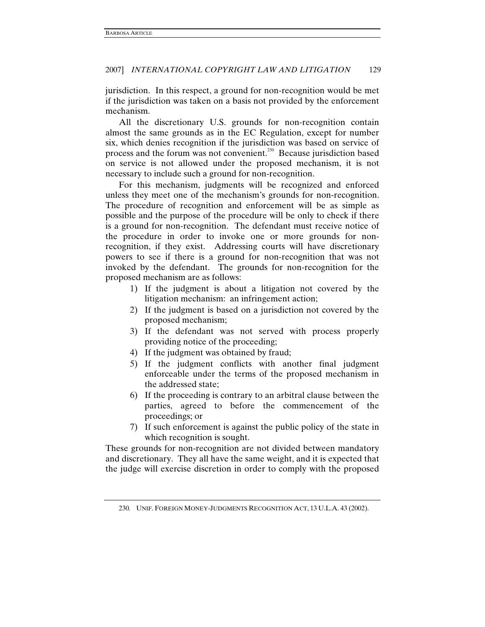jurisdiction. In this respect, a ground for non-recognition would be met if the jurisdiction was taken on a basis not provided by the enforcement mechanism.

All the discretionary U.S. grounds for non-recognition contain almost the same grounds as in the EC Regulation, except for number six, which denies recognition if the jurisdiction was based on service of process and the forum was not convenient.<sup>230</sup> Because jurisdiction based on service is not allowed under the proposed mechanism, it is not necessary to include such a ground for non-recognition.

For this mechanism, judgments will be recognized and enforced unless they meet one of the mechanism's grounds for non-recognition. The procedure of recognition and enforcement will be as simple as possible and the purpose of the procedure will be only to check if there is a ground for non-recognition. The defendant must receive notice of the procedure in order to invoke one or more grounds for nonrecognition, if they exist. Addressing courts will have discretionary powers to see if there is a ground for non-recognition that was not invoked by the defendant. The grounds for non-recognition for the proposed mechanism are as follows:

- 1) If the judgment is about a litigation not covered by the litigation mechanism: an infringement action;
- 2) If the judgment is based on a jurisdiction not covered by the proposed mechanism;
- 3) If the defendant was not served with process properly providing notice of the proceeding;
- 4) If the judgment was obtained by fraud;
- 5) If the judgment conflicts with another final judgment enforceable under the terms of the proposed mechanism in the addressed state;
- 6) If the proceeding is contrary to an arbitral clause between the parties, agreed to before the commencement of the proceedings; or
- 7) If such enforcement is against the public policy of the state in which recognition is sought.

These grounds for non-recognition are not divided between mandatory and discretionary. They all have the same weight, and it is expected that the judge will exercise discretion in order to comply with the proposed

<sup>230</sup>*.* UNIF. FOREIGN MONEY-JUDGMENTS RECOGNITION ACT, 13 U.L.A. 43 (2002).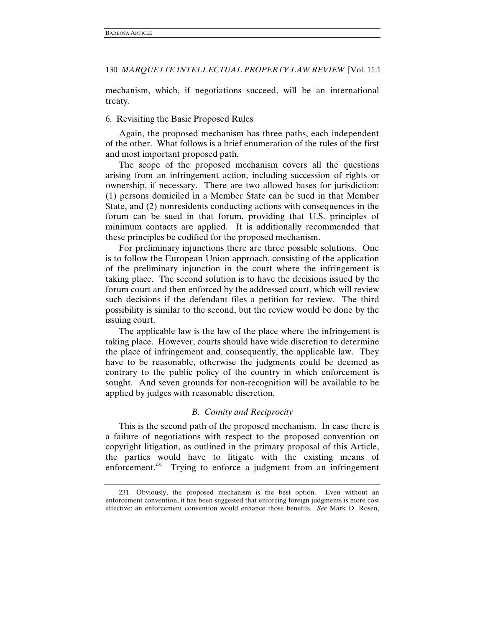mechanism, which, if negotiations succeed, will be an international treaty.

# 6. Revisiting the Basic Proposed Rules

Again, the proposed mechanism has three paths, each independent of the other. What follows is a brief enumeration of the rules of the first and most important proposed path.

The scope of the proposed mechanism covers all the questions arising from an infringement action, including succession of rights or ownership, if necessary. There are two allowed bases for jurisdiction: (1) persons domiciled in a Member State can be sued in that Member State, and (2) nonresidents conducting actions with consequences in the forum can be sued in that forum, providing that U.S. principles of minimum contacts are applied. It is additionally recommended that these principles be codified for the proposed mechanism.

For preliminary injunctions there are three possible solutions. One is to follow the European Union approach, consisting of the application of the preliminary injunction in the court where the infringement is taking place. The second solution is to have the decisions issued by the forum court and then enforced by the addressed court, which will review such decisions if the defendant files a petition for review. The third possibility is similar to the second, but the review would be done by the issuing court.

The applicable law is the law of the place where the infringement is taking place. However, courts should have wide discretion to determine the place of infringement and, consequently, the applicable law. They have to be reasonable, otherwise the judgments could be deemed as contrary to the public policy of the country in which enforcement is sought. And seven grounds for non-recognition will be available to be applied by judges with reasonable discretion.

# *B. Comity and Reciprocity*

This is the second path of the proposed mechanism. In case there is a failure of negotiations with respect to the proposed convention on copyright litigation, as outlined in the primary proposal of this Article, the parties would have to litigate with the existing means of enforcement.<sup>231</sup> Trying to enforce a judgment from an infringement

 <sup>231.</sup> Obviously, the proposed mechanism is the best option. Even without an enforcement convention, it has been suggested that enforcing foreign judgments is more cost effective; an enforcement convention would enhance those benefits. *See* Mark D. Rosen,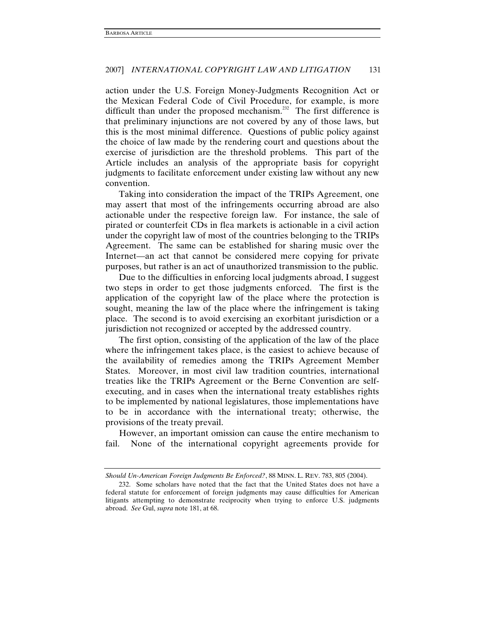action under the U.S. Foreign Money-Judgments Recognition Act or the Mexican Federal Code of Civil Procedure, for example, is more difficult than under the proposed mechanism.<sup>232</sup> The first difference is that preliminary injunctions are not covered by any of those laws, but this is the most minimal difference. Questions of public policy against the choice of law made by the rendering court and questions about the exercise of jurisdiction are the threshold problems. This part of the Article includes an analysis of the appropriate basis for copyright judgments to facilitate enforcement under existing law without any new convention.

Taking into consideration the impact of the TRIPs Agreement, one may assert that most of the infringements occurring abroad are also actionable under the respective foreign law. For instance, the sale of pirated or counterfeit CDs in flea markets is actionable in a civil action under the copyright law of most of the countries belonging to the TRIPs Agreement. The same can be established for sharing music over the Internet—an act that cannot be considered mere copying for private purposes, but rather is an act of unauthorized transmission to the public.

Due to the difficulties in enforcing local judgments abroad, I suggest two steps in order to get those judgments enforced. The first is the application of the copyright law of the place where the protection is sought, meaning the law of the place where the infringement is taking place. The second is to avoid exercising an exorbitant jurisdiction or a jurisdiction not recognized or accepted by the addressed country.

The first option, consisting of the application of the law of the place where the infringement takes place, is the easiest to achieve because of the availability of remedies among the TRIPs Agreement Member States. Moreover, in most civil law tradition countries, international treaties like the TRIPs Agreement or the Berne Convention are selfexecuting, and in cases when the international treaty establishes rights to be implemented by national legislatures, those implementations have to be in accordance with the international treaty; otherwise, the provisions of the treaty prevail.

However, an important omission can cause the entire mechanism to fail. None of the international copyright agreements provide for

*Should Un-American Foreign Judgments Be Enforced?*, 88 MINN. L. REV. 783, 805 (2004).

 <sup>232.</sup> Some scholars have noted that the fact that the United States does not have a federal statute for enforcement of foreign judgments may cause difficulties for American litigants attempting to demonstrate reciprocity when trying to enforce U.S. judgments abroad. *See* Gul, *supra* note 181, at 68.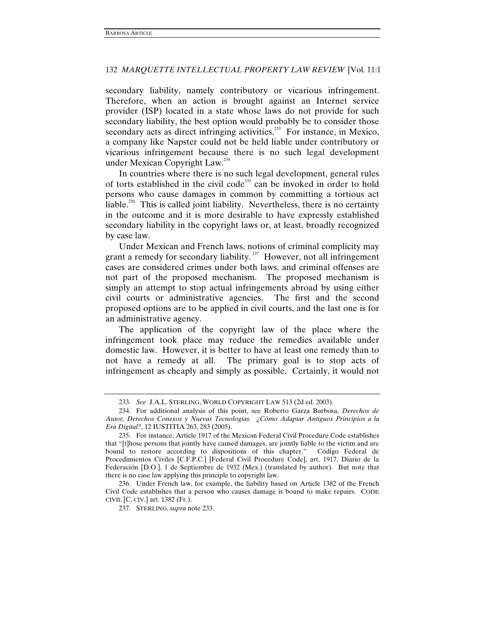secondary liability, namely contributory or vicarious infringement. Therefore, when an action is brought against an Internet service provider (ISP) located in a state whose laws do not provide for such secondary liability, the best option would probably be to consider those secondary acts as direct infringing activities.<sup> $233$ </sup> For instance, in Mexico, a company like Napster could not be held liable under contributory or vicarious infringement because there is no such legal development under Mexican Copyright Law.<sup>234</sup>

In countries where there is no such legal development, general rules of torts established in the civil code<sup>235</sup> can be invoked in order to hold persons who cause damages in common by committing a tortious act liable.<sup>236</sup> This is called joint liability. Nevertheless, there is no certainty in the outcome and it is more desirable to have expressly established secondary liability in the copyright laws or, at least, broadly recognized by case law.

Under Mexican and French laws, notions of criminal complicity may grant a remedy for secondary liability.<sup>237</sup> However, not all infringement cases are considered crimes under both laws, and criminal offenses are not part of the proposed mechanism. The proposed mechanism is simply an attempt to stop actual infringements abroad by using either civil courts or administrative agencies. The first and the second proposed options are to be applied in civil courts, and the last one is for an administrative agency.

The application of the copyright law of the place where the infringement took place may reduce the remedies available under domestic law. However, it is better to have at least one remedy than to not have a remedy at all. The primary goal is to stop acts of infringement as cheaply and simply as possible. Certainly, it would not

<sup>233</sup>*. See* J.A.L. STERLING, WORLD COPYRIGHT LAW 513 (2d ed. 2003).

 <sup>234.</sup> For additional analysis of this point, see Roberto Garza Barbosa, *Derechos de Autor, Derechos Conexos y Nuevas Tecnologías. ¿Cómo Adaptar Antiguos Principios a la Era Digital?*, 12 IUSTITIA 263, 283 (2005).

 <sup>235.</sup> For instance, Article 1917 of the Mexican Federal Civil Procedure Code establishes that "[t]hose persons that jointly have caused damages, are jointly liable to the victim and are bound to restore according to dispositions of this chapter." Código Federal de Procedimientos Civiles [C.F.P.C.] [Federal Civil Procedure Code], art. 1917, Diario de la Federación [D.O.], 1 de Septiembre de 1932 (Mex.) (translated by author).But note that there is no case law applying this principle to copyright law.

 <sup>236.</sup> Under French law, for example, the liability based on Article 1382 of the French Civil Code establishes that a person who causes damage is bound to make repairs. CODE CIVIL [C. CIV.] art. 1382 (Fr.).

 <sup>237.</sup> STERLING, *supra* note 233.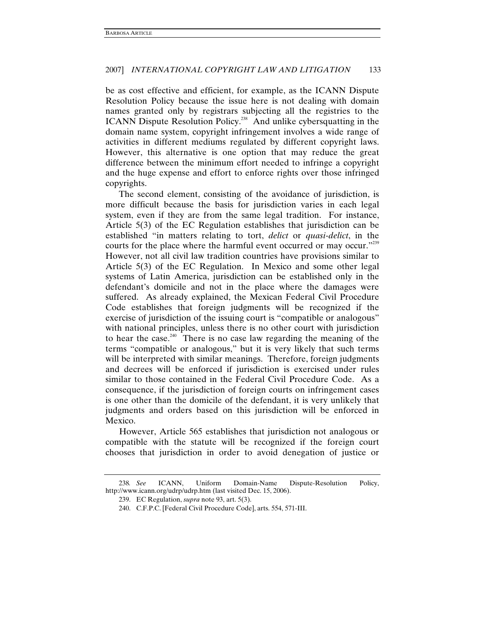be as cost effective and efficient, for example, as the ICANN Dispute Resolution Policy because the issue here is not dealing with domain names granted only by registrars subjecting all the registries to the ICANN Dispute Resolution Policy.<sup>238</sup> And unlike cybersquatting in the domain name system, copyright infringement involves a wide range of activities in different mediums regulated by different copyright laws. However, this alternative is one option that may reduce the great difference between the minimum effort needed to infringe a copyright and the huge expense and effort to enforce rights over those infringed copyrights.

The second element, consisting of the avoidance of jurisdiction, is more difficult because the basis for jurisdiction varies in each legal system, even if they are from the same legal tradition. For instance, Article 5(3) of the EC Regulation establishes that jurisdiction can be established "in matters relating to tort, *delict* or *quasi-delict*, in the courts for the place where the harmful event occurred or may occur."<sup>239</sup> However, not all civil law tradition countries have provisions similar to Article 5(3) of the EC Regulation. In Mexico and some other legal systems of Latin America, jurisdiction can be established only in the defendant's domicile and not in the place where the damages were suffered. As already explained, the Mexican Federal Civil Procedure Code establishes that foreign judgments will be recognized if the exercise of jurisdiction of the issuing court is "compatible or analogous" with national principles, unless there is no other court with jurisdiction to hear the case.<sup>240</sup> There is no case law regarding the meaning of the terms "compatible or analogous," but it is very likely that such terms will be interpreted with similar meanings. Therefore, foreign judgments and decrees will be enforced if jurisdiction is exercised under rules similar to those contained in the Federal Civil Procedure Code. As a consequence, if the jurisdiction of foreign courts on infringement cases is one other than the domicile of the defendant, it is very unlikely that judgments and orders based on this jurisdiction will be enforced in Mexico.

However, Article 565 establishes that jurisdiction not analogous or compatible with the statute will be recognized if the foreign court chooses that jurisdiction in order to avoid denegation of justice or

<sup>238</sup>*. See* ICANN, Uniform Domain-Name Dispute-Resolution Policy, http://www.icann.org/udrp/udrp.htm (last visited Dec. 15, 2006).

 <sup>239.</sup> EC Regulation, *supra* note 93, art. 5(3).

 <sup>240.</sup> C.F.P.C. [Federal Civil Procedure Code], arts. 554, 571-III.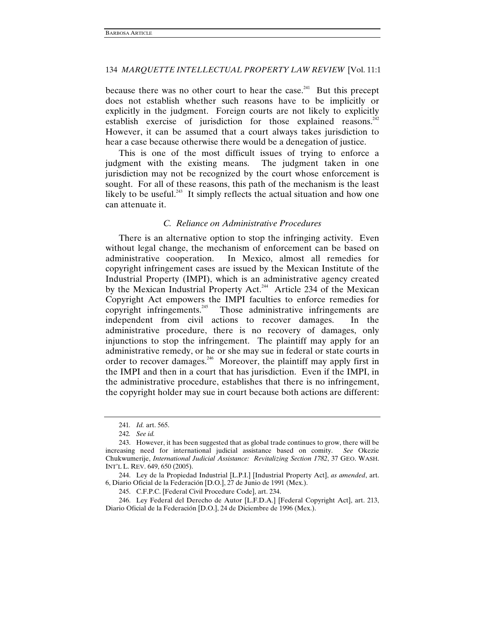because there was no other court to hear the case.<sup>241</sup> But this precept does not establish whether such reasons have to be implicitly or explicitly in the judgment. Foreign courts are not likely to explicitly establish exercise of jurisdiction for those explained reasons. $242$ However, it can be assumed that a court always takes jurisdiction to hear a case because otherwise there would be a denegation of justice.

This is one of the most difficult issues of trying to enforce a judgment with the existing means. The judgment taken in one jurisdiction may not be recognized by the court whose enforcement is sought. For all of these reasons, this path of the mechanism is the least likely to be useful.<sup>243</sup> It simply reflects the actual situation and how one can attenuate it.

### *C. Reliance on Administrative Procedures*

There is an alternative option to stop the infringing activity. Even without legal change, the mechanism of enforcement can be based on administrative cooperation. In Mexico, almost all remedies for copyright infringement cases are issued by the Mexican Institute of the Industrial Property (IMPI), which is an administrative agency created by the Mexican Industrial Property Act.<sup>244</sup> Article 234 of the Mexican Copyright Act empowers the IMPI faculties to enforce remedies for copyright infringements.<sup>245</sup> Those administrative infringements are independent from civil actions to recover damages. In the administrative procedure, there is no recovery of damages, only injunctions to stop the infringement. The plaintiff may apply for an administrative remedy, or he or she may sue in federal or state courts in order to recover damages.<sup>246</sup> Moreover, the plaintiff may apply first in the IMPI and then in a court that has jurisdiction. Even if the IMPI, in the administrative procedure, establishes that there is no infringement, the copyright holder may sue in court because both actions are different:

 246. Ley Federal del Derecho de Autor [L.F.D.A.] [Federal Copyright Act], art. 213, Diario Oficial de la Federación [D.O.], 24 de Diciembre de 1996 (Mex.).

<sup>241</sup>*. Id.* art. 565.

<sup>242</sup>*. See id.*

 <sup>243.</sup> However, it has been suggested that as global trade continues to grow, there will be increasing need for international judicial assistance based on comity. *See* Okezie Chukwumerije, *International Judicial Assistance: Revitalizing Section 1782*, 37 GEO. WASH. INT'L L. REV. 649, 650 (2005).

 <sup>244.</sup> Ley de la Propiedad Industrial [L.P.I.] [Industrial Property Act], *as amended*, art. 6, Diario Oficial de la Federación [D.O.], 27 de Junio de 1991 (Mex.).

 <sup>245.</sup> C.F.P.C. [Federal Civil Procedure Code], art. 234.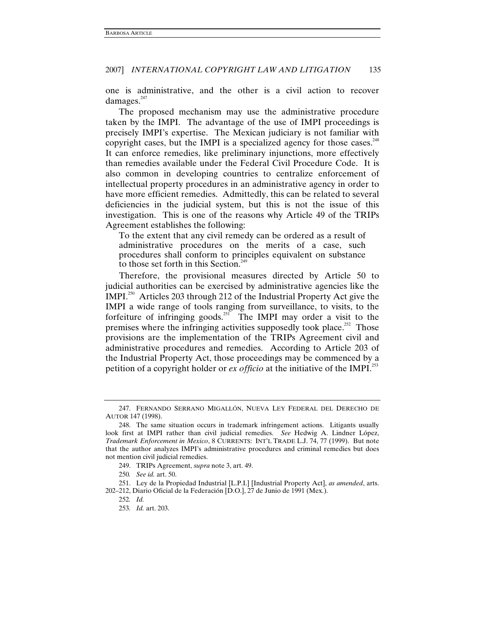one is administrative, and the other is a civil action to recover damages.<sup>247</sup>

The proposed mechanism may use the administrative procedure taken by the IMPI. The advantage of the use of IMPI proceedings is precisely IMPI's expertise. The Mexican judiciary is not familiar with copyright cases, but the IMPI is a specialized agency for those cases.<sup>248</sup> It can enforce remedies, like preliminary injunctions, more effectively than remedies available under the Federal Civil Procedure Code. It is also common in developing countries to centralize enforcement of intellectual property procedures in an administrative agency in order to have more efficient remedies. Admittedly, this can be related to several deficiencies in the judicial system, but this is not the issue of this investigation. This is one of the reasons why Article 49 of the TRIPs Agreement establishes the following:

To the extent that any civil remedy can be ordered as a result of administrative procedures on the merits of a case, such procedures shall conform to principles equivalent on substance to those set forth in this Section.<sup>24</sup>

Therefore, the provisional measures directed by Article 50 to judicial authorities can be exercised by administrative agencies like the IMPI.250 Articles 203 through 212 of the Industrial Property Act give the IMPI a wide range of tools ranging from surveillance, to visits, to the forfeiture of infringing goods.<sup>251</sup> The IMPI may order a visit to the premises where the infringing activities supposedly took place.<sup>252</sup> Those provisions are the implementation of the TRIPs Agreement civil and administrative procedures and remedies. According to Article 203 of the Industrial Property Act, those proceedings may be commenced by a petition of a copyright holder or *ex officio* at the initiative of the IMPI.<sup>253</sup>

 <sup>247.</sup> FERNANDO SERRANO MIGALLÓN, NUEVA LEY FEDERAL DEL DERECHO DE AUTOR 147 (1998).

 <sup>248.</sup> The same situation occurs in trademark infringement actions. Litigants usually look first at IMPI rather than civil judicial remedies. *See* Hedwig A. Lindner López, *Trademark Enforcement in Mexico*, 8 CURRENTS: INT'L TRADE L.J. 74, 77 (1999). But note that the author analyzes IMPI's administrative procedures and criminal remedies but does not mention civil judicial remedies.

 <sup>249.</sup> TRIPs Agreement, *supra* note 3, art. 49.

<sup>250</sup>*. See id.* art. 50.

 <sup>251.</sup> Ley de la Propiedad Industrial [L.P.I.] [Industrial Property Act], *as amended*, arts. 202–212, Diario Oficial de la Federación [D.O.], 27 de Junio de 1991 (Mex.).

<sup>252</sup>*. Id.*

<sup>253</sup>*. Id.* art. 203.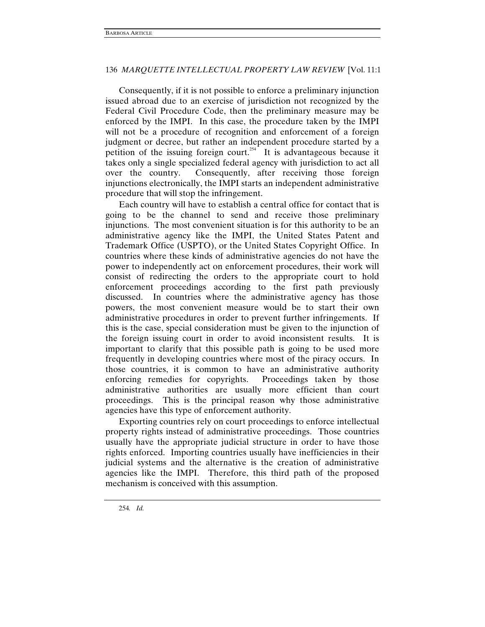Consequently, if it is not possible to enforce a preliminary injunction issued abroad due to an exercise of jurisdiction not recognized by the Federal Civil Procedure Code, then the preliminary measure may be enforced by the IMPI. In this case, the procedure taken by the IMPI will not be a procedure of recognition and enforcement of a foreign judgment or decree, but rather an independent procedure started by a petition of the issuing foreign court.<sup>254</sup> It is advantageous because it takes only a single specialized federal agency with jurisdiction to act all over the country. Consequently, after receiving those foreign injunctions electronically, the IMPI starts an independent administrative procedure that will stop the infringement.

Each country will have to establish a central office for contact that is going to be the channel to send and receive those preliminary injunctions. The most convenient situation is for this authority to be an administrative agency like the IMPI, the United States Patent and Trademark Office (USPTO), or the United States Copyright Office. In countries where these kinds of administrative agencies do not have the power to independently act on enforcement procedures, their work will consist of redirecting the orders to the appropriate court to hold enforcement proceedings according to the first path previously discussed. In countries where the administrative agency has those powers, the most convenient measure would be to start their own administrative procedures in order to prevent further infringements. If this is the case, special consideration must be given to the injunction of the foreign issuing court in order to avoid inconsistent results. It is important to clarify that this possible path is going to be used more frequently in developing countries where most of the piracy occurs. In those countries, it is common to have an administrative authority enforcing remedies for copyrights. Proceedings taken by those administrative authorities are usually more efficient than court proceedings. This is the principal reason why those administrative agencies have this type of enforcement authority.

Exporting countries rely on court proceedings to enforce intellectual property rights instead of administrative proceedings. Those countries usually have the appropriate judicial structure in order to have those rights enforced. Importing countries usually have inefficiencies in their judicial systems and the alternative is the creation of administrative agencies like the IMPI. Therefore, this third path of the proposed mechanism is conceived with this assumption.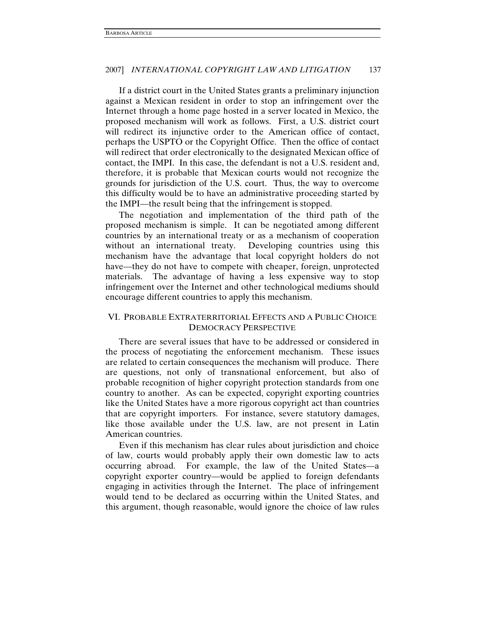If a district court in the United States grants a preliminary injunction against a Mexican resident in order to stop an infringement over the Internet through a home page hosted in a server located in Mexico, the proposed mechanism will work as follows. First, a U.S. district court will redirect its injunctive order to the American office of contact, perhaps the USPTO or the Copyright Office. Then the office of contact will redirect that order electronically to the designated Mexican office of contact, the IMPI. In this case, the defendant is not a U.S. resident and, therefore, it is probable that Mexican courts would not recognize the grounds for jurisdiction of the U.S. court. Thus, the way to overcome this difficulty would be to have an administrative proceeding started by the IMPI—the result being that the infringement is stopped.

The negotiation and implementation of the third path of the proposed mechanism is simple. It can be negotiated among different countries by an international treaty or as a mechanism of cooperation without an international treaty. Developing countries using this mechanism have the advantage that local copyright holders do not have—they do not have to compete with cheaper, foreign, unprotected materials. The advantage of having a less expensive way to stop infringement over the Internet and other technological mediums should encourage different countries to apply this mechanism.

# VI. PROBABLE EXTRATERRITORIAL EFFECTS AND A PUBLIC CHOICE DEMOCRACY PERSPECTIVE

There are several issues that have to be addressed or considered in the process of negotiating the enforcement mechanism. These issues are related to certain consequences the mechanism will produce. There are questions, not only of transnational enforcement, but also of probable recognition of higher copyright protection standards from one country to another. As can be expected, copyright exporting countries like the United States have a more rigorous copyright act than countries that are copyright importers. For instance, severe statutory damages, like those available under the U.S. law, are not present in Latin American countries.

Even if this mechanism has clear rules about jurisdiction and choice of law, courts would probably apply their own domestic law to acts occurring abroad. For example, the law of the United States—a copyright exporter country—would be applied to foreign defendants engaging in activities through the Internet. The place of infringement would tend to be declared as occurring within the United States, and this argument, though reasonable, would ignore the choice of law rules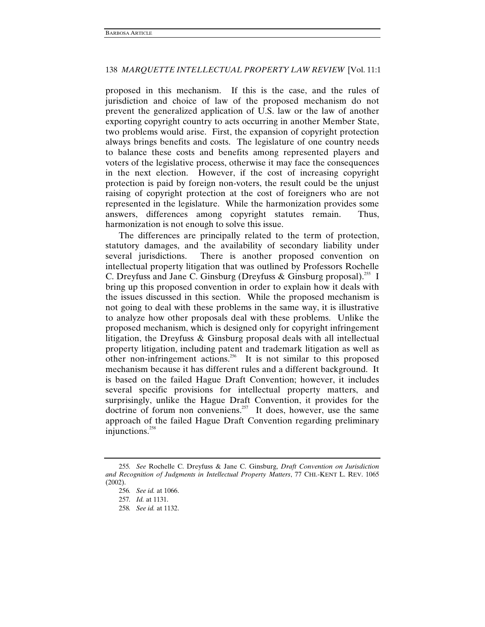proposed in this mechanism. If this is the case, and the rules of jurisdiction and choice of law of the proposed mechanism do not prevent the generalized application of U.S. law or the law of another exporting copyright country to acts occurring in another Member State, two problems would arise. First, the expansion of copyright protection always brings benefits and costs. The legislature of one country needs to balance these costs and benefits among represented players and voters of the legislative process, otherwise it may face the consequences in the next election. However, if the cost of increasing copyright protection is paid by foreign non-voters, the result could be the unjust raising of copyright protection at the cost of foreigners who are not represented in the legislature. While the harmonization provides some answers, differences among copyright statutes remain. Thus, harmonization is not enough to solve this issue.

The differences are principally related to the term of protection, statutory damages, and the availability of secondary liability under several jurisdictions. There is another proposed convention on intellectual property litigation that was outlined by Professors Rochelle C. Dreyfuss and Jane C. Ginsburg (Dreyfuss & Ginsburg proposal).<sup>255</sup> I bring up this proposed convention in order to explain how it deals with the issues discussed in this section. While the proposed mechanism is not going to deal with these problems in the same way, it is illustrative to analyze how other proposals deal with these problems. Unlike the proposed mechanism, which is designed only for copyright infringement litigation, the Dreyfuss & Ginsburg proposal deals with all intellectual property litigation, including patent and trademark litigation as well as other non-infringement actions.<sup>256</sup> It is not similar to this proposed mechanism because it has different rules and a different background. It is based on the failed Hague Draft Convention; however, it includes several specific provisions for intellectual property matters, and surprisingly, unlike the Hague Draft Convention, it provides for the doctrine of forum non conveniens.<sup>257</sup> It does, however, use the same approach of the failed Hague Draft Convention regarding preliminary injunctions.<sup>258</sup>

<sup>255</sup>*. See* Rochelle C. Dreyfuss & Jane C. Ginsburg, *Draft Convention on Jurisdiction and Recognition of Judgments in Intellectual Property Matters*, 77 CHI.-KENT L. REV. 1065 (2002).

<sup>256</sup>*. See id.* at 1066.

<sup>257</sup>*. Id.* at 1131.

<sup>258</sup>*. See id.* at 1132.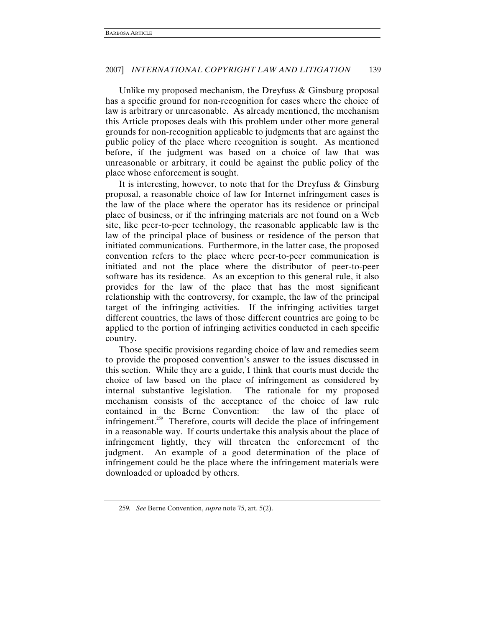Unlike my proposed mechanism, the Dreyfuss & Ginsburg proposal has a specific ground for non-recognition for cases where the choice of law is arbitrary or unreasonable. As already mentioned, the mechanism this Article proposes deals with this problem under other more general grounds for non-recognition applicable to judgments that are against the public policy of the place where recognition is sought. As mentioned before, if the judgment was based on a choice of law that was unreasonable or arbitrary, it could be against the public policy of the place whose enforcement is sought.

It is interesting, however, to note that for the Dreyfuss & Ginsburg proposal, a reasonable choice of law for Internet infringement cases is the law of the place where the operator has its residence or principal place of business, or if the infringing materials are not found on a Web site, like peer-to-peer technology, the reasonable applicable law is the law of the principal place of business or residence of the person that initiated communications. Furthermore, in the latter case, the proposed convention refers to the place where peer-to-peer communication is initiated and not the place where the distributor of peer-to-peer software has its residence. As an exception to this general rule, it also provides for the law of the place that has the most significant relationship with the controversy, for example, the law of the principal target of the infringing activities. If the infringing activities target different countries, the laws of those different countries are going to be applied to the portion of infringing activities conducted in each specific country.

Those specific provisions regarding choice of law and remedies seem to provide the proposed convention's answer to the issues discussed in this section. While they are a guide, I think that courts must decide the choice of law based on the place of infringement as considered by internal substantive legislation. The rationale for my proposed mechanism consists of the acceptance of the choice of law rule contained in the Berne Convention: the law of the place of infringement.<sup>259</sup> Therefore, courts will decide the place of infringement in a reasonable way. If courts undertake this analysis about the place of infringement lightly, they will threaten the enforcement of the judgment. An example of a good determination of the place of infringement could be the place where the infringement materials were downloaded or uploaded by others.

<sup>259</sup>*. See* Berne Convention, *supra* note 75, art. 5(2).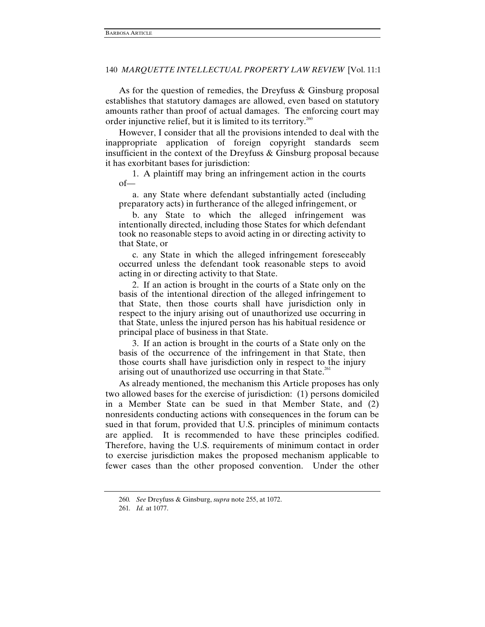As for the question of remedies, the Dreyfuss & Ginsburg proposal establishes that statutory damages are allowed, even based on statutory amounts rather than proof of actual damages. The enforcing court may order injunctive relief, but it is limited to its territory.<sup>260</sup>

However, I consider that all the provisions intended to deal with the inappropriate application of foreign copyright standards seem insufficient in the context of the Dreyfuss & Ginsburg proposal because it has exorbitant bases for jurisdiction:

 1. A plaintiff may bring an infringement action in the courts of—

 a. any State where defendant substantially acted (including preparatory acts) in furtherance of the alleged infringement, or

 b. any State to which the alleged infringement was intentionally directed, including those States for which defendant took no reasonable steps to avoid acting in or directing activity to that State, or

 c. any State in which the alleged infringement foreseeably occurred unless the defendant took reasonable steps to avoid acting in or directing activity to that State.

 2. If an action is brought in the courts of a State only on the basis of the intentional direction of the alleged infringement to that State, then those courts shall have jurisdiction only in respect to the injury arising out of unauthorized use occurring in that State, unless the injured person has his habitual residence or principal place of business in that State.

 3. If an action is brought in the courts of a State only on the basis of the occurrence of the infringement in that State, then those courts shall have jurisdiction only in respect to the injury arising out of unauthorized use occurring in that State. $261$ 

As already mentioned, the mechanism this Article proposes has only two allowed bases for the exercise of jurisdiction: (1) persons domiciled in a Member State can be sued in that Member State, and (2) nonresidents conducting actions with consequences in the forum can be sued in that forum, provided that U.S. principles of minimum contacts are applied. It is recommended to have these principles codified. Therefore, having the U.S. requirements of minimum contact in order to exercise jurisdiction makes the proposed mechanism applicable to fewer cases than the other proposed convention. Under the other

<sup>260</sup>*. See* Dreyfuss & Ginsburg, *supra* note 255, at 1072.

<sup>261</sup>*. Id.* at 1077.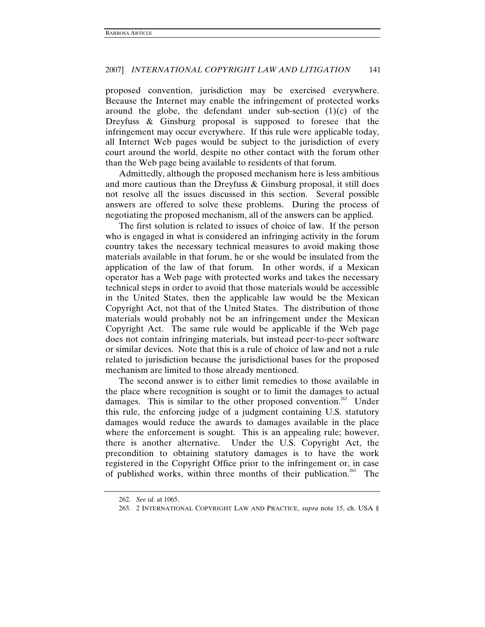proposed convention, jurisdiction may be exercised everywhere. Because the Internet may enable the infringement of protected works around the globe, the defendant under sub-section  $(1)(c)$  of the Dreyfuss & Ginsburg proposal is supposed to foresee that the infringement may occur everywhere. If this rule were applicable today, all Internet Web pages would be subject to the jurisdiction of every court around the world, despite no other contact with the forum other than the Web page being available to residents of that forum.

Admittedly, although the proposed mechanism here is less ambitious and more cautious than the Dreyfuss & Ginsburg proposal, it still does not resolve all the issues discussed in this section. Several possible answers are offered to solve these problems. During the process of negotiating the proposed mechanism, all of the answers can be applied.

The first solution is related to issues of choice of law. If the person who is engaged in what is considered an infringing activity in the forum country takes the necessary technical measures to avoid making those materials available in that forum, he or she would be insulated from the application of the law of that forum. In other words, if a Mexican operator has a Web page with protected works and takes the necessary technical steps in order to avoid that those materials would be accessible in the United States, then the applicable law would be the Mexican Copyright Act, not that of the United States. The distribution of those materials would probably not be an infringement under the Mexican Copyright Act. The same rule would be applicable if the Web page does not contain infringing materials, but instead peer-to-peer software or similar devices. Note that this is a rule of choice of law and not a rule related to jurisdiction because the jurisdictional bases for the proposed mechanism are limited to those already mentioned.

The second answer is to either limit remedies to those available in the place where recognition is sought or to limit the damages to actual damages. This is similar to the other proposed convention.<sup>262</sup> Under this rule, the enforcing judge of a judgment containing U.S. statutory damages would reduce the awards to damages available in the place where the enforcement is sought. This is an appealing rule; however, there is another alternative. Under the U.S. Copyright Act, the precondition to obtaining statutory damages is to have the work registered in the Copyright Office prior to the infringement or, in case of published works, within three months of their publication.<sup>263</sup> The

<sup>262</sup>*. See id.* at 1065.

 <sup>263. 2</sup> INTERNATIONAL COPYRIGHT LAW AND PRACTICE, *supra* note 15, ch. USA §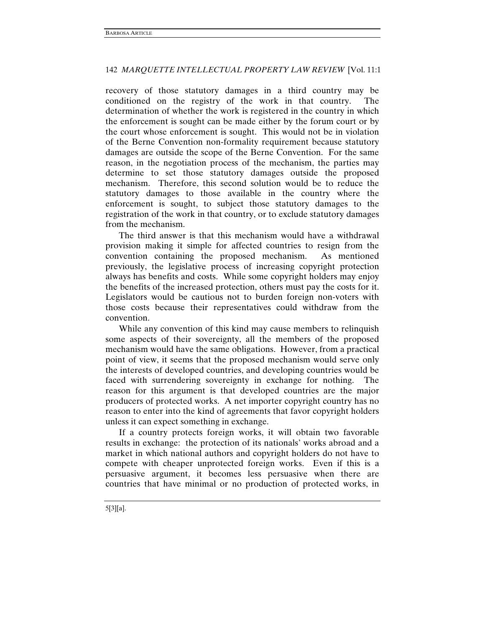recovery of those statutory damages in a third country may be conditioned on the registry of the work in that country. The determination of whether the work is registered in the country in which the enforcement is sought can be made either by the forum court or by the court whose enforcement is sought. This would not be in violation of the Berne Convention non-formality requirement because statutory damages are outside the scope of the Berne Convention. For the same reason, in the negotiation process of the mechanism, the parties may determine to set those statutory damages outside the proposed mechanism. Therefore, this second solution would be to reduce the statutory damages to those available in the country where the enforcement is sought, to subject those statutory damages to the registration of the work in that country, or to exclude statutory damages from the mechanism.

The third answer is that this mechanism would have a withdrawal provision making it simple for affected countries to resign from the convention containing the proposed mechanism. As mentioned previously, the legislative process of increasing copyright protection always has benefits and costs. While some copyright holders may enjoy the benefits of the increased protection, others must pay the costs for it. Legislators would be cautious not to burden foreign non-voters with those costs because their representatives could withdraw from the convention.

While any convention of this kind may cause members to relinquish some aspects of their sovereignty, all the members of the proposed mechanism would have the same obligations. However, from a practical point of view, it seems that the proposed mechanism would serve only the interests of developed countries, and developing countries would be faced with surrendering sovereignty in exchange for nothing. The reason for this argument is that developed countries are the major producers of protected works. A net importer copyright country has no reason to enter into the kind of agreements that favor copyright holders unless it can expect something in exchange.

If a country protects foreign works, it will obtain two favorable results in exchange: the protection of its nationals' works abroad and a market in which national authors and copyright holders do not have to compete with cheaper unprotected foreign works. Even if this is a persuasive argument, it becomes less persuasive when there are countries that have minimal or no production of protected works, in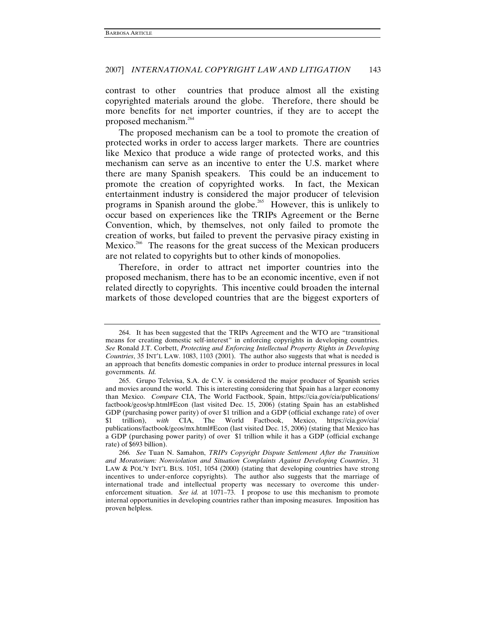contrast to other countries that produce almost all the existing copyrighted materials around the globe. Therefore, there should be more benefits for net importer countries, if they are to accept the proposed mechanism.<sup>264</sup>

The proposed mechanism can be a tool to promote the creation of protected works in order to access larger markets. There are countries like Mexico that produce a wide range of protected works, and this mechanism can serve as an incentive to enter the U.S. market where there are many Spanish speakers. This could be an inducement to promote the creation of copyrighted works. In fact, the Mexican entertainment industry is considered the major producer of television programs in Spanish around the globe.<sup>265</sup> However, this is unlikely to occur based on experiences like the TRIPs Agreement or the Berne Convention, which, by themselves, not only failed to promote the creation of works, but failed to prevent the pervasive piracy existing in Mexico.<sup>266</sup> The reasons for the great success of the Mexican producers are not related to copyrights but to other kinds of monopolies.

Therefore, in order to attract net importer countries into the proposed mechanism, there has to be an economic incentive, even if not related directly to copyrights. This incentive could broaden the internal markets of those developed countries that are the biggest exporters of

 <sup>264.</sup> It has been suggested that the TRIPs Agreement and the WTO are "transitional means for creating domestic self-interest" in enforcing copyrights in developing countries. *See* Ronald J.T. Corbett, *Protecting and Enforcing Intellectual Property Rights in Developing Countries*, 35 INT'L LAW. 1083, 1103 (2001). The author also suggests that what is needed is an approach that benefits domestic companies in order to produce internal pressures in local governments. *Id.*

 <sup>265.</sup> Grupo Televisa, S.A. de C.V*.* is considered the major producer of Spanish series and movies around the world. This is interesting considering that Spain has a larger economy than Mexico. *Compare* CIA, The World Factbook, Spain, https://cia.gov/cia/publications/ factbook/geos/sp.html#Econ (last visited Dec. 15, 2006) (stating Spain has an established GDP (purchasing power parity) of over \$1 trillion and a GDP (official exchange rate) of over \$1 trillion), *with* CIA, The World Factbook, Mexico, https://cia.gov/cia/ publications/factbook/geos/mx.html#Econ (last visited Dec. 15, 2006) (stating that Mexico has a GDP (purchasing power parity) of over \$1 trillion while it has a GDP (official exchange rate) of \$693 billion).

<sup>266</sup>*. See* Tuan N. Samahon, *TRIPs Copyright Dispute Settlement After the Transition and Moratorium: Nonviolation and Situation Complaints Against Developing Countries*, 31 LAW & POL'Y INT'L BUS. 1051, 1054 (2000) (stating that developing countries have strong incentives to under-enforce copyrights). The author also suggests that the marriage of international trade and intellectual property was necessary to overcome this underenforcement situation. *See id.* at 1071–73. I propose to use this mechanism to promote internal opportunities in developing countries rather than imposing measures. Imposition has proven helpless.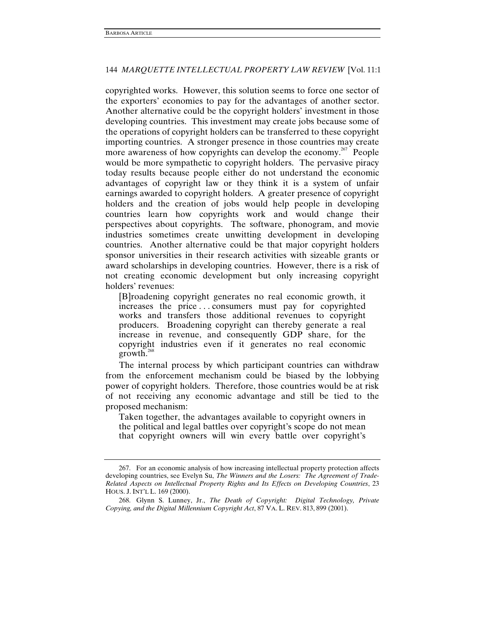copyrighted works. However, this solution seems to force one sector of the exporters' economies to pay for the advantages of another sector. Another alternative could be the copyright holders' investment in those developing countries. This investment may create jobs because some of the operations of copyright holders can be transferred to these copyright importing countries. A stronger presence in those countries may create more awareness of how copyrights can develop the economy.<sup>267</sup> People would be more sympathetic to copyright holders. The pervasive piracy today results because people either do not understand the economic advantages of copyright law or they think it is a system of unfair earnings awarded to copyright holders. A greater presence of copyright holders and the creation of jobs would help people in developing countries learn how copyrights work and would change their perspectives about copyrights. The software, phonogram, and movie industries sometimes create unwitting development in developing countries. Another alternative could be that major copyright holders sponsor universities in their research activities with sizeable grants or award scholarships in developing countries. However, there is a risk of not creating economic development but only increasing copyright holders' revenues:

[B]roadening copyright generates no real economic growth, it increases the price . . . consumers must pay for copyrighted works and transfers those additional revenues to copyright producers. Broadening copyright can thereby generate a real increase in revenue, and consequently GDP share, for the copyright industries even if it generates no real economic growth. $^{268}$ 

The internal process by which participant countries can withdraw from the enforcement mechanism could be biased by the lobbying power of copyright holders. Therefore, those countries would be at risk of not receiving any economic advantage and still be tied to the proposed mechanism:

Taken together, the advantages available to copyright owners in the political and legal battles over copyright's scope do not mean that copyright owners will win every battle over copyright's

 <sup>267.</sup> For an economic analysis of how increasing intellectual property protection affects developing countries, see Evelyn Su, *The Winners and the Losers: The Agreement of Trade-Related Aspects on Intellectual Property Rights and Its Effects on Developing Countries*, 23 HOUS. J. INT'L L. 169 (2000).

 <sup>268.</sup> Glynn S. Lunney, Jr., *The Death of Copyright: Digital Technology, Private Copying, and the Digital Millennium Copyright Act*, 87 VA. L. REV. 813, 899 (2001).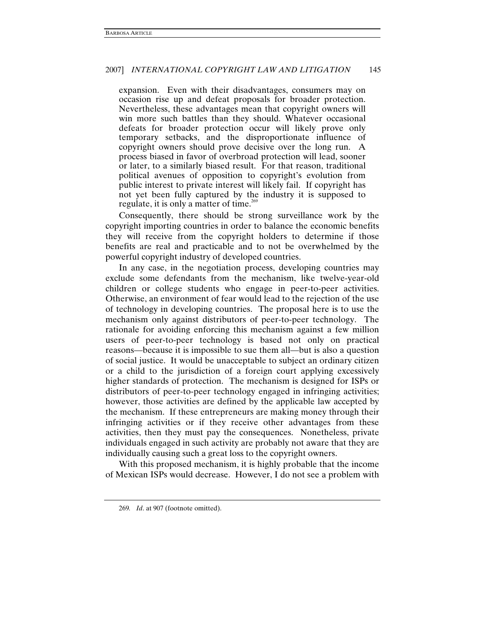expansion. Even with their disadvantages, consumers may on occasion rise up and defeat proposals for broader protection. Nevertheless, these advantages mean that copyright owners will win more such battles than they should. Whatever occasional defeats for broader protection occur will likely prove only temporary setbacks, and the disproportionate influence of copyright owners should prove decisive over the long run. A process biased in favor of overbroad protection will lead, sooner or later, to a similarly biased result. For that reason, traditional political avenues of opposition to copyright's evolution from public interest to private interest will likely fail. If copyright has not yet been fully captured by the industry it is supposed to regulate, it is only a matter of time.<sup>269</sup>

Consequently, there should be strong surveillance work by the copyright importing countries in order to balance the economic benefits they will receive from the copyright holders to determine if those benefits are real and practicable and to not be overwhelmed by the powerful copyright industry of developed countries.

In any case, in the negotiation process, developing countries may exclude some defendants from the mechanism, like twelve-year-old children or college students who engage in peer-to-peer activities. Otherwise, an environment of fear would lead to the rejection of the use of technology in developing countries. The proposal here is to use the mechanism only against distributors of peer-to-peer technology. The rationale for avoiding enforcing this mechanism against a few million users of peer-to-peer technology is based not only on practical reasons—because it is impossible to sue them all—but is also a question of social justice. It would be unacceptable to subject an ordinary citizen or a child to the jurisdiction of a foreign court applying excessively higher standards of protection. The mechanism is designed for ISPs or distributors of peer-to-peer technology engaged in infringing activities; however, those activities are defined by the applicable law accepted by the mechanism. If these entrepreneurs are making money through their infringing activities or if they receive other advantages from these activities, then they must pay the consequences. Nonetheless, private individuals engaged in such activity are probably not aware that they are individually causing such a great loss to the copyright owners.

With this proposed mechanism, it is highly probable that the income of Mexican ISPs would decrease. However, I do not see a problem with

<sup>269</sup>*. Id*. at 907 (footnote omitted).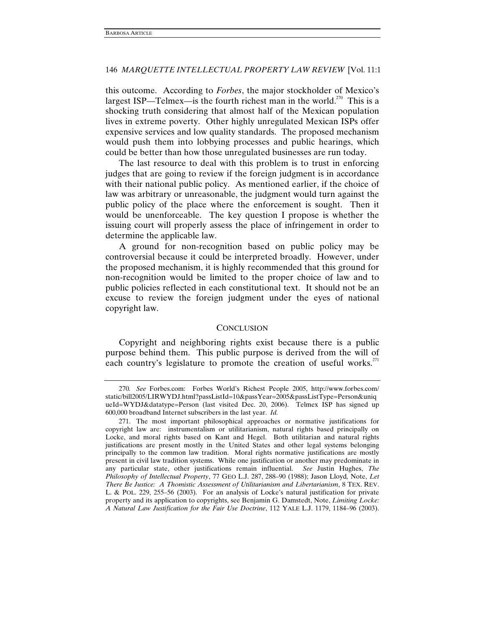this outcome. According to *Forbes*, the major stockholder of Mexico's largest ISP—Telmex—is the fourth richest man in the world.<sup>270</sup> This is a shocking truth considering that almost half of the Mexican population lives in extreme poverty. Other highly unregulated Mexican ISPs offer expensive services and low quality standards. The proposed mechanism would push them into lobbying processes and public hearings, which could be better than how those unregulated businesses are run today.

The last resource to deal with this problem is to trust in enforcing judges that are going to review if the foreign judgment is in accordance with their national public policy. As mentioned earlier, if the choice of law was arbitrary or unreasonable, the judgment would turn against the public policy of the place where the enforcement is sought. Then it would be unenforceable. The key question I propose is whether the issuing court will properly assess the place of infringement in order to determine the applicable law.

A ground for non-recognition based on public policy may be controversial because it could be interpreted broadly. However, under the proposed mechanism, it is highly recommended that this ground for non-recognition would be limited to the proper choice of law and to public policies reflected in each constitutional text. It should not be an excuse to review the foreign judgment under the eyes of national copyright law.

#### **CONCLUSION**

Copyright and neighboring rights exist because there is a public purpose behind them. This public purpose is derived from the will of each country's legislature to promote the creation of useful works. $271$ 

<sup>270</sup>*. See* Forbes.com: Forbes World's Richest People 2005, http://www.forbes.com/ static/bill2005/LIRWYDJ.html?passListId=10&passYear=2005&passListType=Person&uniq ueId=WYDJ&datatype=Person (last visited Dec. 20, 2006). Telmex ISP has signed up 600,000 broadband Internet subscribers in the last year. *Id.*

 <sup>271.</sup> The most important philosophical approaches or normative justifications for copyright law are: instrumentalism or utilitarianism, natural rights based principally on Locke, and moral rights based on Kant and Hegel. Both utilitarian and natural rights justifications are present mostly in the United States and other legal systems belonging principally to the common law tradition. Moral rights normative justifications are mostly present in civil law tradition systems. While one justification or another may predominate in any particular state, other justifications remain influential. *See* Justin Hughes, *The Philosophy of Intellectual Property*, 77 GEO L.J. 287, 288–90 (1988); Jason Lloyd*,* Note, *Let There Be Justice: A Thomistic Assessment of Utilitarianism and Libertarianism*, 8 TEX. REV. L. & POL. 229, 255–56 (2003). For an analysis of Locke's natural justification for private property and its application to copyrights, see Benjamin G. Damstedt, Note, *Limiting Locke: A Natural Law Justification for the Fair Use Doctrine*, 112 YALE L.J. 1179, 1184–96 (2003).